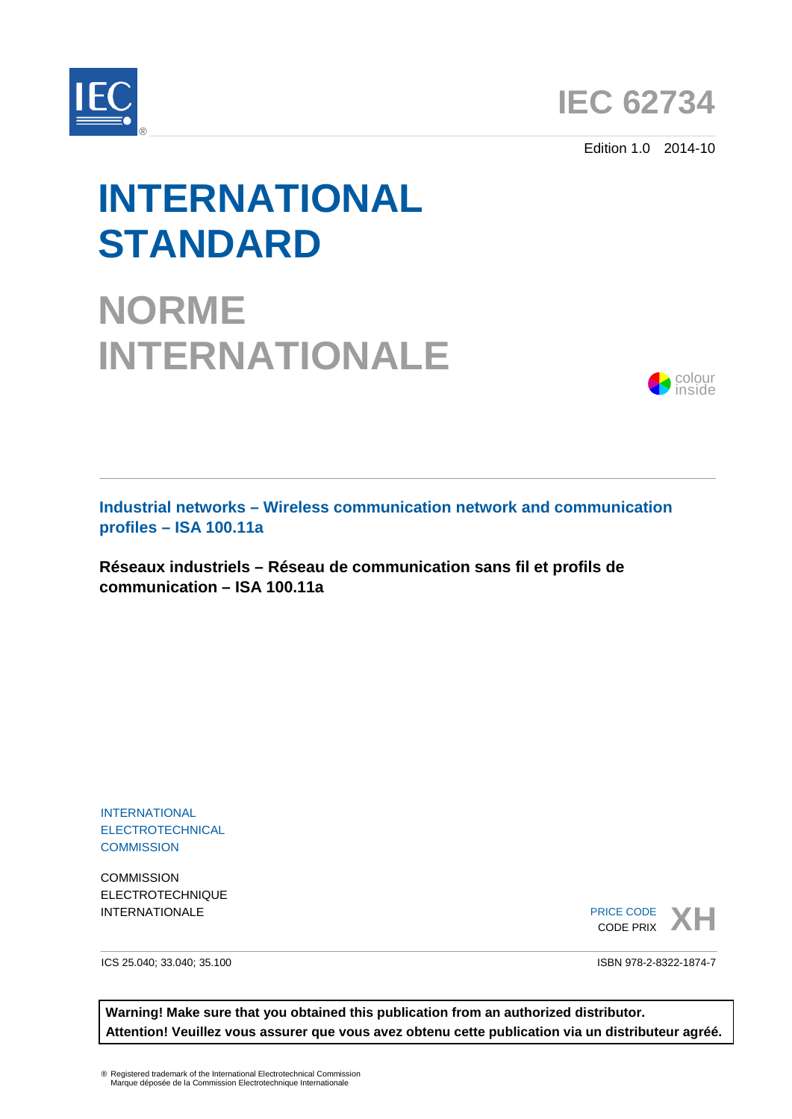



Edition 1.0 2014-10

# **INTERNATIONAL STANDARD**

**NORME INTERNATIONALE**



**Industrial networks – Wireless communication network and communication profiles – ISA 100.11a**

**Réseaux industriels – Réseau de communication sans fil et profils de communication – ISA 100.11a**

INTERNATIONAL ELECTROTECHNICAL **COMMISSION** 

**COMMISSION** ELECTROTECHNIQUE



ICS 25.040; 33.040; 35.100

ISBN 978-2-8322-1874-7

**Warning! Make sure that you obtained this publication from an authorized distributor. Attention! Veuillez vous assurer que vous avez obtenu cette publication via un distributeur agréé.**

® Registered trademark of the International Electrotechnical Commission Marque déposée de la Commission Electrotechnique Internationale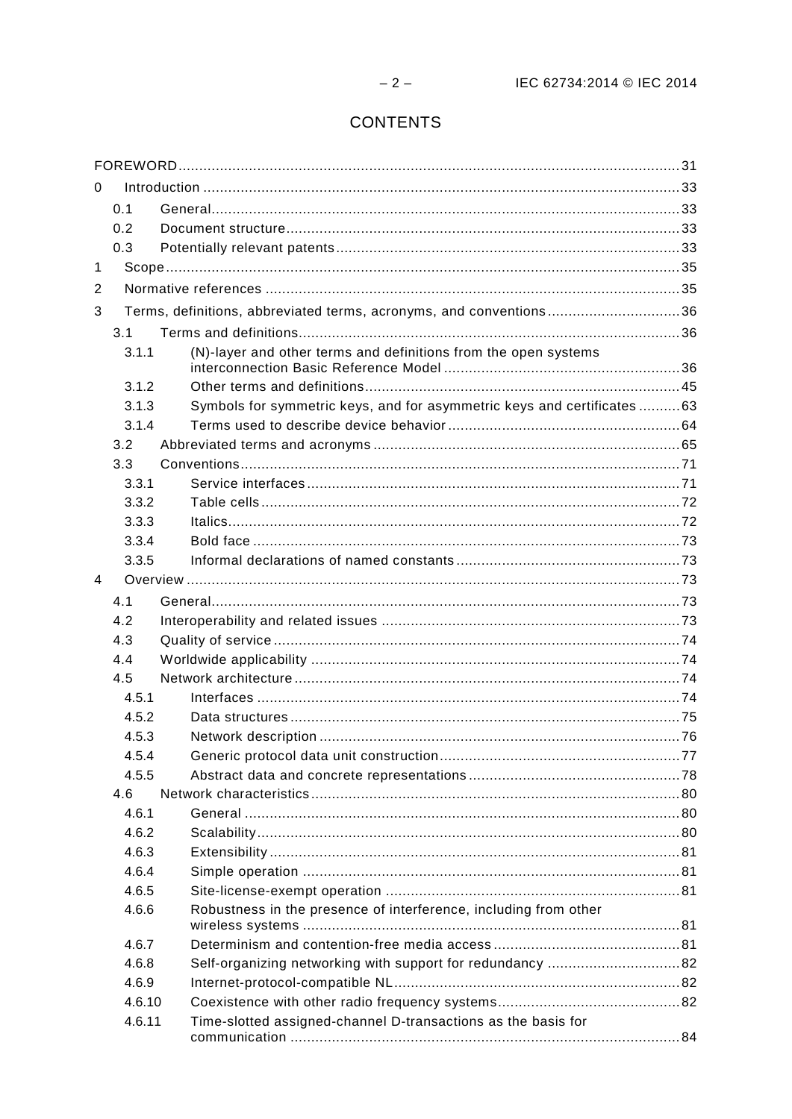# CONTENTS

| 0 |                |                                                                          |  |
|---|----------------|--------------------------------------------------------------------------|--|
|   | 0.1            |                                                                          |  |
|   | 0.2            |                                                                          |  |
|   | 0.3            |                                                                          |  |
| 1 |                |                                                                          |  |
| 2 |                |                                                                          |  |
| 3 |                | Terms, definitions, abbreviated terms, acronyms, and conventions36       |  |
|   | 3.1            |                                                                          |  |
|   | 3.1.1          | (N)-layer and other terms and definitions from the open systems          |  |
|   | 3.1.2          |                                                                          |  |
|   | 3.1.3          | Symbols for symmetric keys, and for asymmetric keys and certificates  63 |  |
|   | 3.1.4          |                                                                          |  |
|   | 3.2            |                                                                          |  |
|   | 3.3            |                                                                          |  |
|   | 3.3.1          |                                                                          |  |
|   | 3.3.2          |                                                                          |  |
|   | 3.3.3          |                                                                          |  |
|   | 3.3.4          |                                                                          |  |
|   | 3.3.5          |                                                                          |  |
| 4 |                |                                                                          |  |
|   | 4.1            |                                                                          |  |
|   | 4.2            |                                                                          |  |
|   | 4.3            |                                                                          |  |
|   | 4.4            |                                                                          |  |
|   | 4.5            |                                                                          |  |
|   | 4.5.1          |                                                                          |  |
|   | 4.5.2          |                                                                          |  |
|   | 4.5.3          |                                                                          |  |
|   | 4.5.4          |                                                                          |  |
|   | 4.5.5          |                                                                          |  |
|   | 4.6            |                                                                          |  |
|   | 4.6.1<br>4.6.2 |                                                                          |  |
|   | 4.6.3          |                                                                          |  |
|   | 4.6.4          |                                                                          |  |
|   | 4.6.5          |                                                                          |  |
|   | 4.6.6          | Robustness in the presence of interference, including from other         |  |
|   |                |                                                                          |  |
|   | 4.6.7          |                                                                          |  |
|   | 4.6.8          | Self-organizing networking with support for redundancy 82                |  |
|   | 4.6.9          |                                                                          |  |
|   | 4.6.10         |                                                                          |  |
|   | 4.6.11         | Time-slotted assigned-channel D-transactions as the basis for            |  |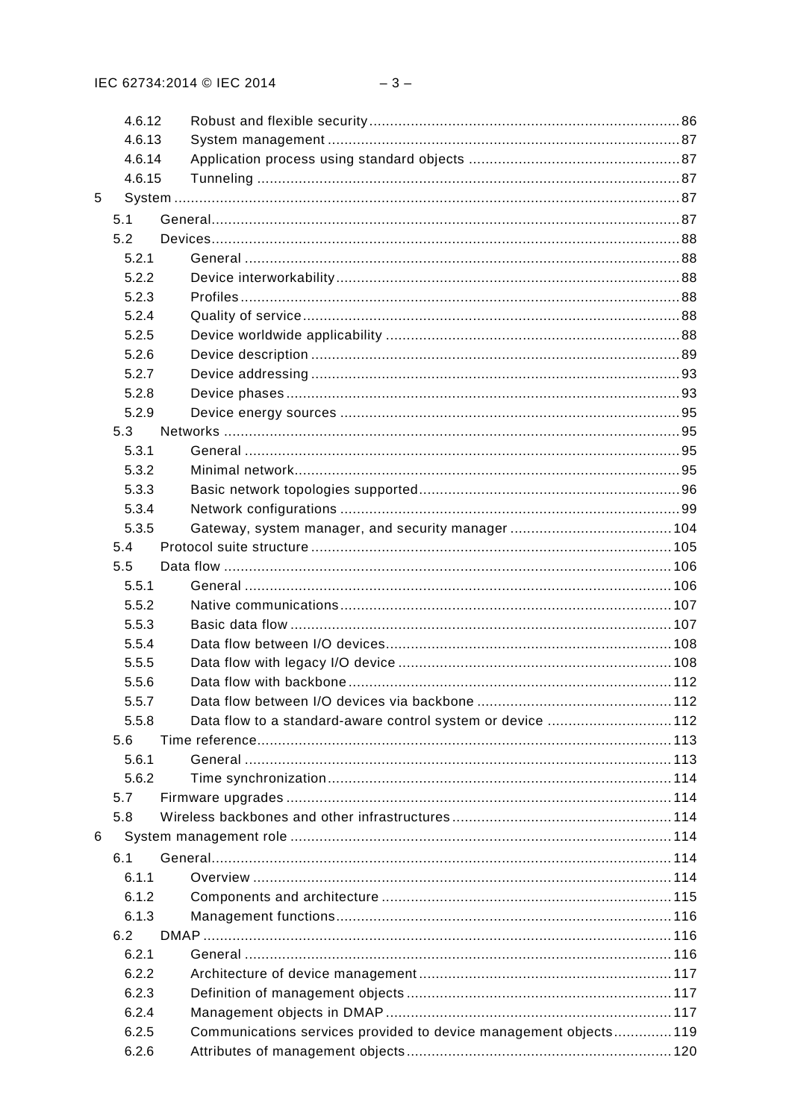|   | 4.6.12 |                                                                   |  |
|---|--------|-------------------------------------------------------------------|--|
|   | 4.6.13 |                                                                   |  |
|   | 4.6.14 |                                                                   |  |
|   | 4.6.15 |                                                                   |  |
| 5 |        |                                                                   |  |
|   | 5.1    |                                                                   |  |
|   | 5.2    |                                                                   |  |
|   | 5.2.1  |                                                                   |  |
|   | 5.2.2  |                                                                   |  |
|   | 5.2.3  |                                                                   |  |
|   | 5.2.4  |                                                                   |  |
|   | 5.2.5  |                                                                   |  |
|   | 5.2.6  |                                                                   |  |
|   | 5.2.7  |                                                                   |  |
|   | 5.2.8  |                                                                   |  |
|   | 5.2.9  |                                                                   |  |
|   | 5.3    |                                                                   |  |
|   | 5.3.1  |                                                                   |  |
|   | 5.3.2  |                                                                   |  |
|   | 5.3.3  |                                                                   |  |
|   | 5.3.4  |                                                                   |  |
|   | 5.3.5  |                                                                   |  |
|   | 5.4    |                                                                   |  |
|   | 5.5    |                                                                   |  |
|   | 5.5.1  |                                                                   |  |
|   | 5.5.2  |                                                                   |  |
|   | 5.5.3  |                                                                   |  |
|   | 5.5.4  |                                                                   |  |
|   | 5.5.5  |                                                                   |  |
|   | 5.5.6  |                                                                   |  |
|   | 557    | Data flow between I/O devices via backbone<br>$\sim$ 112          |  |
|   | 5.5.8  | Data flow to a standard-aware control system or device 112        |  |
|   | 5.6    |                                                                   |  |
|   | 5.6.1  |                                                                   |  |
|   | 5.6.2  |                                                                   |  |
|   | 5.7    |                                                                   |  |
|   | 5.8    |                                                                   |  |
| 6 |        |                                                                   |  |
|   | 6.1    |                                                                   |  |
|   | 6.1.1  |                                                                   |  |
|   | 6.1.2  |                                                                   |  |
|   | 6.1.3  |                                                                   |  |
|   | 6.2    |                                                                   |  |
|   | 6.2.1  |                                                                   |  |
|   | 6.2.2  |                                                                   |  |
|   | 6.2.3  |                                                                   |  |
|   | 6.2.4  |                                                                   |  |
|   | 6.2.5  | Communications services provided to device management objects 119 |  |
|   | 6.2.6  |                                                                   |  |
|   |        |                                                                   |  |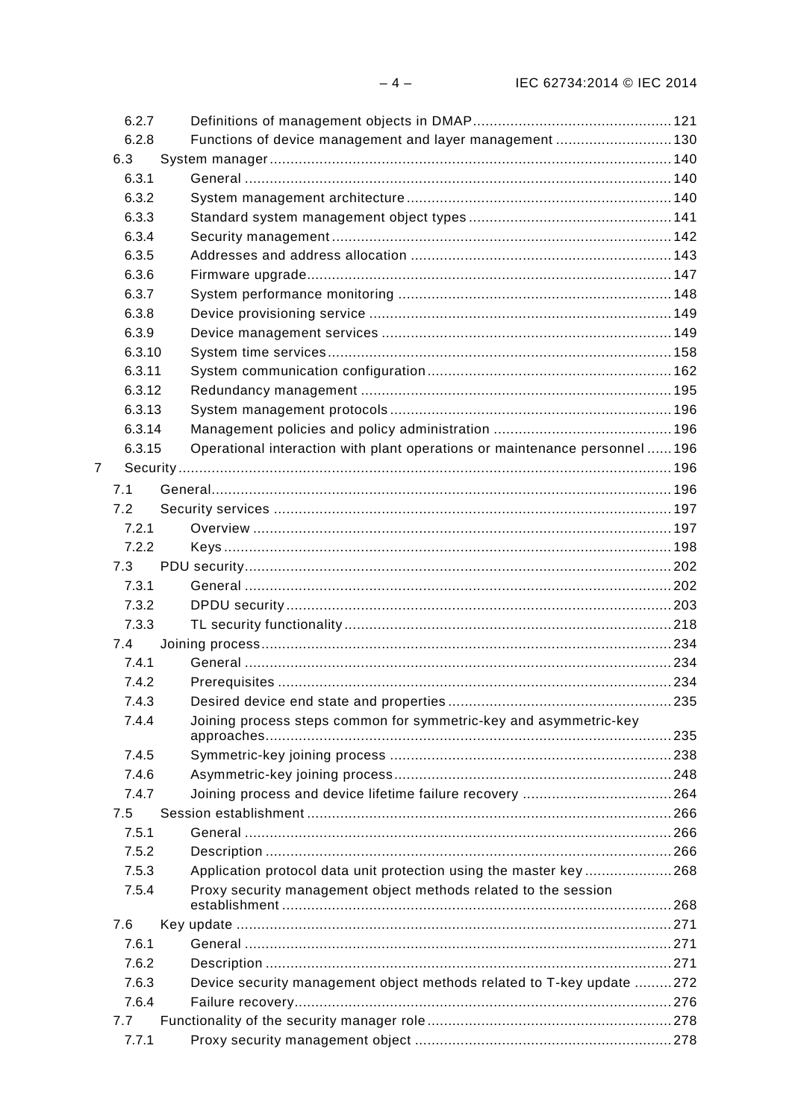|                | 6.2.7  |                                                                             |  |
|----------------|--------|-----------------------------------------------------------------------------|--|
|                | 6.2.8  | Functions of device management and layer management  130                    |  |
|                | 6.3    |                                                                             |  |
|                | 6.3.1  |                                                                             |  |
|                | 6.3.2  |                                                                             |  |
|                | 6.3.3  |                                                                             |  |
|                | 6.3.4  |                                                                             |  |
|                | 6.3.5  |                                                                             |  |
|                | 6.3.6  |                                                                             |  |
|                | 6.3.7  |                                                                             |  |
|                | 6.3.8  |                                                                             |  |
|                | 6.3.9  |                                                                             |  |
|                | 6.3.10 |                                                                             |  |
|                | 6.3.11 |                                                                             |  |
|                | 6.3.12 |                                                                             |  |
|                | 6.3.13 |                                                                             |  |
|                | 6.3.14 |                                                                             |  |
|                | 6.3.15 | Operational interaction with plant operations or maintenance personnel  196 |  |
| $\overline{7}$ |        |                                                                             |  |
|                | 7.1    |                                                                             |  |
|                | 7.2    |                                                                             |  |
|                | 7.2.1  |                                                                             |  |
|                | 7.2.2  |                                                                             |  |
|                | 7.3    |                                                                             |  |
|                | 7.3.1  |                                                                             |  |
|                | 7.3.2  |                                                                             |  |
|                | 7.3.3  |                                                                             |  |
|                | 7.4    |                                                                             |  |
|                | 7.4.1  |                                                                             |  |
|                | 7.4.2  |                                                                             |  |
|                | 7.4.3  |                                                                             |  |
|                | 7.4.4  | Joining process steps common for symmetric-key and asymmetric-key           |  |
|                |        |                                                                             |  |
|                | 7.4.5  |                                                                             |  |
|                | 7.4.6  |                                                                             |  |
|                | 7.4.7  |                                                                             |  |
|                | 7.5    |                                                                             |  |
|                | 7.5.1  |                                                                             |  |
|                | 7.5.2  |                                                                             |  |
|                | 7.5.3  | Application protocol data unit protection using the master key268           |  |
|                | 7.5.4  | Proxy security management object methods related to the session             |  |
|                | 7.6    |                                                                             |  |
|                | 7.6.1  |                                                                             |  |
|                | 7.6.2  |                                                                             |  |
|                | 7.6.3  | Device security management object methods related to T-key update 272       |  |
|                | 7.6.4  |                                                                             |  |
|                | 7.7    |                                                                             |  |
|                | 7.7.1  |                                                                             |  |
|                |        |                                                                             |  |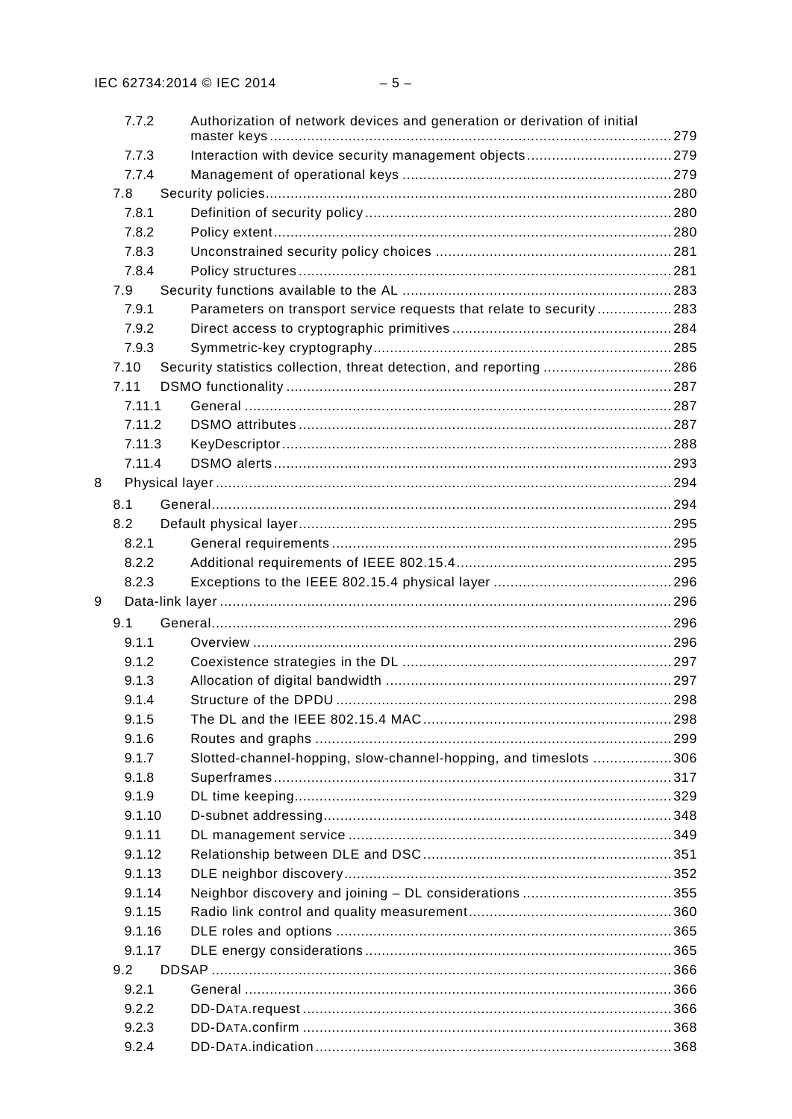|   | 7.7.2        | Authorization of network devices and generation or derivation of initial |  |
|---|--------------|--------------------------------------------------------------------------|--|
|   | 7.7.3        |                                                                          |  |
|   | 7.7.4        |                                                                          |  |
|   | 7.8          |                                                                          |  |
|   | 7.8.1        |                                                                          |  |
|   | 7.8.2        |                                                                          |  |
|   |              |                                                                          |  |
|   | 7.8.3        |                                                                          |  |
|   | 7.8.4        |                                                                          |  |
|   | 7.9<br>7.9.1 |                                                                          |  |
|   |              | Parameters on transport service requests that relate to security283      |  |
|   | 7.9.2        |                                                                          |  |
|   | 7.9.3        |                                                                          |  |
|   | 7.10         | Security statistics collection, threat detection, and reporting286       |  |
|   | 7.11         |                                                                          |  |
|   | 7.11.1       |                                                                          |  |
|   | 7.11.2       |                                                                          |  |
|   | 7.11.3       |                                                                          |  |
|   | 7.11.4       |                                                                          |  |
| 8 |              |                                                                          |  |
|   | 8.1          |                                                                          |  |
|   | 8.2          |                                                                          |  |
|   | 8.2.1        |                                                                          |  |
|   | 8.2.2        |                                                                          |  |
|   | 8.2.3        |                                                                          |  |
| 9 |              |                                                                          |  |
|   | 9.1          |                                                                          |  |
|   | 9.1.1        |                                                                          |  |
|   | 9.1.2        |                                                                          |  |
|   | 9.1.3        |                                                                          |  |
|   | 9.1.4        |                                                                          |  |
|   | 9.1.5        |                                                                          |  |
|   | 9.1.6        |                                                                          |  |
|   | 9.1.7        | Slotted-channel-hopping, slow-channel-hopping, and timeslots 306         |  |
|   | 9.1.8        |                                                                          |  |
|   | 9.1.9        |                                                                          |  |
|   | 9.1.10       |                                                                          |  |
|   | 9.1.11       |                                                                          |  |
|   | 9.1.12       |                                                                          |  |
|   | 9.1.13       |                                                                          |  |
|   | 9.1.14       |                                                                          |  |
|   | 9.1.15       |                                                                          |  |
|   | 9.1.16       |                                                                          |  |
|   | 9.1.17       |                                                                          |  |
|   | 9.2          |                                                                          |  |
|   | 9.2.1        |                                                                          |  |
|   | 9.2.2        |                                                                          |  |
|   | 9.2.3        |                                                                          |  |
|   | 9.2.4        |                                                                          |  |
|   |              |                                                                          |  |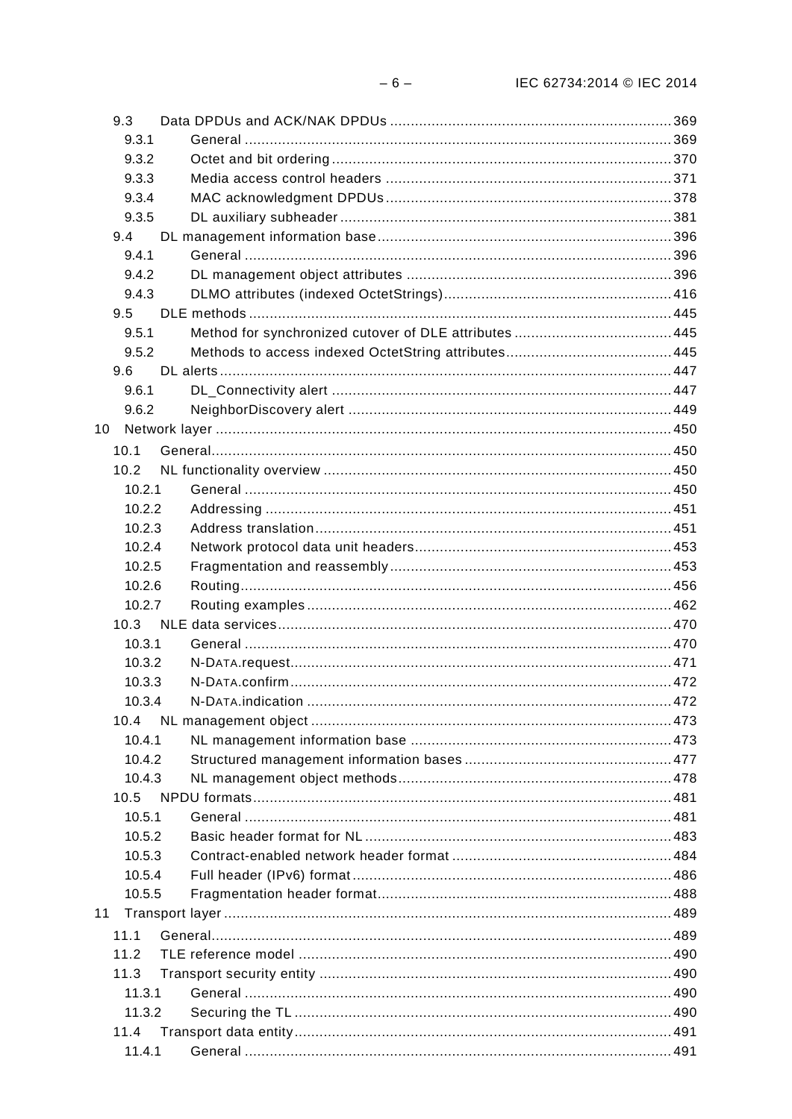|    | 9.3    |  |  |
|----|--------|--|--|
|    | 9.3.1  |  |  |
|    | 9.3.2  |  |  |
|    | 9.3.3  |  |  |
|    | 9.3.4  |  |  |
|    | 9.3.5  |  |  |
|    | 9.4    |  |  |
|    | 9.4.1  |  |  |
|    | 9.4.2  |  |  |
|    | 9.4.3  |  |  |
|    | 9.5    |  |  |
|    | 9.5.1  |  |  |
|    | 9.5.2  |  |  |
|    | 9.6    |  |  |
|    | 9.6.1  |  |  |
|    | 9.6.2  |  |  |
| 10 |        |  |  |
|    | 10.1   |  |  |
|    | 10.2   |  |  |
|    | 10.2.1 |  |  |
|    | 10.2.2 |  |  |
|    | 10.2.3 |  |  |
|    | 10.2.4 |  |  |
|    | 10.2.5 |  |  |
|    | 10.2.6 |  |  |
|    | 10.2.7 |  |  |
|    | 10.3   |  |  |
|    | 10.3.1 |  |  |
|    | 10.3.2 |  |  |
|    | 10.3.3 |  |  |
|    | 10.3.4 |  |  |
|    | 10.4   |  |  |
|    | 10.4.1 |  |  |
|    | 10.4.2 |  |  |
|    | 10.4.3 |  |  |
|    | 10.5   |  |  |
|    | 10.5.1 |  |  |
|    | 10.5.2 |  |  |
|    | 10.5.3 |  |  |
|    | 10.5.4 |  |  |
|    | 10.5.5 |  |  |
| 11 |        |  |  |
|    |        |  |  |
|    | 11.1   |  |  |
|    | 11.2   |  |  |
|    | 11.3   |  |  |
|    | 11.3.1 |  |  |
|    | 11.3.2 |  |  |
|    | 11.4   |  |  |
|    | 11.4.1 |  |  |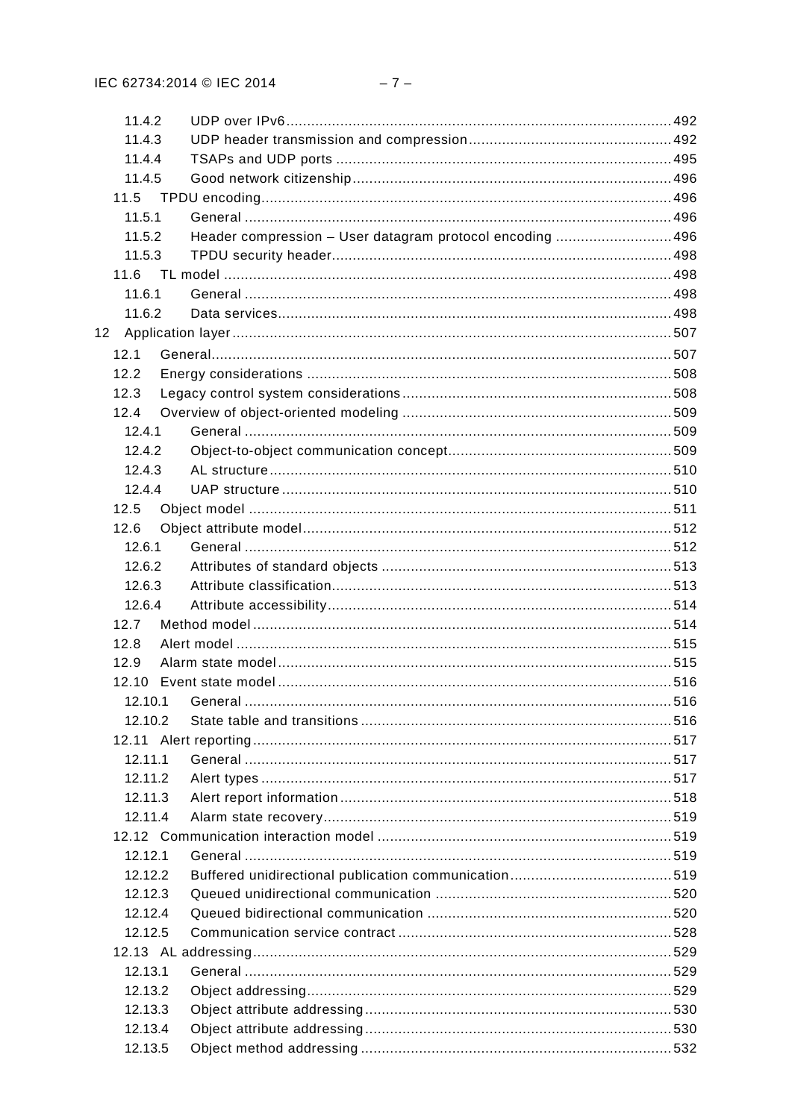| 11.4.2  |                                                          |  |
|---------|----------------------------------------------------------|--|
| 11.4.3  |                                                          |  |
| 11.4.4  |                                                          |  |
| 11.4.5  |                                                          |  |
|         |                                                          |  |
| 11.5.1  |                                                          |  |
| 11.5.2  | Header compression - User datagram protocol encoding 496 |  |
| 11.5.3  |                                                          |  |
| 11.6    |                                                          |  |
| 11.6.1  |                                                          |  |
| 11.6.2  |                                                          |  |
| 12      |                                                          |  |
| 12.1    |                                                          |  |
| 12.2    |                                                          |  |
| 12.3    |                                                          |  |
| 12.4    |                                                          |  |
| 12.4.1  |                                                          |  |
| 12.4.2  |                                                          |  |
| 12.4.3  |                                                          |  |
| 12.4.4  |                                                          |  |
| 12.5    |                                                          |  |
| 12.6    |                                                          |  |
| 12.6.1  |                                                          |  |
| 12.6.2  |                                                          |  |
| 12.6.3  |                                                          |  |
| 12.6.4  |                                                          |  |
| 12.7    |                                                          |  |
| 12.8    |                                                          |  |
| 12.9    |                                                          |  |
|         |                                                          |  |
|         |                                                          |  |
| 12.10.2 |                                                          |  |
|         |                                                          |  |
| 12.11.1 |                                                          |  |
| 12.11.2 |                                                          |  |
| 12.11.3 |                                                          |  |
| 12.11.4 |                                                          |  |
|         |                                                          |  |
| 12.12.1 |                                                          |  |
| 12.12.2 |                                                          |  |
| 12.12.3 |                                                          |  |
| 12.12.4 |                                                          |  |
| 12.12.5 |                                                          |  |
|         |                                                          |  |
| 12.13.1 |                                                          |  |
| 12.13.2 |                                                          |  |
| 12.13.3 |                                                          |  |
| 12.13.4 |                                                          |  |
| 12.13.5 |                                                          |  |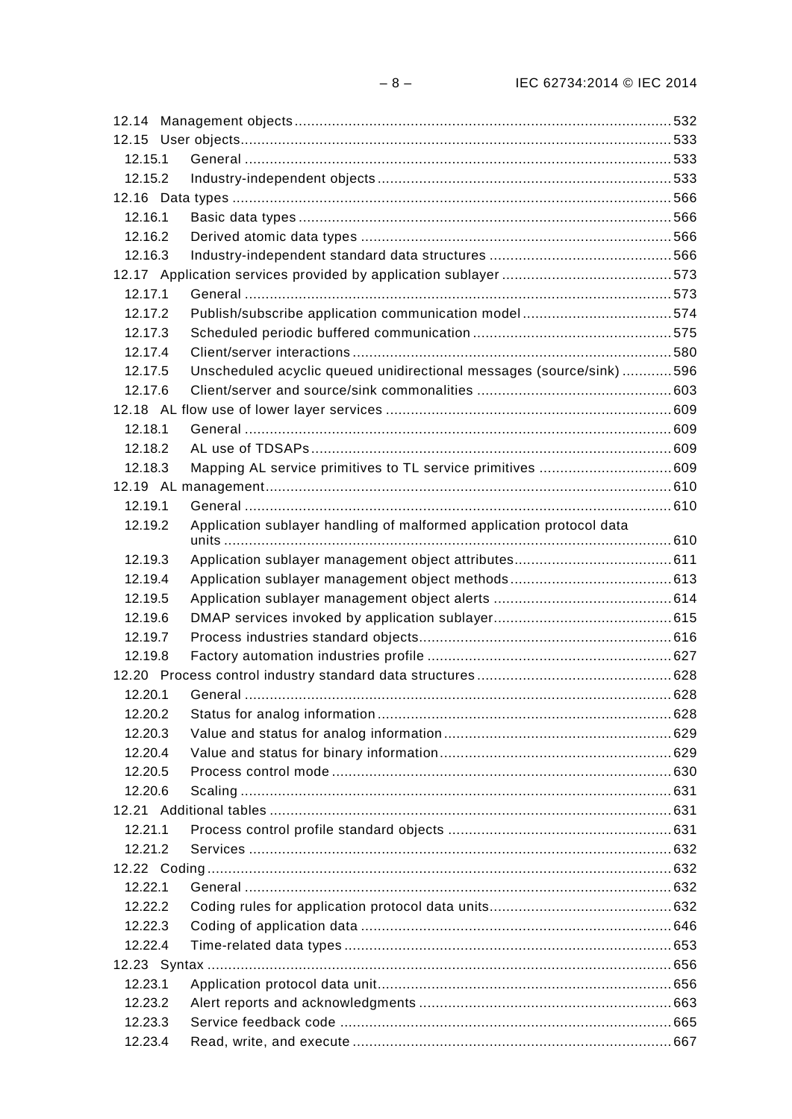| 12.15.1 |                                                                      |  |
|---------|----------------------------------------------------------------------|--|
| 12.15.2 |                                                                      |  |
|         |                                                                      |  |
| 12.16.1 |                                                                      |  |
| 12.16.2 |                                                                      |  |
| 12.16.3 |                                                                      |  |
|         |                                                                      |  |
| 12.17.1 |                                                                      |  |
| 12.17.2 | Publish/subscribe application communication model574                 |  |
| 12.17.3 |                                                                      |  |
| 12.17.4 |                                                                      |  |
| 12.17.5 | Unscheduled acyclic queued unidirectional messages (source/sink) 596 |  |
| 12.17.6 |                                                                      |  |
|         |                                                                      |  |
| 12.18.1 |                                                                      |  |
| 12.18.2 |                                                                      |  |
| 12.18.3 |                                                                      |  |
|         |                                                                      |  |
| 12.19.1 |                                                                      |  |
| 12.19.2 | Application sublayer handling of malformed application protocol data |  |
|         |                                                                      |  |
| 12.19.3 |                                                                      |  |
| 12.19.4 |                                                                      |  |
| 12.19.5 |                                                                      |  |
| 12.19.6 |                                                                      |  |
| 12.19.7 |                                                                      |  |
| 12.19.8 |                                                                      |  |
|         |                                                                      |  |
| 12.20.1 |                                                                      |  |
| 12.20.2 |                                                                      |  |
| 12.20.3 |                                                                      |  |
| 12.20.4 |                                                                      |  |
| 12.20.5 |                                                                      |  |
| 12.20.6 |                                                                      |  |
|         |                                                                      |  |
| 12.21.1 |                                                                      |  |
| 12.21.2 |                                                                      |  |
|         |                                                                      |  |
| 12.22.1 |                                                                      |  |
| 12.22.2 |                                                                      |  |
| 12.22.3 |                                                                      |  |
| 12.22.4 |                                                                      |  |
|         |                                                                      |  |
| 12.23.1 |                                                                      |  |
| 12.23.2 |                                                                      |  |
| 12.23.3 |                                                                      |  |
| 12.23.4 |                                                                      |  |
|         |                                                                      |  |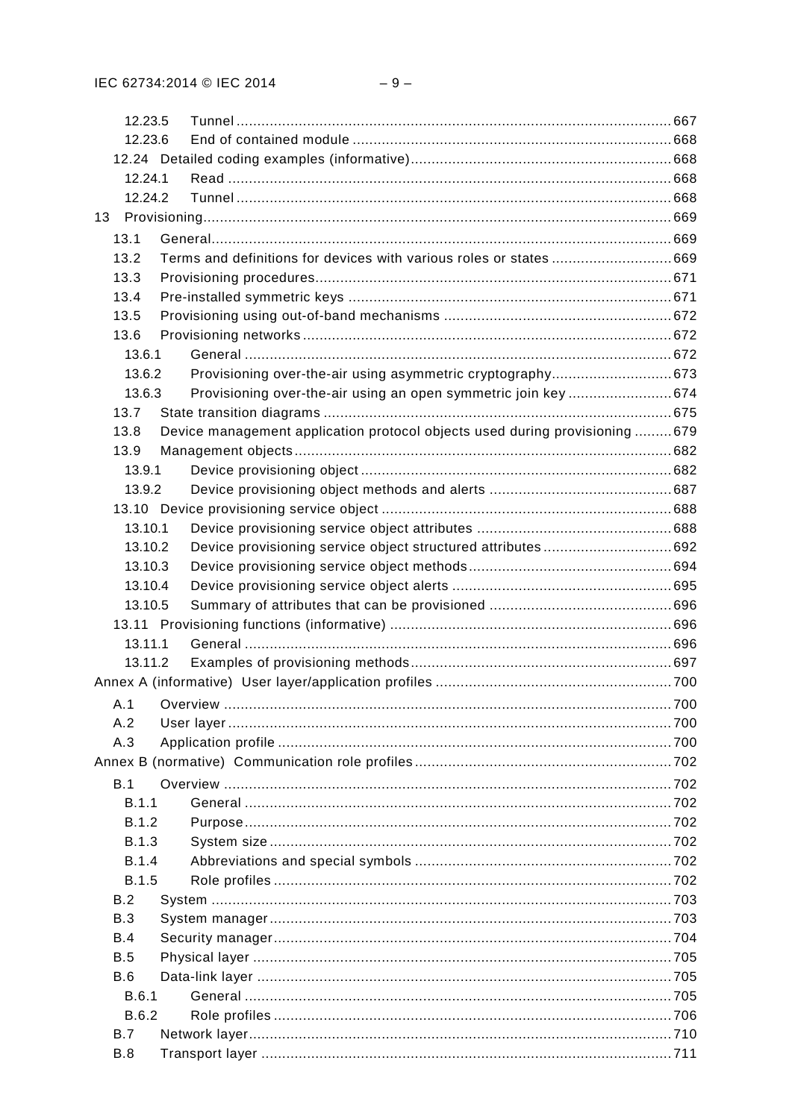| 12.23.5      |                                                                             |  |
|--------------|-----------------------------------------------------------------------------|--|
| 12.23.6      |                                                                             |  |
|              |                                                                             |  |
| 12.24.1      |                                                                             |  |
| 12.24.2      |                                                                             |  |
| 13           |                                                                             |  |
| 13.1         |                                                                             |  |
| 13.2         | Terms and definitions for devices with various roles or states 669          |  |
| 13.3         |                                                                             |  |
| 13.4         |                                                                             |  |
| 13.5         |                                                                             |  |
| 13.6         |                                                                             |  |
|              |                                                                             |  |
| 13.6.1       |                                                                             |  |
| 13.6.2       | Provisioning over-the-air using asymmetric cryptography673                  |  |
| 13.6.3       | Provisioning over-the-air using an open symmetric join key 674              |  |
| 13.7         |                                                                             |  |
| 13.8         | Device management application protocol objects used during provisioning 679 |  |
| 13.9         |                                                                             |  |
| 13.9.1       |                                                                             |  |
| 13.9.2       |                                                                             |  |
|              |                                                                             |  |
| 13.10.1      |                                                                             |  |
| 13.10.2      | Device provisioning service object structured attributes 692                |  |
| 13.10.3      |                                                                             |  |
| 13.10.4      |                                                                             |  |
| 13.10.5      |                                                                             |  |
|              |                                                                             |  |
| 13.11.1      |                                                                             |  |
| 13.11.2      |                                                                             |  |
|              |                                                                             |  |
|              |                                                                             |  |
| A.2          |                                                                             |  |
| A.3          |                                                                             |  |
|              |                                                                             |  |
| B.1          |                                                                             |  |
| <b>B.1.1</b> |                                                                             |  |
| <b>B.1.2</b> |                                                                             |  |
| <b>B.1.3</b> |                                                                             |  |
| <b>B.1.4</b> |                                                                             |  |
| <b>B.1.5</b> |                                                                             |  |
| B.2          |                                                                             |  |
| B.3          |                                                                             |  |
| B.4          |                                                                             |  |
| <b>B.5</b>   |                                                                             |  |
| B.6          |                                                                             |  |
| B.6.1        |                                                                             |  |
| B.6.2        |                                                                             |  |
| <b>B.7</b>   |                                                                             |  |
| <b>B.8</b>   |                                                                             |  |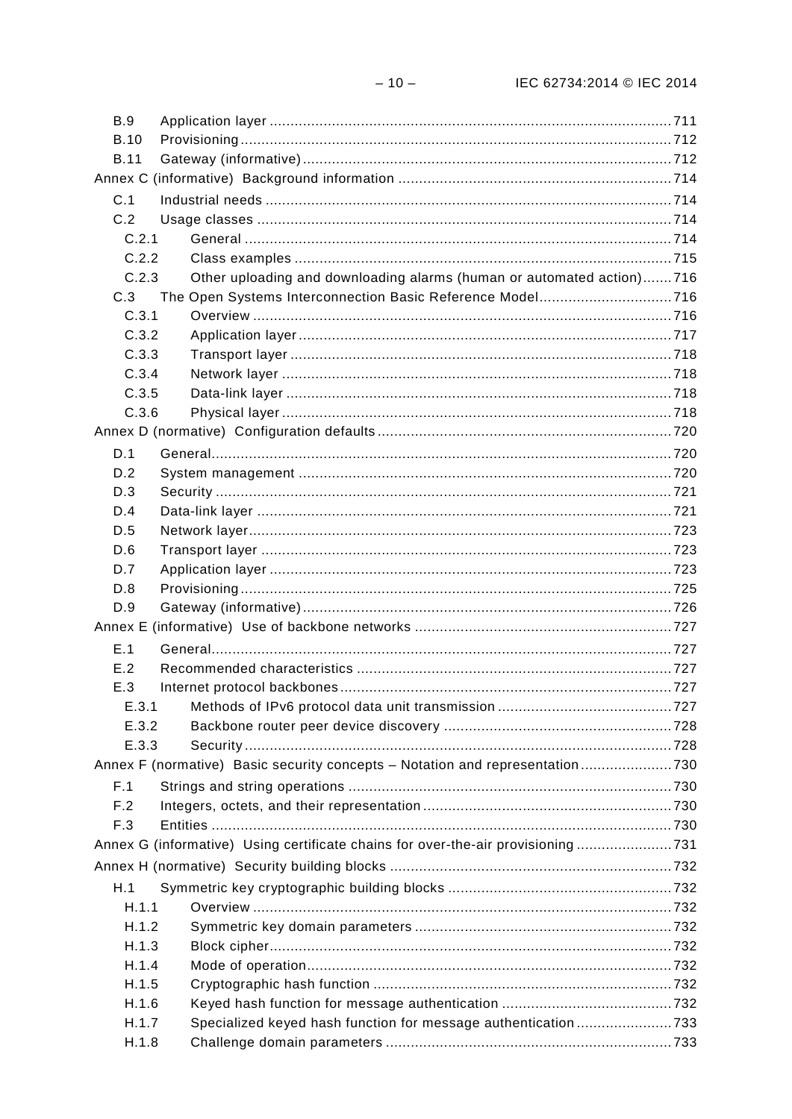| <b>B.9</b>  |                                                                                  |  |
|-------------|----------------------------------------------------------------------------------|--|
| <b>B.10</b> |                                                                                  |  |
| <b>B.11</b> |                                                                                  |  |
|             |                                                                                  |  |
| C.1         |                                                                                  |  |
| C.2         |                                                                                  |  |
| C.2.1       |                                                                                  |  |
| C.2.2       |                                                                                  |  |
| C.2.3       | Other uploading and downloading alarms (human or automated action)716            |  |
| C.3         |                                                                                  |  |
| C.3.1       |                                                                                  |  |
| C.3.2       |                                                                                  |  |
| C.3.3       |                                                                                  |  |
| C.3.4       |                                                                                  |  |
| C.3.5       |                                                                                  |  |
| C.3.6       |                                                                                  |  |
|             |                                                                                  |  |
| D.1         |                                                                                  |  |
| D.2         |                                                                                  |  |
| D.3         |                                                                                  |  |
| D.4         |                                                                                  |  |
| D.5         |                                                                                  |  |
| D.6         |                                                                                  |  |
| D.7         |                                                                                  |  |
| D.8         |                                                                                  |  |
| D.9         |                                                                                  |  |
|             |                                                                                  |  |
| E.1         |                                                                                  |  |
| E.2         |                                                                                  |  |
| E.3         |                                                                                  |  |
| E.3.1       |                                                                                  |  |
| E.3.2       |                                                                                  |  |
| E.3.3       |                                                                                  |  |
|             |                                                                                  |  |
|             | Annex F (normative) Basic security concepts - Notation and representation730     |  |
| F.1         |                                                                                  |  |
| F.2         |                                                                                  |  |
| F.3         |                                                                                  |  |
|             | Annex G (informative) Using certificate chains for over-the-air provisioning 731 |  |
|             |                                                                                  |  |
| H.1         |                                                                                  |  |
| H.1.1       |                                                                                  |  |
| H.1.2       |                                                                                  |  |
| H.1.3       |                                                                                  |  |
| H.1.4       |                                                                                  |  |
| H.1.5       |                                                                                  |  |
| H.1.6       |                                                                                  |  |
| H.1.7       | Specialized keyed hash function for message authentication 733                   |  |
| H.1.8       |                                                                                  |  |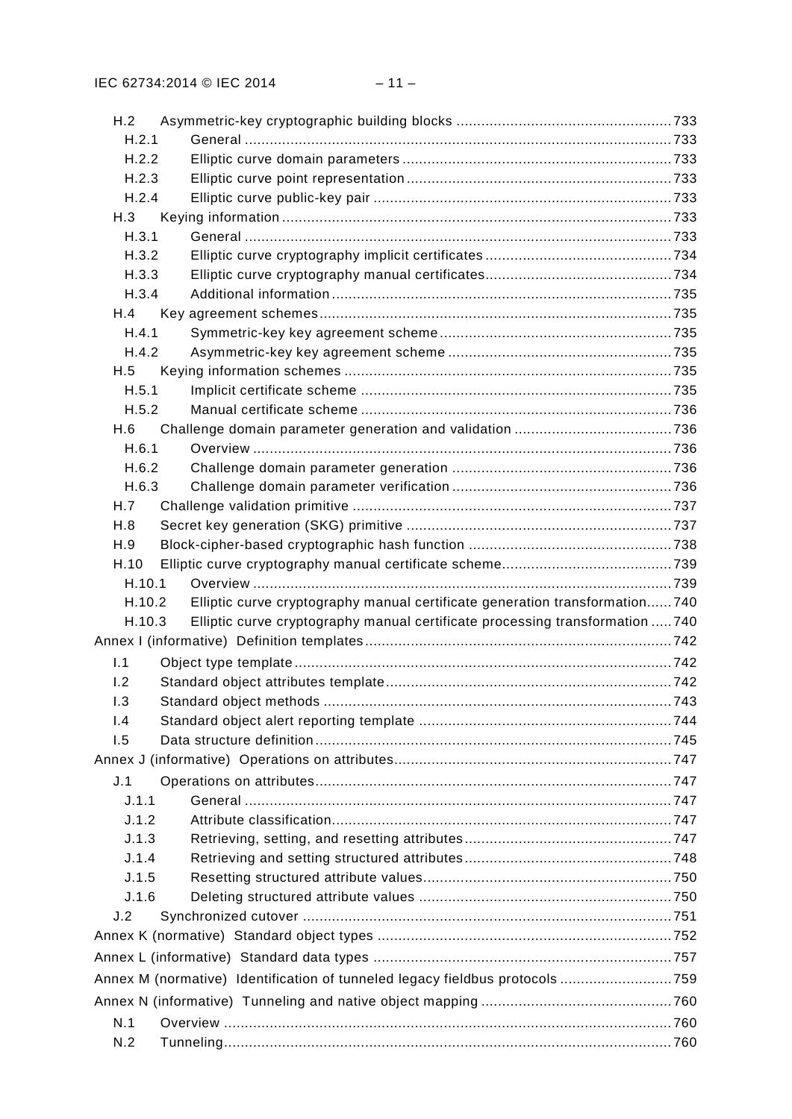| H.2    |                                                                               |  |
|--------|-------------------------------------------------------------------------------|--|
| H.2.1  |                                                                               |  |
| H.2.2  |                                                                               |  |
| H.2.3  |                                                                               |  |
| H.2.4  |                                                                               |  |
| H.3    |                                                                               |  |
| H.3.1  |                                                                               |  |
| H.3.2  |                                                                               |  |
| H.3.3  |                                                                               |  |
| H.3.4  |                                                                               |  |
| H.4    |                                                                               |  |
| H.4.1  |                                                                               |  |
| H.4.2  |                                                                               |  |
| H.5    |                                                                               |  |
| H.5.1  |                                                                               |  |
| H.5.2  |                                                                               |  |
| H.6    |                                                                               |  |
| H.6.1  |                                                                               |  |
| H.6.2  |                                                                               |  |
| H.6.3  |                                                                               |  |
| H.7    |                                                                               |  |
| H.8    |                                                                               |  |
| H.9    |                                                                               |  |
| H.10   |                                                                               |  |
| H.10.1 |                                                                               |  |
| H.10.2 | Elliptic curve cryptography manual certificate generation transformation740   |  |
| H.10.3 | Elliptic curve cryptography manual certificate processing transformation  740 |  |
|        |                                                                               |  |
| 1.1    |                                                                               |  |
| 1.2    |                                                                               |  |
| 1.3    |                                                                               |  |
| 1.4    |                                                                               |  |
| 1.5    |                                                                               |  |
|        |                                                                               |  |
| J.1    |                                                                               |  |
| J.1.1  |                                                                               |  |
| J.1.2  |                                                                               |  |
| J.1.3  |                                                                               |  |
| J.1.4  |                                                                               |  |
| J.1.5  |                                                                               |  |
| J.1.6  |                                                                               |  |
| J.2    |                                                                               |  |
|        |                                                                               |  |
|        |                                                                               |  |
|        | Annex M (normative) Identification of tunneled legacy fieldbus protocols 759  |  |
|        |                                                                               |  |
|        |                                                                               |  |
| N.1    |                                                                               |  |
| N.2    |                                                                               |  |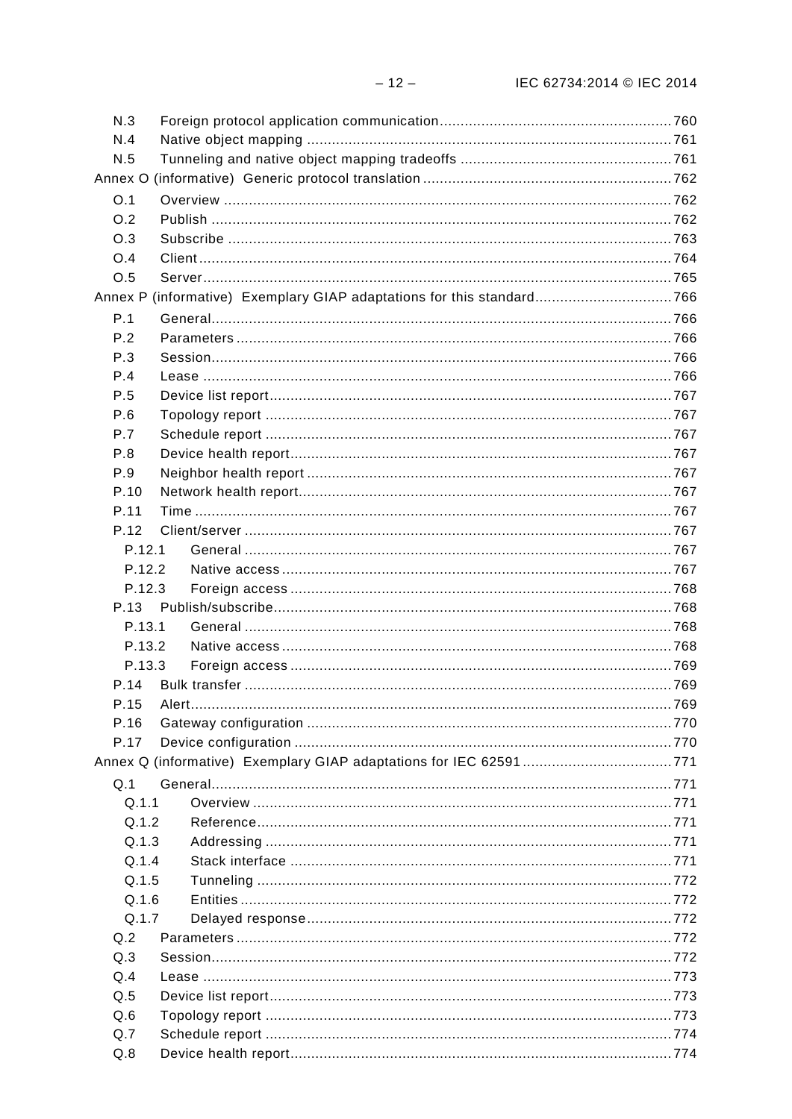| N.3    |                                                                       |     |
|--------|-----------------------------------------------------------------------|-----|
| N.4    |                                                                       |     |
| N.5    |                                                                       |     |
|        |                                                                       |     |
| O.1    |                                                                       |     |
| O.2    |                                                                       |     |
| O.3    |                                                                       |     |
| O.4    |                                                                       |     |
| O.5    |                                                                       |     |
|        | Annex P (informative) Exemplary GIAP adaptations for this standard766 |     |
| P.1    |                                                                       |     |
| P.2    |                                                                       |     |
| P.3    |                                                                       |     |
| P.4    |                                                                       |     |
| P.5    |                                                                       |     |
| P.6    |                                                                       |     |
| P.7    |                                                                       |     |
| P.8    |                                                                       |     |
| P.9    |                                                                       |     |
| P.10   |                                                                       |     |
| P.11   |                                                                       |     |
| P.12   |                                                                       |     |
| P.12.1 |                                                                       |     |
| P.12.2 |                                                                       |     |
| P.12.3 |                                                                       |     |
| P.13   |                                                                       |     |
| P.13.1 |                                                                       |     |
| P.13.2 |                                                                       |     |
| P.13.3 |                                                                       |     |
| P.14   |                                                                       |     |
| P 15   | Alert                                                                 | 769 |
| P.16   |                                                                       |     |
| P.17   |                                                                       |     |
|        | Annex Q (informative) Exemplary GIAP adaptations for IEC 62591 771    |     |
| Q.1    |                                                                       |     |
| Q.1.1  |                                                                       |     |
| Q.1.2  |                                                                       |     |
| Q.1.3  |                                                                       |     |
| Q.1.4  |                                                                       |     |
| Q.1.5  |                                                                       |     |
| Q.1.6  |                                                                       |     |
| Q.1.7  |                                                                       |     |
| Q.2    |                                                                       |     |
| Q.3    |                                                                       |     |
| Q.4    |                                                                       |     |
| Q.5    |                                                                       |     |
| Q.6    |                                                                       |     |
| Q.7    |                                                                       |     |
| Q.8    |                                                                       |     |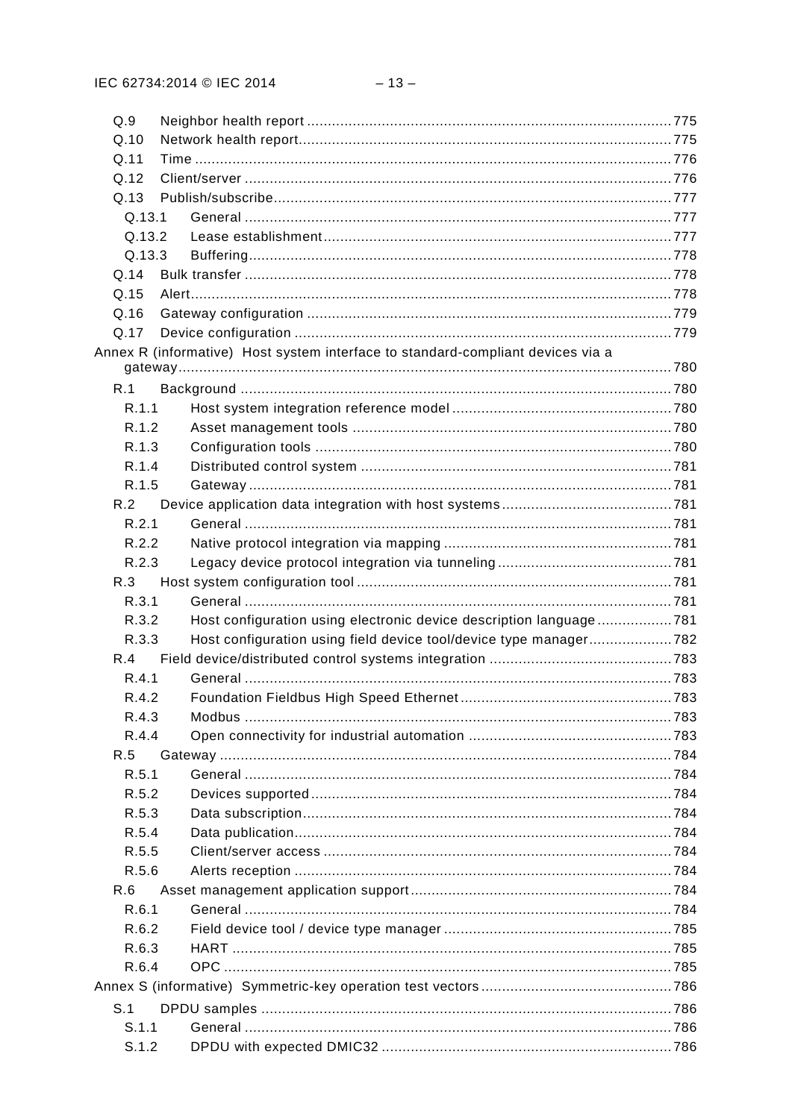| Q.9    |                                                                                 |  |
|--------|---------------------------------------------------------------------------------|--|
| Q.10   |                                                                                 |  |
| Q.11   |                                                                                 |  |
| Q.12   |                                                                                 |  |
| Q.13   |                                                                                 |  |
| Q.13.1 |                                                                                 |  |
| Q.13.2 |                                                                                 |  |
| Q.13.3 |                                                                                 |  |
| Q.14   |                                                                                 |  |
| Q.15   |                                                                                 |  |
| Q.16   |                                                                                 |  |
| Q.17   |                                                                                 |  |
|        | Annex R (informative) Host system interface to standard-compliant devices via a |  |
| R.1    |                                                                                 |  |
| R.1.1  |                                                                                 |  |
| R.1.2  |                                                                                 |  |
| R.1.3  |                                                                                 |  |
| R.1.4  |                                                                                 |  |
| R.1.5  |                                                                                 |  |
| R.2    |                                                                                 |  |
| R.2.1  |                                                                                 |  |
| R.2.2  |                                                                                 |  |
| R.2.3  |                                                                                 |  |
| R.3    |                                                                                 |  |
| R.3.1  |                                                                                 |  |
| R.3.2  | Host configuration using electronic device description language781              |  |
| R.3.3  | Host configuration using field device tool/device type manager782               |  |
| R.4    |                                                                                 |  |
| R.4.1  |                                                                                 |  |
| R.4.2  |                                                                                 |  |
| R.4.3  |                                                                                 |  |
| R.4.4  |                                                                                 |  |
| R.5    |                                                                                 |  |
| R.5.1  |                                                                                 |  |
| R.5.2  |                                                                                 |  |
| R.5.3  |                                                                                 |  |
| R.5.4  |                                                                                 |  |
| R.5.5  |                                                                                 |  |
| R.5.6  |                                                                                 |  |
| R.6    |                                                                                 |  |
| R.6.1  |                                                                                 |  |
| R.6.2  |                                                                                 |  |
| R.6.3  |                                                                                 |  |
| R.6.4  |                                                                                 |  |
|        |                                                                                 |  |
|        |                                                                                 |  |
| S.1    |                                                                                 |  |
| S.1.1  |                                                                                 |  |
| S.1.2  |                                                                                 |  |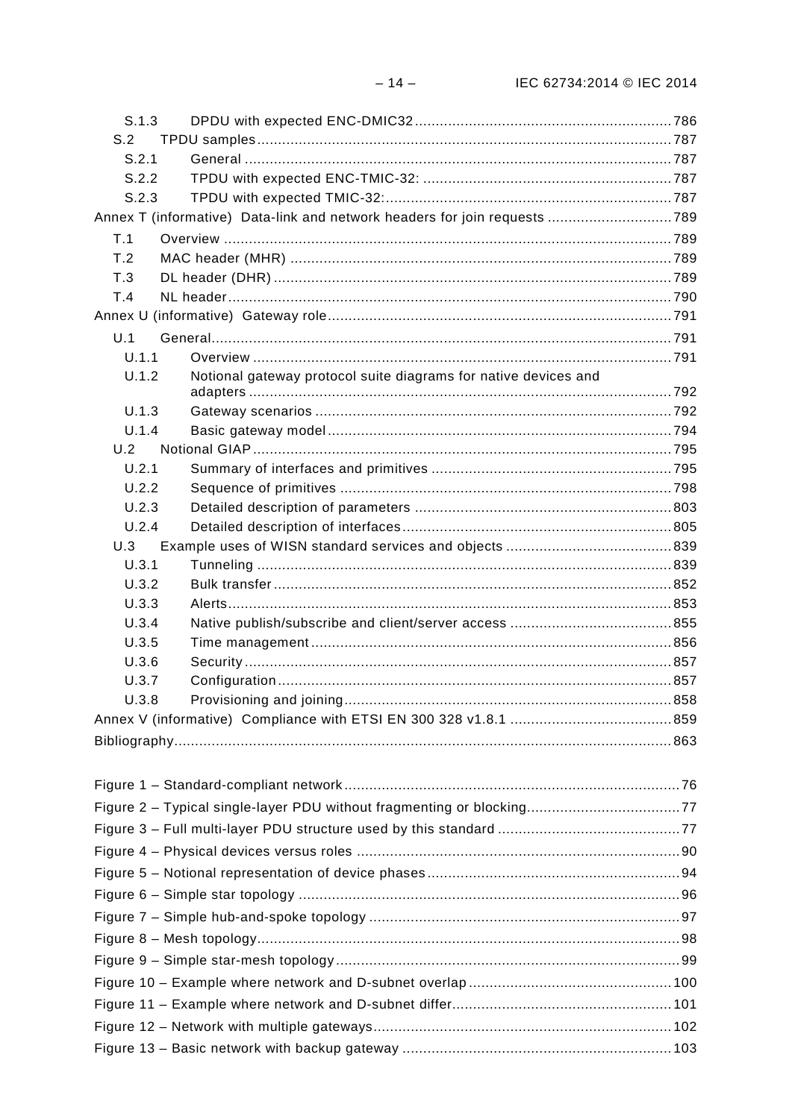| S.1.3 |                                                                           |  |
|-------|---------------------------------------------------------------------------|--|
| S.2   |                                                                           |  |
| S.2.1 |                                                                           |  |
| S.2.2 |                                                                           |  |
| S.2.3 |                                                                           |  |
|       | Annex T (informative) Data-link and network headers for join requests 789 |  |
| T.1   |                                                                           |  |
| T.2   |                                                                           |  |
| T.3   |                                                                           |  |
| T.4   |                                                                           |  |
|       |                                                                           |  |
| U.1   |                                                                           |  |
| U.1.1 |                                                                           |  |
| U.1.2 | Notional gateway protocol suite diagrams for native devices and           |  |
|       |                                                                           |  |
| U.1.3 |                                                                           |  |
| U.1.4 |                                                                           |  |
| U.2   |                                                                           |  |
| U.2.1 |                                                                           |  |
|       |                                                                           |  |

| U.2.2 |  |
|-------|--|
| U.2.3 |  |
| U.2.4 |  |
| U.3   |  |
| U.3.1 |  |
| U.3.2 |  |
| U.3.3 |  |
| U.3.4 |  |
| U.3.5 |  |
| U.3.6 |  |
| U.3.7 |  |
| U.3.8 |  |
|       |  |
|       |  |
|       |  |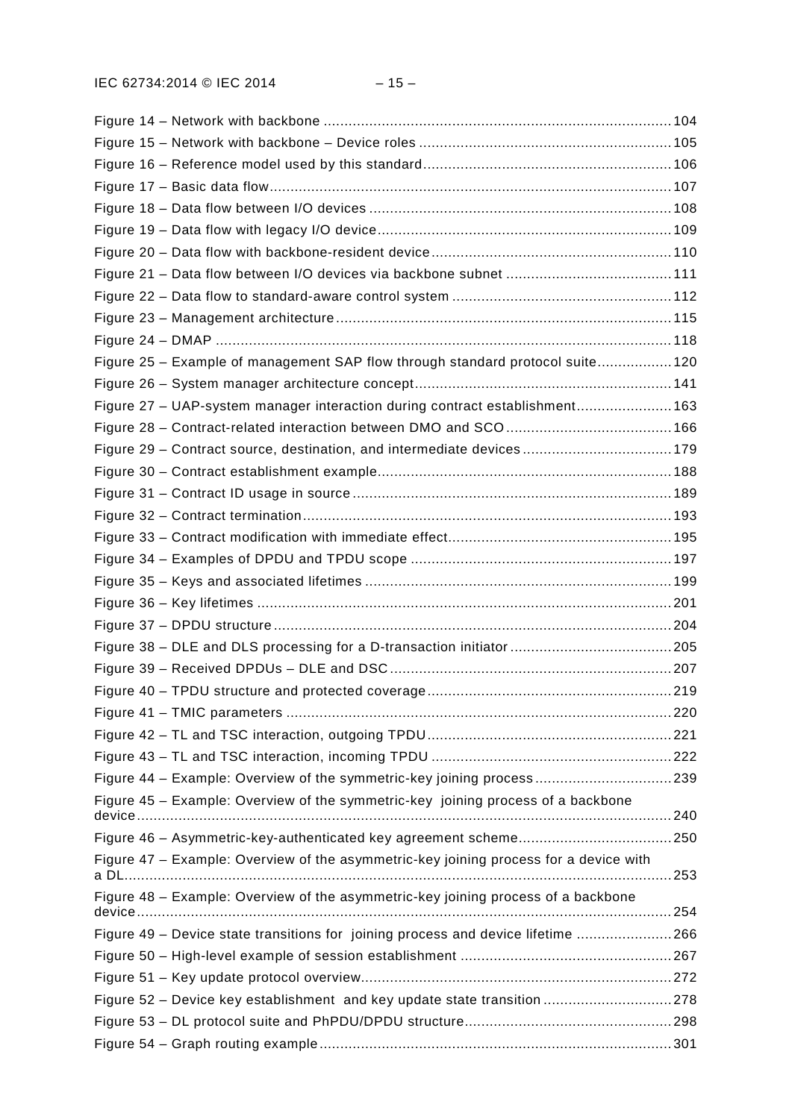| Figure 25 - Example of management SAP flow through standard protocol suite 120        |  |
|---------------------------------------------------------------------------------------|--|
|                                                                                       |  |
| Figure 27 - UAP-system manager interaction during contract establishment 163          |  |
|                                                                                       |  |
| Figure 29 - Contract source, destination, and intermediate devices 179                |  |
|                                                                                       |  |
|                                                                                       |  |
|                                                                                       |  |
|                                                                                       |  |
|                                                                                       |  |
|                                                                                       |  |
|                                                                                       |  |
|                                                                                       |  |
|                                                                                       |  |
|                                                                                       |  |
|                                                                                       |  |
|                                                                                       |  |
|                                                                                       |  |
|                                                                                       |  |
| Figure 44 – Example: Overview of the symmetric-key joining process239                 |  |
| Figure 45 – Example: Overview of the symmetric-key joining process of a backbone      |  |
|                                                                                       |  |
| Figure 47 – Example: Overview of the asymmetric-key joining process for a device with |  |
| Figure 48 - Example: Overview of the asymmetric-key joining process of a backbone     |  |
|                                                                                       |  |
| Figure 49 - Device state transitions for joining process and device lifetime 266      |  |
|                                                                                       |  |
|                                                                                       |  |
|                                                                                       |  |
|                                                                                       |  |
|                                                                                       |  |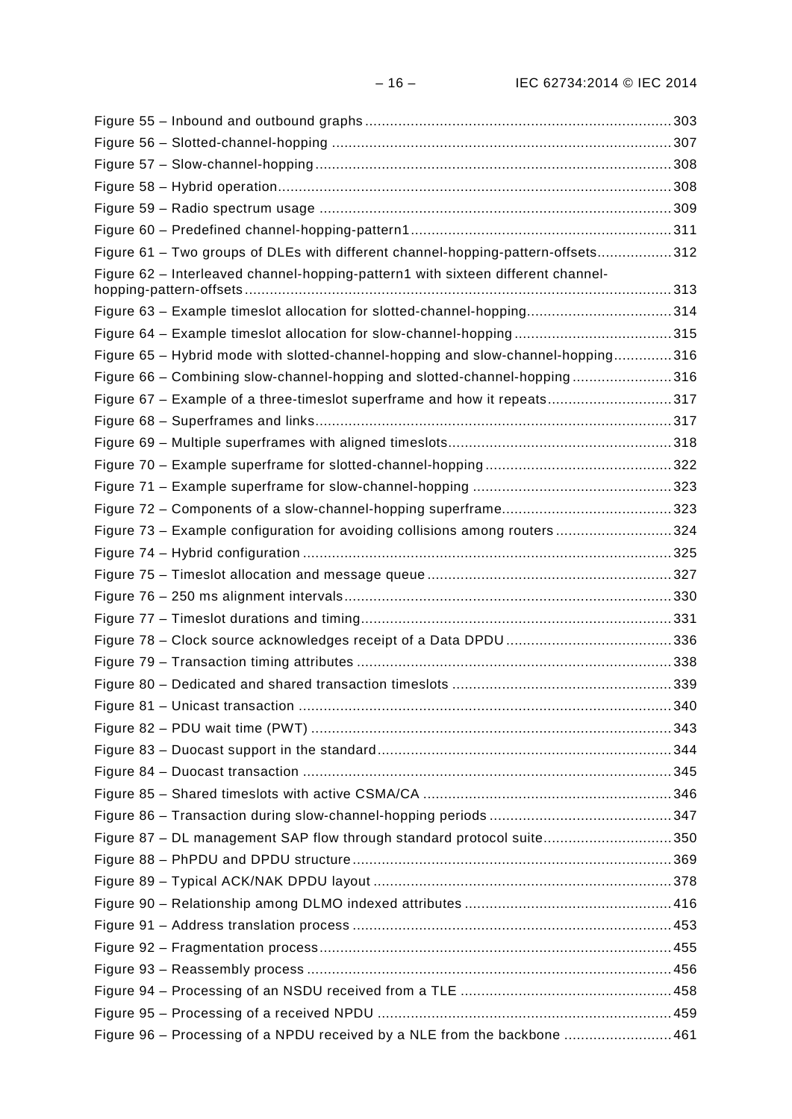| Figure 61 - Two groups of DLEs with different channel-hopping-pattern-offsets312 |  |
|----------------------------------------------------------------------------------|--|
| Figure 62 - Interleaved channel-hopping-pattern1 with sixteen different channel- |  |
| Figure 63 - Example timeslot allocation for slotted-channel-hopping314           |  |
|                                                                                  |  |
| Figure 65 - Hybrid mode with slotted-channel-hopping and slow-channel-hopping316 |  |
| Figure 66 – Combining slow-channel-hopping and slotted-channel-hopping316        |  |
| Figure 67 – Example of a three-timeslot superframe and how it repeats317         |  |
|                                                                                  |  |
|                                                                                  |  |
|                                                                                  |  |
|                                                                                  |  |
|                                                                                  |  |
| Figure 73 – Example configuration for avoiding collisions among routers 324      |  |
|                                                                                  |  |
|                                                                                  |  |
|                                                                                  |  |
|                                                                                  |  |
|                                                                                  |  |
|                                                                                  |  |
|                                                                                  |  |
|                                                                                  |  |
|                                                                                  |  |
|                                                                                  |  |
|                                                                                  |  |
|                                                                                  |  |
|                                                                                  |  |
|                                                                                  |  |
| Figure 87 - DL management SAP flow through standard protocol suite350            |  |
|                                                                                  |  |
|                                                                                  |  |
|                                                                                  |  |
|                                                                                  |  |
|                                                                                  |  |
|                                                                                  |  |
|                                                                                  |  |
|                                                                                  |  |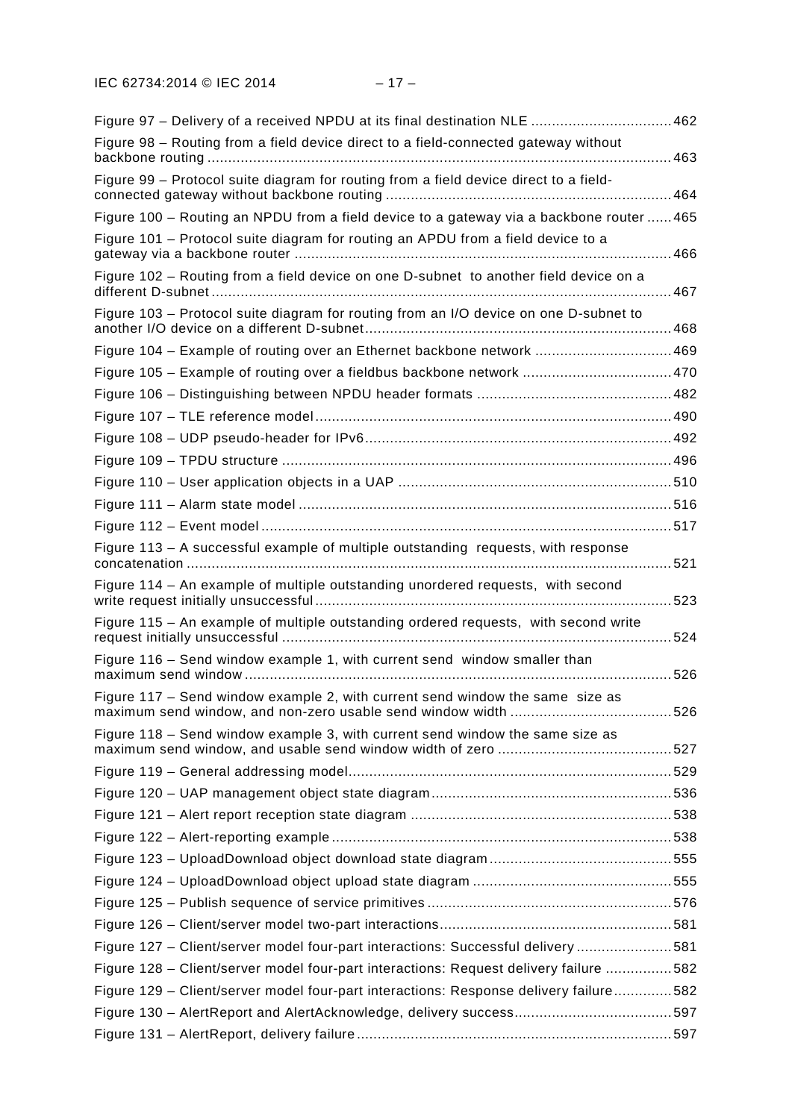| Figure 97 – Delivery of a received NPDU at its final destination NLE  462                |  |
|------------------------------------------------------------------------------------------|--|
| Figure 98 - Routing from a field device direct to a field-connected gateway without      |  |
| Figure 99 - Protocol suite diagram for routing from a field device direct to a field-    |  |
| Figure 100 - Routing an NPDU from a field device to a gateway via a backbone router  465 |  |
| Figure 101 - Protocol suite diagram for routing an APDU from a field device to a         |  |
| Figure 102 - Routing from a field device on one D-subnet to another field device on a    |  |
| Figure 103 - Protocol suite diagram for routing from an I/O device on one D-subnet to    |  |
| Figure 104 - Example of routing over an Ethernet backbone network 469                    |  |
| Figure 105 - Example of routing over a fieldbus backbone network  470                    |  |
|                                                                                          |  |
|                                                                                          |  |
|                                                                                          |  |
|                                                                                          |  |
|                                                                                          |  |
|                                                                                          |  |
|                                                                                          |  |
| Figure 113 - A successful example of multiple outstanding requests, with response        |  |
| Figure 114 - An example of multiple outstanding unordered requests, with second          |  |
| Figure 115 - An example of multiple outstanding ordered requests, with second write      |  |
| Figure 116 – Send window example 1, with current send window smaller than                |  |
| Figure 117 - Send window example 2, with current send window the same size as            |  |
| Figure 118 - Send window example 3, with current send window the same size as            |  |
|                                                                                          |  |
|                                                                                          |  |
|                                                                                          |  |
|                                                                                          |  |
|                                                                                          |  |
|                                                                                          |  |
|                                                                                          |  |
|                                                                                          |  |
| Figure 127 - Client/server model four-part interactions: Successful delivery 581         |  |
| Figure 128 – Client/server model four-part interactions: Request delivery failure 582    |  |
| Figure 129 - Client/server model four-part interactions: Response delivery failure582    |  |
|                                                                                          |  |
|                                                                                          |  |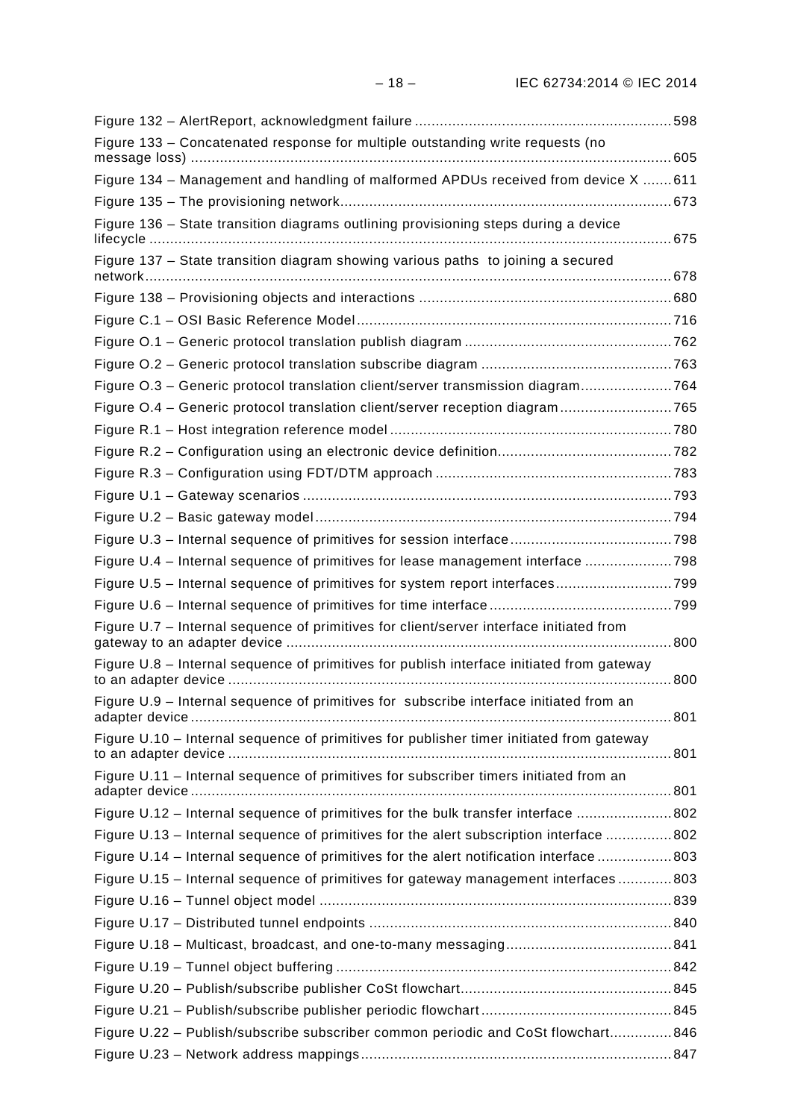| Figure 133 - Concatenated response for multiple outstanding write requests (no            |  |
|-------------------------------------------------------------------------------------------|--|
| Figure 134 - Management and handling of malformed APDUs received from device X  611       |  |
|                                                                                           |  |
| Figure 136 - State transition diagrams outlining provisioning steps during a device       |  |
| Figure 137 - State transition diagram showing various paths to joining a secured          |  |
|                                                                                           |  |
|                                                                                           |  |
|                                                                                           |  |
|                                                                                           |  |
| Figure O.3 - Generic protocol translation client/server transmission diagram764           |  |
| Figure O.4 - Generic protocol translation client/server reception diagram765              |  |
|                                                                                           |  |
|                                                                                           |  |
|                                                                                           |  |
|                                                                                           |  |
|                                                                                           |  |
|                                                                                           |  |
| Figure U.4 - Internal sequence of primitives for lease management interface 798           |  |
| Figure U.5 - Internal sequence of primitives for system report interfaces799              |  |
|                                                                                           |  |
| Figure U.7 - Internal sequence of primitives for client/server interface initiated from   |  |
| Figure U.8 - Internal sequence of primitives for publish interface initiated from gateway |  |
| Figure U.9 - Internal sequence of primitives for subscribe interface initiated from an    |  |
| Figure U.10 – Internal sequence of primitives for publisher timer initiated from gateway  |  |
| Figure U.11 - Internal sequence of primitives for subscriber timers initiated from an     |  |
| Figure U.12 - Internal sequence of primitives for the bulk transfer interface  802        |  |
| Figure U.13 – Internal sequence of primitives for the alert subscription interface 802    |  |
| Figure U.14 – Internal sequence of primitives for the alert notification interface 803    |  |
| Figure U.15 - Internal sequence of primitives for gateway management interfaces 803       |  |
|                                                                                           |  |
|                                                                                           |  |
|                                                                                           |  |
|                                                                                           |  |
|                                                                                           |  |
|                                                                                           |  |
| Figure U.22 - Publish/subscribe subscriber common periodic and CoSt flowchart846          |  |
|                                                                                           |  |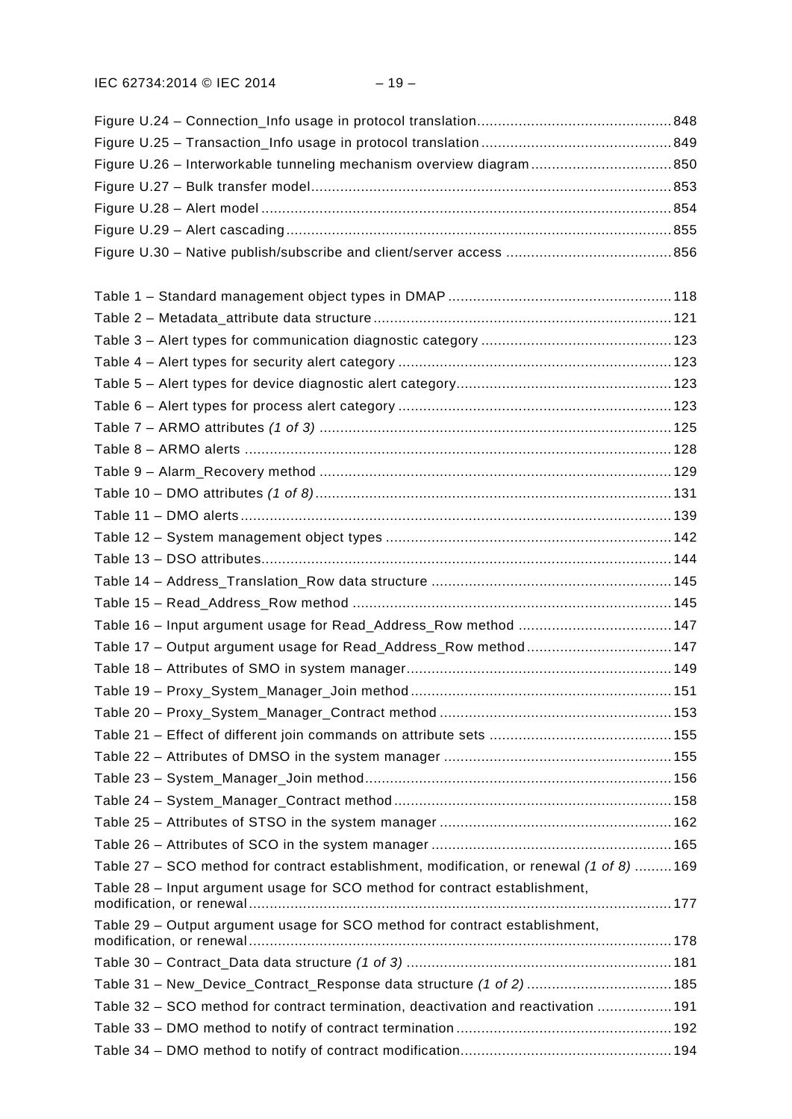| Figure U.26 - Interworkable tunneling mechanism overview diagram850                     |  |
|-----------------------------------------------------------------------------------------|--|
|                                                                                         |  |
|                                                                                         |  |
|                                                                                         |  |
|                                                                                         |  |
|                                                                                         |  |
|                                                                                         |  |
|                                                                                         |  |
|                                                                                         |  |
|                                                                                         |  |
|                                                                                         |  |
|                                                                                         |  |
|                                                                                         |  |
|                                                                                         |  |
|                                                                                         |  |
|                                                                                         |  |
|                                                                                         |  |
|                                                                                         |  |
|                                                                                         |  |
|                                                                                         |  |
|                                                                                         |  |
| Table 16 - Input argument usage for Read_Address_Row method  147                        |  |
| Table 17 - Output argument usage for Read_Address_Row method 147                        |  |
|                                                                                         |  |
|                                                                                         |  |
|                                                                                         |  |
|                                                                                         |  |
|                                                                                         |  |
|                                                                                         |  |
|                                                                                         |  |
|                                                                                         |  |
|                                                                                         |  |
| Table 27 - SCO method for contract establishment, modification, or renewal (1 of 8) 169 |  |
| Table 28 - Input argument usage for SCO method for contract establishment,              |  |
| Table 29 - Output argument usage for SCO method for contract establishment,             |  |
|                                                                                         |  |
| Table 31 - New_Device_Contract_Response data structure (1 of 2)185                      |  |
| Table 32 - SCO method for contract termination, deactivation and reactivation  191      |  |
|                                                                                         |  |
|                                                                                         |  |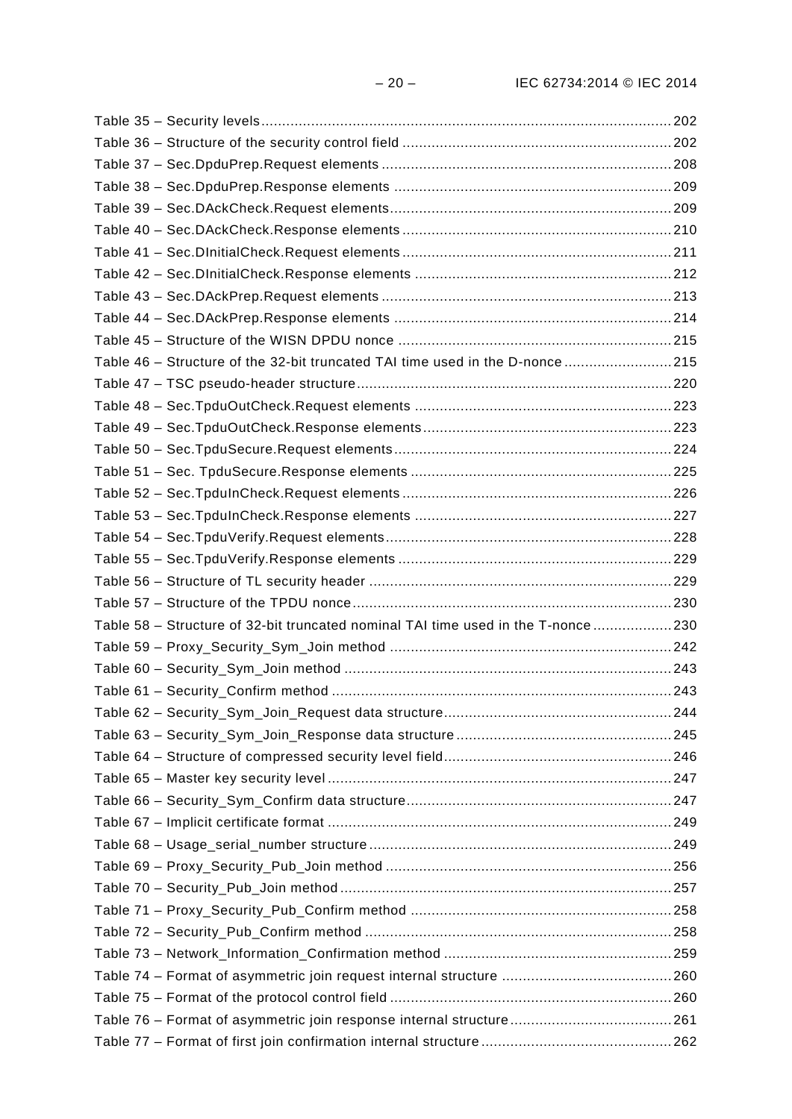| Table 46 - Structure of the 32-bit truncated TAI time used in the D-nonce  215    |  |
|-----------------------------------------------------------------------------------|--|
|                                                                                   |  |
|                                                                                   |  |
|                                                                                   |  |
|                                                                                   |  |
|                                                                                   |  |
|                                                                                   |  |
|                                                                                   |  |
|                                                                                   |  |
|                                                                                   |  |
|                                                                                   |  |
|                                                                                   |  |
| Table 58 - Structure of 32-bit truncated nominal TAI time used in the T-nonce 230 |  |
|                                                                                   |  |
|                                                                                   |  |
|                                                                                   |  |
|                                                                                   |  |
|                                                                                   |  |
|                                                                                   |  |
|                                                                                   |  |
|                                                                                   |  |
|                                                                                   |  |
|                                                                                   |  |
|                                                                                   |  |
|                                                                                   |  |
|                                                                                   |  |
|                                                                                   |  |
|                                                                                   |  |
|                                                                                   |  |
|                                                                                   |  |
|                                                                                   |  |
|                                                                                   |  |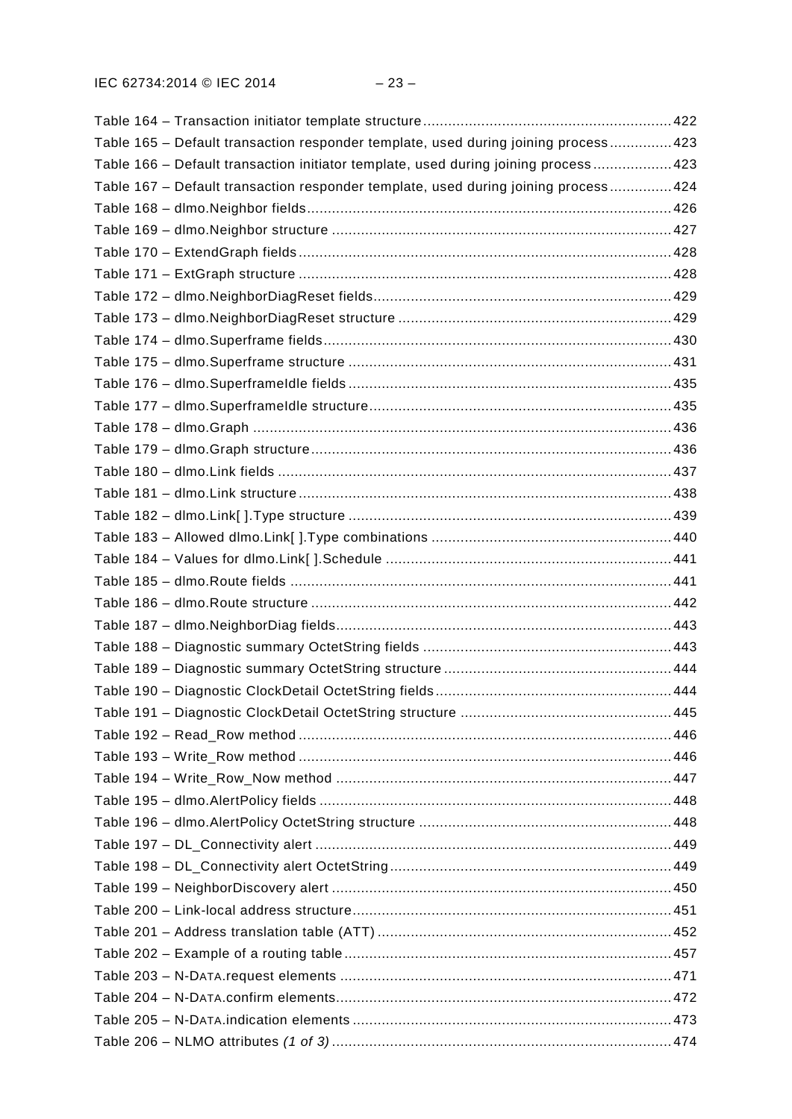| Table 165 - Default transaction responder template, used during joining process 423 |  |
|-------------------------------------------------------------------------------------|--|
| Table 166 - Default transaction initiator template, used during joining process423  |  |
| Table 167 - Default transaction responder template, used during joining process 424 |  |
|                                                                                     |  |
|                                                                                     |  |
|                                                                                     |  |
|                                                                                     |  |
|                                                                                     |  |
|                                                                                     |  |
|                                                                                     |  |
|                                                                                     |  |
|                                                                                     |  |
|                                                                                     |  |
|                                                                                     |  |
|                                                                                     |  |
|                                                                                     |  |
|                                                                                     |  |
|                                                                                     |  |
|                                                                                     |  |
|                                                                                     |  |
|                                                                                     |  |
|                                                                                     |  |
|                                                                                     |  |
|                                                                                     |  |
|                                                                                     |  |
|                                                                                     |  |
|                                                                                     |  |
|                                                                                     |  |
|                                                                                     |  |
|                                                                                     |  |
|                                                                                     |  |
|                                                                                     |  |
|                                                                                     |  |
|                                                                                     |  |
|                                                                                     |  |
|                                                                                     |  |
|                                                                                     |  |
|                                                                                     |  |
|                                                                                     |  |
|                                                                                     |  |
|                                                                                     |  |
|                                                                                     |  |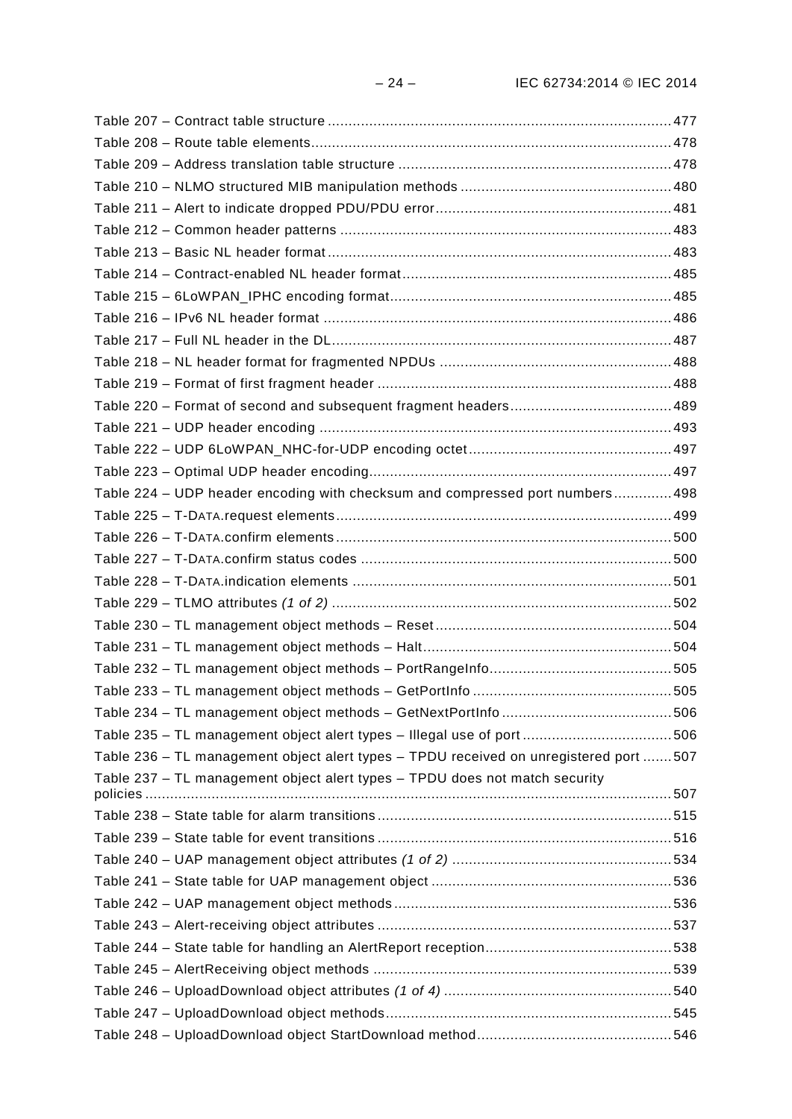| Table 224 - UDP header encoding with checksum and compressed port numbers 498          |  |
|----------------------------------------------------------------------------------------|--|
|                                                                                        |  |
|                                                                                        |  |
|                                                                                        |  |
|                                                                                        |  |
|                                                                                        |  |
|                                                                                        |  |
|                                                                                        |  |
|                                                                                        |  |
|                                                                                        |  |
|                                                                                        |  |
| Table 235 - TL management object alert types - Illegal use of port 506                 |  |
| Table 236 - TL management object alert types - TPDU received on unregistered port  507 |  |
| Table 237 - TL management object alert types - TPDU does not match security            |  |
|                                                                                        |  |
|                                                                                        |  |
|                                                                                        |  |
|                                                                                        |  |
|                                                                                        |  |
|                                                                                        |  |
|                                                                                        |  |
|                                                                                        |  |
|                                                                                        |  |
|                                                                                        |  |
|                                                                                        |  |
|                                                                                        |  |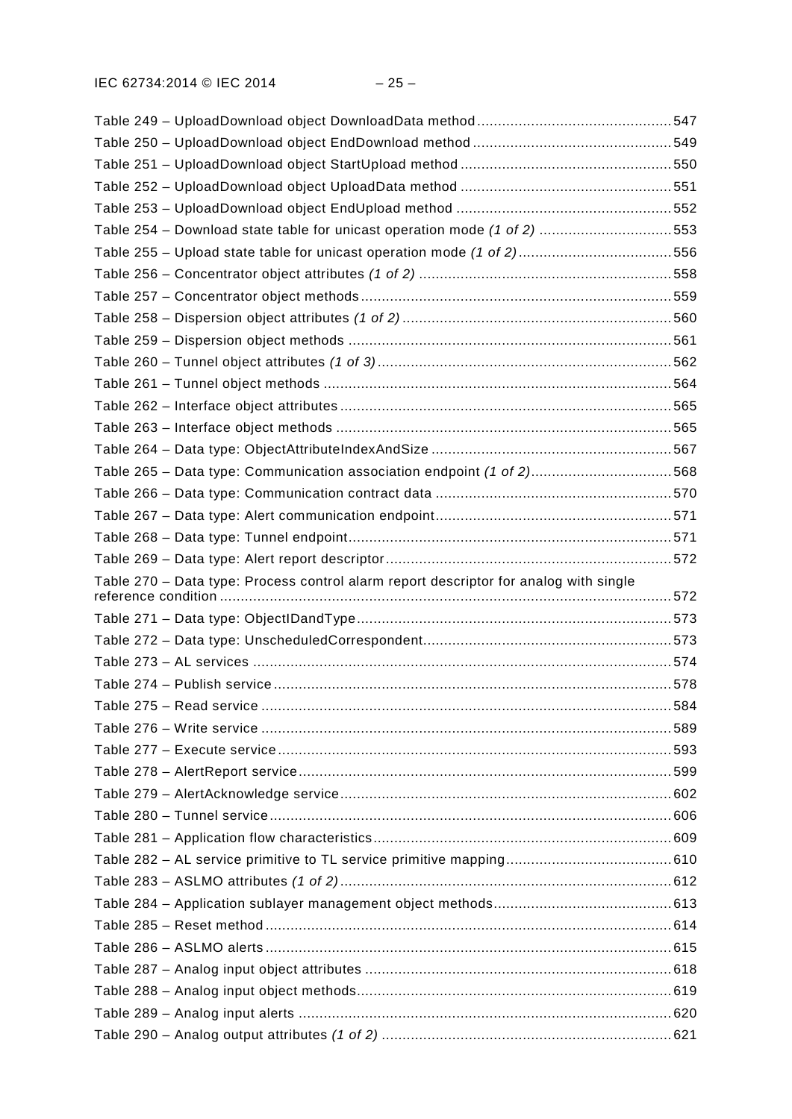| Table 254 - Download state table for unicast operation mode (1 of 2) 553              |  |
|---------------------------------------------------------------------------------------|--|
|                                                                                       |  |
|                                                                                       |  |
|                                                                                       |  |
|                                                                                       |  |
|                                                                                       |  |
|                                                                                       |  |
|                                                                                       |  |
|                                                                                       |  |
|                                                                                       |  |
|                                                                                       |  |
| Table 265 - Data type: Communication association endpoint (1 of 2)568                 |  |
|                                                                                       |  |
|                                                                                       |  |
|                                                                                       |  |
|                                                                                       |  |
| Table 270 - Data type: Process control alarm report descriptor for analog with single |  |
|                                                                                       |  |
|                                                                                       |  |
|                                                                                       |  |
|                                                                                       |  |
|                                                                                       |  |
|                                                                                       |  |
|                                                                                       |  |
|                                                                                       |  |
|                                                                                       |  |
|                                                                                       |  |
|                                                                                       |  |
|                                                                                       |  |
|                                                                                       |  |
|                                                                                       |  |
|                                                                                       |  |
|                                                                                       |  |
|                                                                                       |  |
|                                                                                       |  |
|                                                                                       |  |
|                                                                                       |  |
|                                                                                       |  |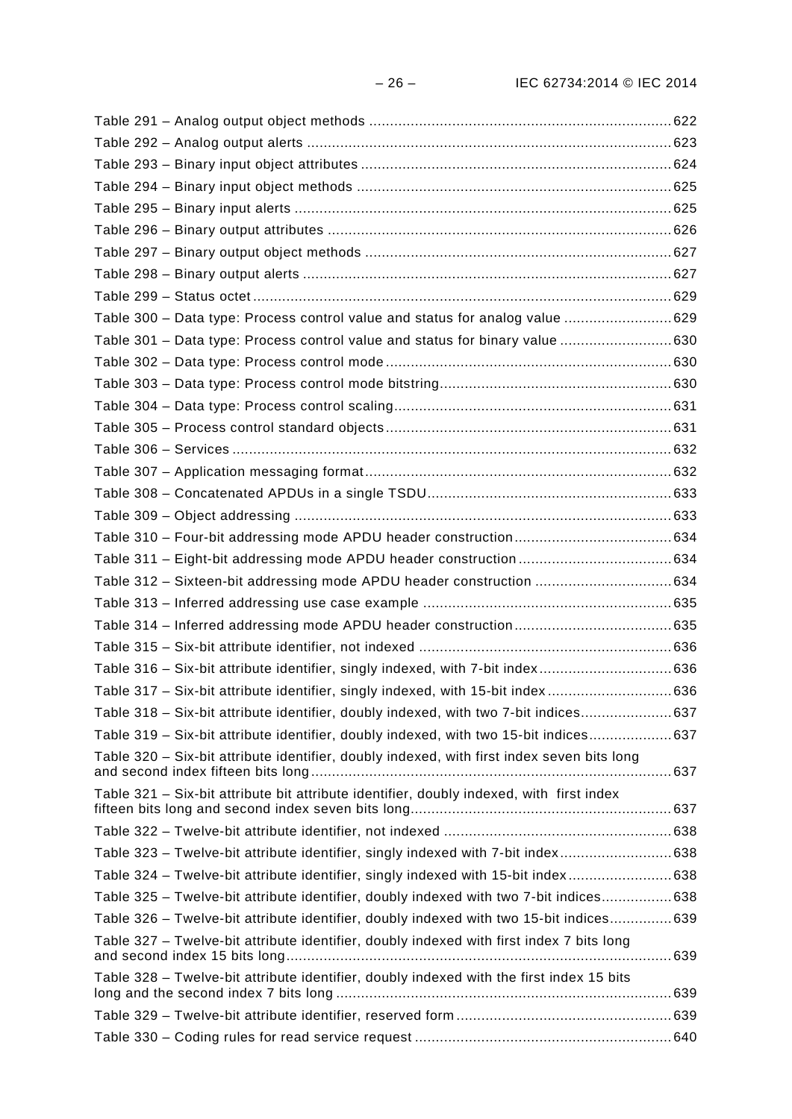| Table 300 - Data type: Process control value and status for analog value  629              |  |
|--------------------------------------------------------------------------------------------|--|
| Table 301 - Data type: Process control value and status for binary value  630              |  |
|                                                                                            |  |
|                                                                                            |  |
|                                                                                            |  |
|                                                                                            |  |
|                                                                                            |  |
|                                                                                            |  |
|                                                                                            |  |
|                                                                                            |  |
|                                                                                            |  |
|                                                                                            |  |
| Table 312 - Sixteen-bit addressing mode APDU header construction  634                      |  |
|                                                                                            |  |
|                                                                                            |  |
|                                                                                            |  |
| Table 316 - Six-bit attribute identifier, singly indexed, with 7-bit index636              |  |
| Table 317 - Six-bit attribute identifier, singly indexed, with 15-bit index 636            |  |
| Table 318 - Six-bit attribute identifier, doubly indexed, with two 7-bit indices 637       |  |
| Table 319 - Six-bit attribute identifier, doubly indexed, with two 15-bit indices 637      |  |
| Table 320 - Six-bit attribute identifier, doubly indexed, with first index seven bits long |  |
| Table 321 – Six-bit attribute bit attribute identifier, doubly indexed, with first index   |  |
|                                                                                            |  |
|                                                                                            |  |
| Table 323 - Twelve-bit attribute identifier, singly indexed with 7-bit index 638           |  |
| Table 324 - Twelve-bit attribute identifier, singly indexed with 15-bit index638           |  |
| Table 325 - Twelve-bit attribute identifier, doubly indexed with two 7-bit indices 638     |  |
| Table 326 - Twelve-bit attribute identifier, doubly indexed with two 15-bit indices 639    |  |
| Table 327 - Twelve-bit attribute identifier, doubly indexed with first index 7 bits long   |  |
| Table 328 - Twelve-bit attribute identifier, doubly indexed with the first index 15 bits   |  |
|                                                                                            |  |
|                                                                                            |  |

Table 330 – Coding rules for read service request .............................................................. 640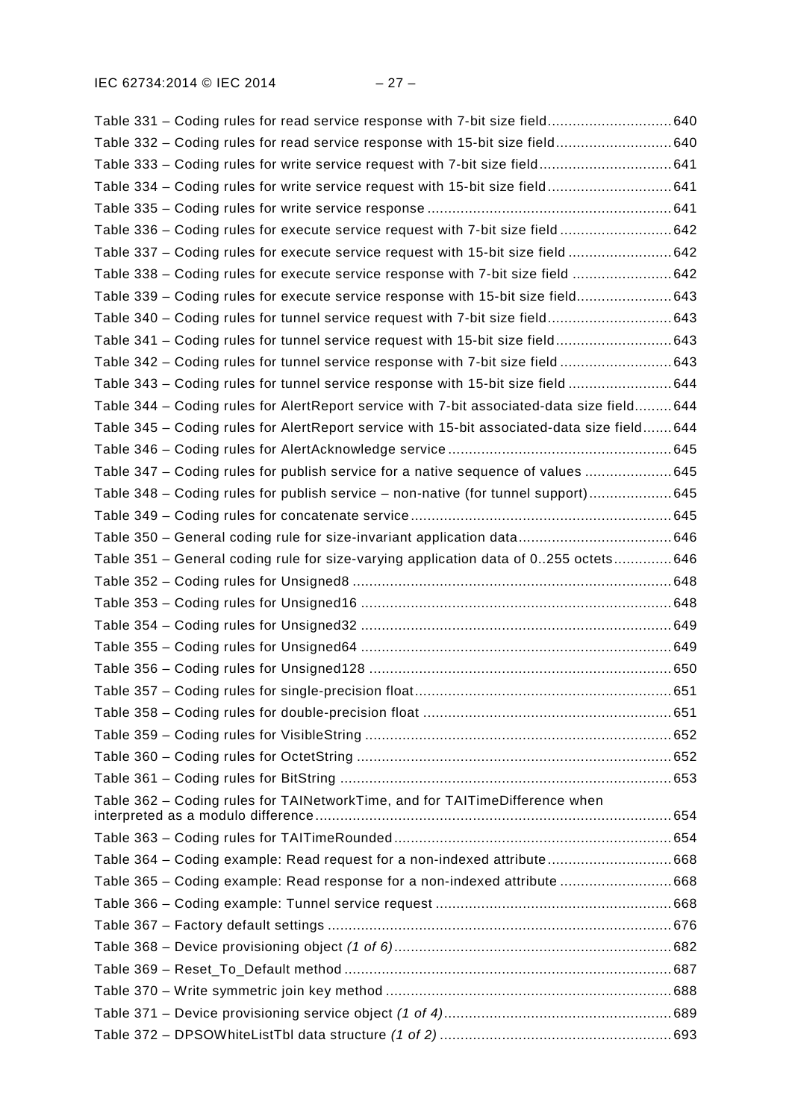| Table 331 - Coding rules for read service response with 7-bit size field 640                |  |
|---------------------------------------------------------------------------------------------|--|
| Table 332 - Coding rules for read service response with 15-bit size field 640               |  |
| Table 333 - Coding rules for write service request with 7-bit size field 641                |  |
| Table 334 - Coding rules for write service request with 15-bit size field 641               |  |
|                                                                                             |  |
| Table 336 - Coding rules for execute service request with 7-bit size field 642              |  |
| Table 337 - Coding rules for execute service request with 15-bit size field  642            |  |
| Table 338 - Coding rules for execute service response with 7-bit size field  642            |  |
| Table 339 - Coding rules for execute service response with 15-bit size field643             |  |
| Table 340 - Coding rules for tunnel service request with 7-bit size field 643               |  |
| Table 341 - Coding rules for tunnel service request with 15-bit size field 643              |  |
| Table 342 - Coding rules for tunnel service response with 7-bit size field 643              |  |
| Table 343 - Coding rules for tunnel service response with 15-bit size field  644            |  |
| Table 344 – Coding rules for AlertReport service with 7-bit associated-data size field 644  |  |
| Table 345 - Coding rules for AlertReport service with 15-bit associated-data size field 644 |  |
|                                                                                             |  |
| Table 347 - Coding rules for publish service for a native sequence of values  645           |  |
| Table 348 - Coding rules for publish service - non-native (for tunnel support)645           |  |
|                                                                                             |  |
|                                                                                             |  |
| Table 351 - General coding rule for size-varying application data of 0255 octets 646        |  |
|                                                                                             |  |
|                                                                                             |  |
|                                                                                             |  |
|                                                                                             |  |
|                                                                                             |  |
|                                                                                             |  |
|                                                                                             |  |
|                                                                                             |  |
|                                                                                             |  |
|                                                                                             |  |
| Table 362 - Coding rules for TAINetworkTime, and for TAITimeDifference when                 |  |
|                                                                                             |  |
| Table 364 - Coding example: Read request for a non-indexed attribute668                     |  |
| Table 365 - Coding example: Read response for a non-indexed attribute 668                   |  |
|                                                                                             |  |
|                                                                                             |  |
|                                                                                             |  |
|                                                                                             |  |
|                                                                                             |  |
|                                                                                             |  |
|                                                                                             |  |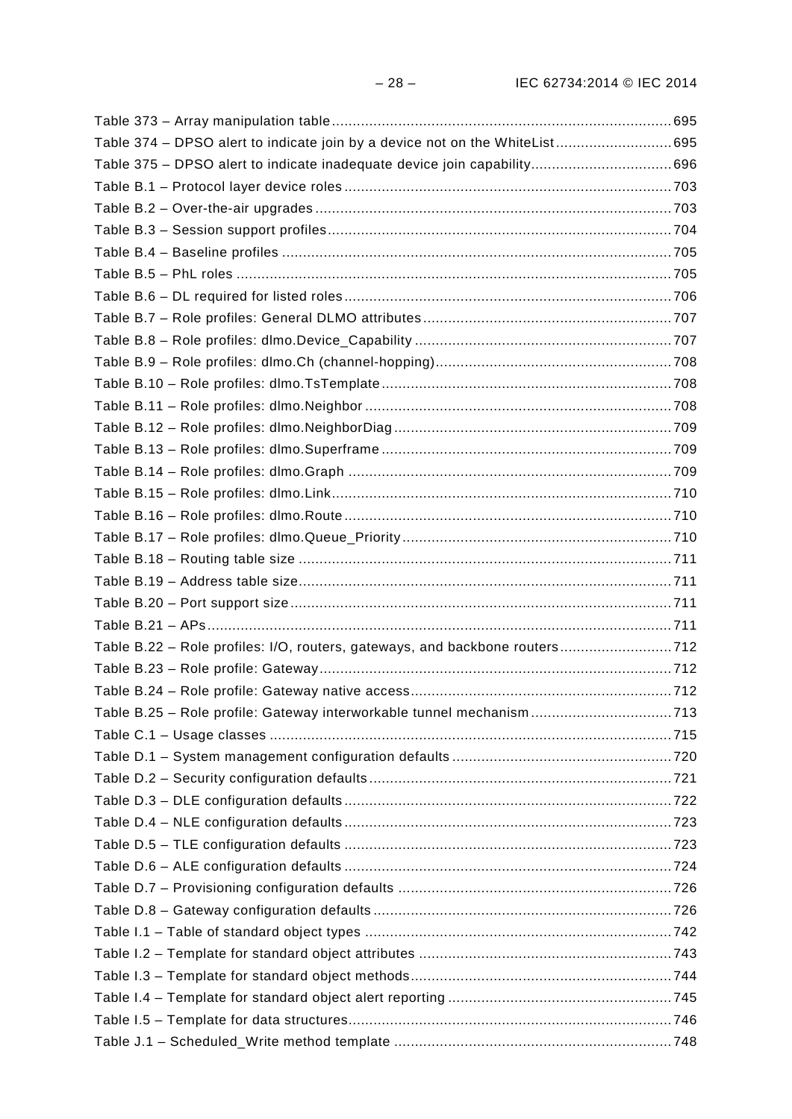| Table 374 - DPSO alert to indicate join by a device not on the WhiteList 695 |  |
|------------------------------------------------------------------------------|--|
| Table 375 - DPSO alert to indicate inadequate device join capability 696     |  |
|                                                                              |  |
|                                                                              |  |
|                                                                              |  |
|                                                                              |  |
|                                                                              |  |
|                                                                              |  |
|                                                                              |  |
|                                                                              |  |
|                                                                              |  |
|                                                                              |  |
|                                                                              |  |
|                                                                              |  |
|                                                                              |  |
|                                                                              |  |
|                                                                              |  |
|                                                                              |  |
|                                                                              |  |
|                                                                              |  |
|                                                                              |  |
|                                                                              |  |
|                                                                              |  |
| Table B.22 - Role profiles: I/O, routers, gateways, and backbone routers712  |  |
|                                                                              |  |
|                                                                              |  |
| Table B.25 - Role profile: Gateway interworkable tunnel mechanism713         |  |
|                                                                              |  |
|                                                                              |  |
|                                                                              |  |
|                                                                              |  |
|                                                                              |  |
|                                                                              |  |
|                                                                              |  |
|                                                                              |  |
|                                                                              |  |
|                                                                              |  |
|                                                                              |  |
|                                                                              |  |
|                                                                              |  |
|                                                                              |  |
|                                                                              |  |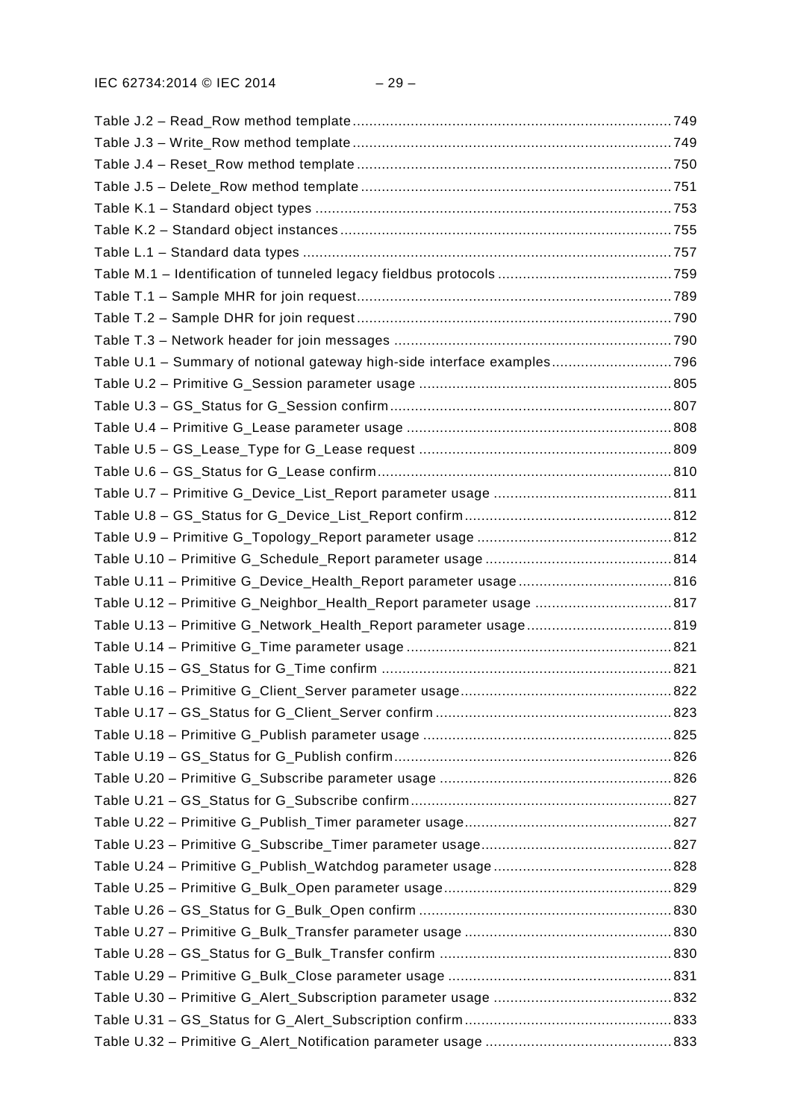| Table U.1 - Summary of notional gateway high-side interface examples796 |  |
|-------------------------------------------------------------------------|--|
|                                                                         |  |
|                                                                         |  |
|                                                                         |  |
|                                                                         |  |
|                                                                         |  |
|                                                                         |  |
|                                                                         |  |
|                                                                         |  |
|                                                                         |  |
|                                                                         |  |
| Table U.12 - Primitive G_Neighbor_Health_Report parameter usage 817     |  |
| Table U.13 - Primitive G_Network_Health_Report parameter usage819       |  |
|                                                                         |  |
|                                                                         |  |
|                                                                         |  |
|                                                                         |  |
|                                                                         |  |
|                                                                         |  |
|                                                                         |  |
|                                                                         |  |
|                                                                         |  |
|                                                                         |  |
|                                                                         |  |
|                                                                         |  |
|                                                                         |  |
|                                                                         |  |
|                                                                         |  |
|                                                                         |  |
|                                                                         |  |
|                                                                         |  |
|                                                                         |  |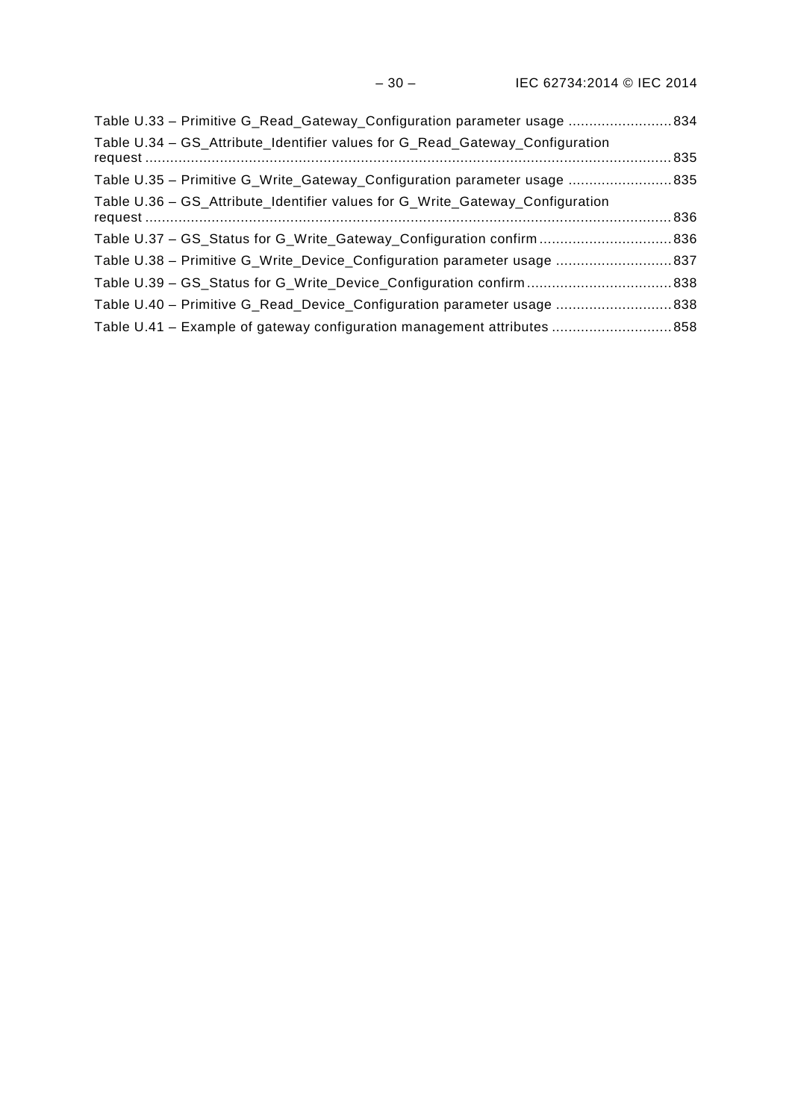| Table U.33 - Primitive G_Read_Gateway_Configuration parameter usage 834       |  |
|-------------------------------------------------------------------------------|--|
| Table U.34 - GS_Attribute_Identifier values for G_Read_Gateway_Configuration  |  |
| Table U.35 - Primitive G_Write_Gateway_Configuration parameter usage 835      |  |
| Table U.36 - GS_Attribute_Identifier values for G_Write_Gateway_Configuration |  |
| Table U.37 - GS_Status for G_Write_Gateway_Configuration confirm 836          |  |
| Table U.38 - Primitive G_Write_Device_Configuration parameter usage 837       |  |
| Table U.39 - GS_Status for G_Write_Device_Configuration confirm838            |  |
| Table U.40 - Primitive G_Read_Device_Configuration parameter usage 838        |  |
| Table U.41 - Example of gateway configuration management attributes  858      |  |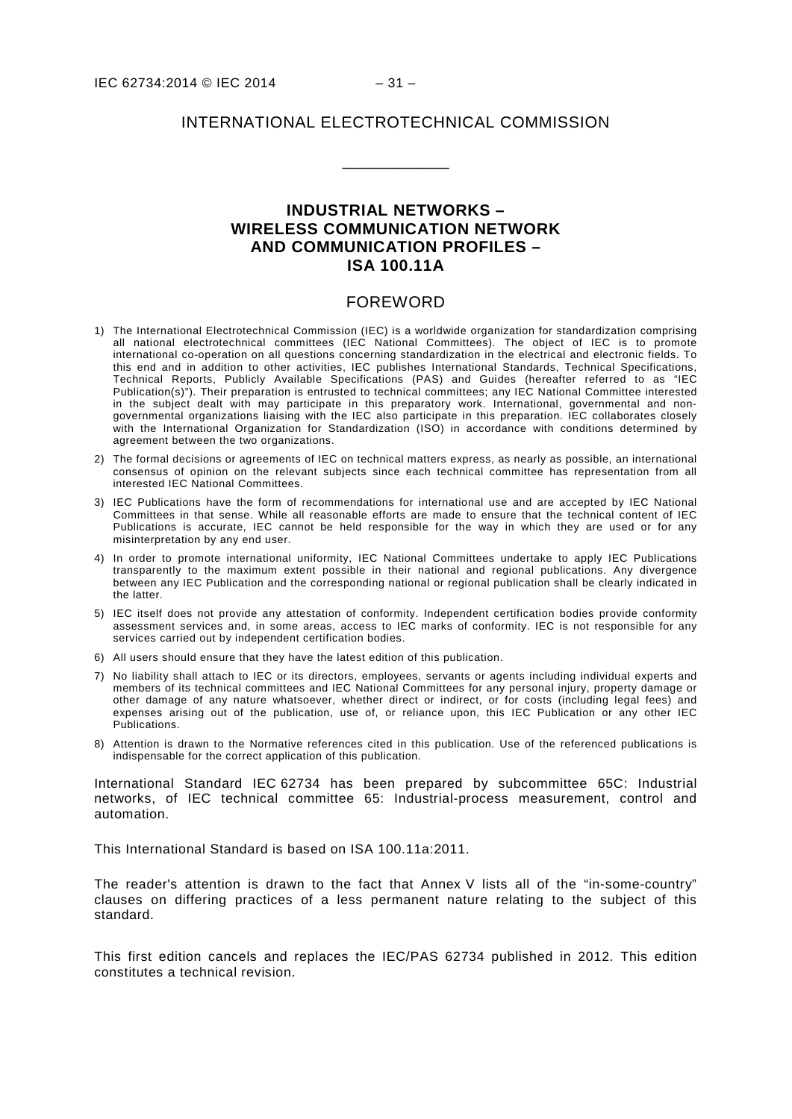### INTERNATIONAL ELECTROTECHNICAL COMMISSION

\_\_\_\_\_\_\_\_\_\_\_\_

# **INDUSTRIAL NETWORKS – WIRELESS COMMUNICATION NETWORK AND COMMUNICATION PROFILES – ISA 100.11A**

#### FOREWORD

- 1) The International Electrotechnical Commission (IEC) is a worldwide organization for standardization comprising all national electrotechnical committees (IEC National Committees). The object of IEC is to promote international co-operation on all questions concerning standardization in the electrical and electronic fields. To this end and in addition to other activities, IEC publishes International Standards, Technical Specifications, Technical Reports, Publicly Available Specifications (PAS) and Guides (hereafter referred to as "IEC Publication(s)"). Their preparation is entrusted to technical committees; any IEC National Committee interested in the subject dealt with may participate in this preparatory work. International, governmental and nongovernmental organizations liaising with the IEC also participate in this preparation. IEC collaborates closely with the International Organization for Standardization (ISO) in accordance with conditions determined by agreement between the two organizations.
- 2) The formal decisions or agreements of IEC on technical matters express, as nearly as possible, an international consensus of opinion on the relevant subjects since each technical committee has representation from all interested IEC National Committees.
- 3) IEC Publications have the form of recommendations for international use and are accepted by IEC National Committees in that sense. While all reasonable efforts are made to ensure that the technical content of IEC Publications is accurate, IEC cannot be held responsible for the way in which they are used or for any misinterpretation by any end user.
- 4) In order to promote international uniformity, IEC National Committees undertake to apply IEC Publications transparently to the maximum extent possible in their national and regional publications. Any divergence between any IEC Publication and the corresponding national or regional publication shall be clearly indicated in the latter.
- 5) IEC itself does not provide any attestation of conformity. Independent certification bodies provide conformity assessment services and, in some areas, access to IEC marks of conformity. IEC is not responsible for any services carried out by independent certification bodies.
- 6) All users should ensure that they have the latest edition of this publication.
- 7) No liability shall attach to IEC or its directors, employees, servants or agents including individual experts and members of its technical committees and IEC National Committees for any personal injury, property damage or other damage of any nature whatsoever, whether direct or indirect, or for costs (including legal fees) and expenses arising out of the publication, use of, or reliance upon, this IEC Publication or any other IEC Publications.
- 8) Attention is drawn to the Normative references cited in this publication. Use of the referenced publications is indispensable for the correct application of this publication.

International Standard IEC 62734 has been prepared by subcommittee 65C: Industrial networks, of IEC technical committee 65: Industrial-process measurement, control and automation.

This International Standard is based on ISA 100.11a:2011.

The reader's attention is drawn to the fact that Annex V lists all of the "in-some-country" clauses on differing practices of a less permanent nature relating to the subject of this standard.

This first edition cancels and replaces the IEC/PAS 62734 published in 2012. This edition constitutes a technical revision.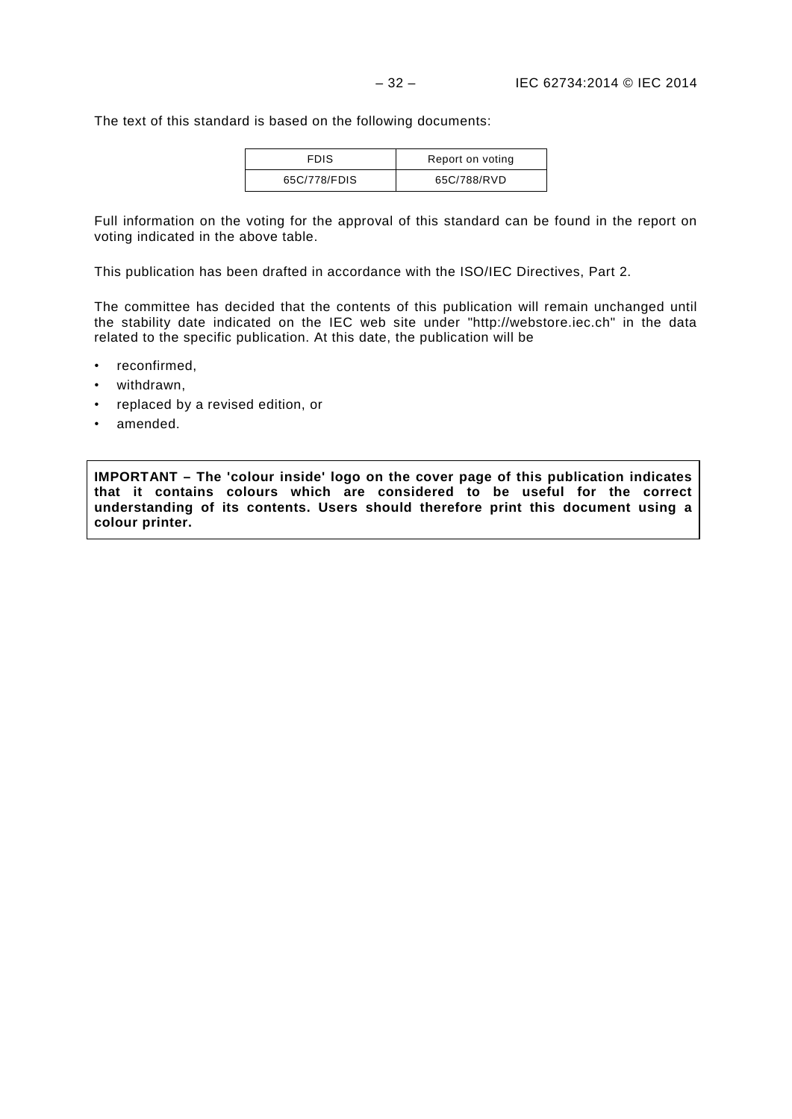The text of this standard is based on the following documents:

| <b>FDIS</b>  | Report on voting |
|--------------|------------------|
| 65C/778/FDIS | 65C/788/RVD      |

Full information on the voting for the approval of this standard can be found in the report on voting indicated in the above table.

This publication has been drafted in accordance with the ISO/IEC Directives, Part 2.

The committee has decided that the contents of this publication will remain unchanged until the stability date indicated on the IEC web site under "http://webstore.iec.ch" in the data related to the specific publication. At this date, the publication will be

- reconfirmed,
- withdrawn,
- replaced by a revised edition, or
- amended.

**IMPORTANT – The 'colour inside' logo on the cover page of this publication indicates that it contains colours which are considered to be useful for the correct understanding of its contents. Users should therefore print this document using a colour printer.**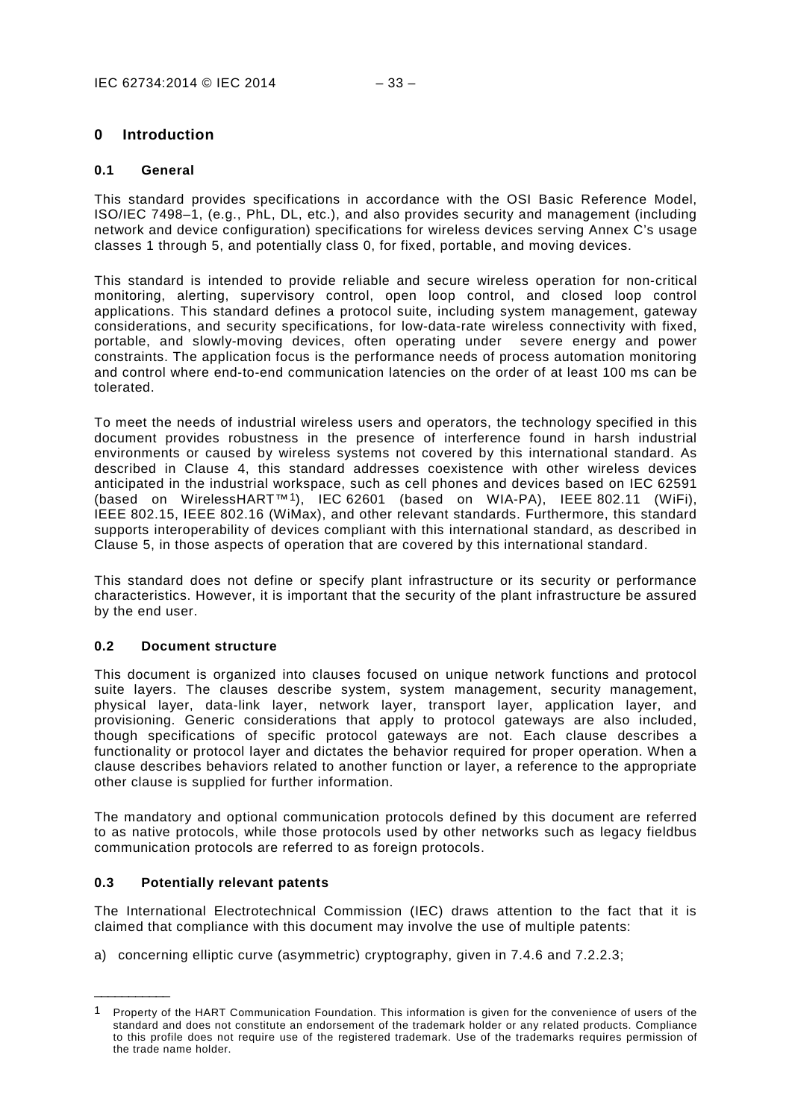#### **0 Introduction**

#### **0.1 General**

This standard provides specifications in accordance with the OSI Basic Reference Model, ISO/IEC 7498–1, (e.g., PhL, DL, etc.), and also provides security and management (including network and device configuration) specifications for wireless devices serving Annex C's usage classes 1 through 5, and potentially class 0, for fixed, portable, and moving devices.

This standard is intended to provide reliable and secure wireless operation for non-critical monitoring, alerting, supervisory control, open loop control, and closed loop control applications. This standard defines a protocol suite, including system management, gateway considerations, and security specifications, for low-data-rate wireless connectivity with fixed, portable, and slowly-moving devices, often operating under severe energy and power constraints. The application focus is the performance needs of process automation monitoring and control where end-to-end communication latencies on the order of at least 100 ms can be tolerated.

To meet the needs of industrial wireless users and operators, the technology specified in this document provides robustness in the presence of interference found in harsh industrial environments or caused by wireless systems not covered by this international standard. As described in Clause 4, this standard addresses coexistence with other wireless devices anticipated in the industrial workspace, such as cell phones and devices based on IEC 62591 (based on WirelessHART™[1](#page-32-0)), IEC 62601 (based on WIA-PA), IEEE 802.11 (WiFi), IEEE 802.15, IEEE 802.16 (WiMax), and other relevant standards. Furthermore, this standard supports interoperability of devices compliant with this international standard, as described in Clause 5, in those aspects of operation that are covered by this international standard.

This standard does not define or specify plant infrastructure or its security or performance characteristics. However, it is important that the security of the plant infrastructure be assured by the end user.

#### **0.2 Document structure**

This document is organized into clauses focused on unique network functions and protocol suite layers. The clauses describe system, system management, security management, physical layer, data-link layer, network layer, transport layer, application layer, and provisioning. Generic considerations that apply to protocol gateways are also included, though specifications of specific protocol gateways are not. Each clause describes a functionality or protocol layer and dictates the behavior required for proper operation. When a clause describes behaviors related to another function or layer, a reference to the appropriate other clause is supplied for further information.

The mandatory and optional communication protocols defined by this document are referred to as native protocols, while those protocols used by other networks such as legacy fieldbus communication protocols are referred to as foreign protocols.

#### **0.3 Potentially relevant patents**

\_\_\_\_\_\_\_\_\_\_\_

The International Electrotechnical Commission (IEC) draws attention to the fact that it is claimed that compliance with this document may involve the use of multiple patents:

a) concerning elliptic curve (asymmetric) cryptography, given in 7.4.6 and 7.2.2.3;

<span id="page-32-0"></span><sup>1</sup> Property of the HART Communication Foundation. This information is given for the convenience of users of the standard and does not constitute an endorsement of the trademark holder or any related products. Compliance to this profile does not require use of the registered trademark. Use of the trademarks requires permission of the trade name holder.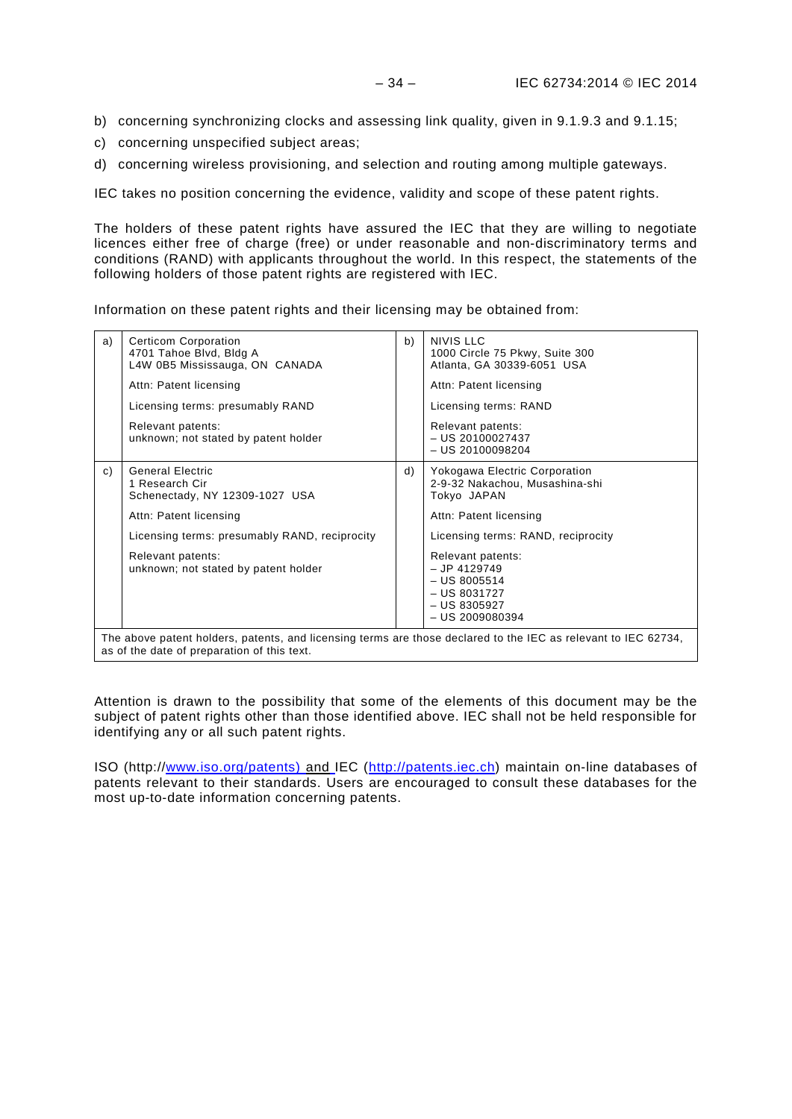- b) concerning synchronizing clocks and assessing link quality, given in 9.1.9.3 and 9.1.15;
- c) concerning unspecified subject areas;
- d) concerning wireless provisioning, and selection and routing among multiple gateways.

IEC takes no position concerning the evidence, validity and scope of these patent rights.

The holders of these patent rights have assured the IEC that they are willing to negotiate licences either free of charge (free) or under reasonable and non-discriminatory terms and conditions (RAND) with applicants throughout the world. In this respect, the statements of the following holders of those patent rights are registered with IEC.

Information on these patent rights and their licensing may be obtained from:

| a)                                                                                                             | <b>Certicom Corporation</b><br>4701 Tahoe Blvd, Bldg A<br>L4W 0B5 Mississauga, ON CANADA | b) | NIVIS LLC<br>1000 Circle 75 Pkwy, Suite 300<br>Atlanta, GA 30339-6051 USA                                      |
|----------------------------------------------------------------------------------------------------------------|------------------------------------------------------------------------------------------|----|----------------------------------------------------------------------------------------------------------------|
|                                                                                                                | Attn: Patent licensing                                                                   |    | Attn: Patent licensing                                                                                         |
|                                                                                                                | Licensing terms: presumably RAND                                                         |    | Licensing terms: RAND                                                                                          |
|                                                                                                                | Relevant patents:<br>unknown; not stated by patent holder                                |    | Relevant patents:<br>$-$ US 20100027437<br>$-$ US 20100098204                                                  |
| c)                                                                                                             | <b>General Electric</b><br>1 Research Cir<br>Schenectady, NY 12309-1027 USA              | d) | Yokogawa Electric Corporation<br>2-9-32 Nakachou, Musashina-shi<br>Tokyo JAPAN                                 |
|                                                                                                                | Attn: Patent licensing                                                                   |    | Attn: Patent licensing                                                                                         |
|                                                                                                                | Licensing terms: presumably RAND, reciprocity                                            |    | Licensing terms: RAND, reciprocity                                                                             |
|                                                                                                                | Relevant patents:<br>unknown; not stated by patent holder                                |    | Relevant patents:<br>$-$ JP 4129749<br>$-$ US 8005514<br>$-$ US 8031727<br>$-$ US 8305927<br>$-$ US 2009080394 |
| The above patent holders, patents, and licensing terms are those declared to the IEC as relevant to IEC 62734, |                                                                                          |    |                                                                                                                |

as of the date of preparation of this text.

Attention is drawn to the possibility that some of the elements of this document may be the subject of patent rights other than those identified above. IEC shall not be held responsible for identifying any or all such patent rights.

ISO (http:/[/www.iso.org/patents\) and](http://www.iso.org/patents) IEC [\(http://patents.iec.ch\)](http://patents.iec.ch/tctools/patent_decl.htm) maintain on-line databases of patents relevant to their standards. Users are encouraged to consult these databases for the most up-to-date information concerning patents.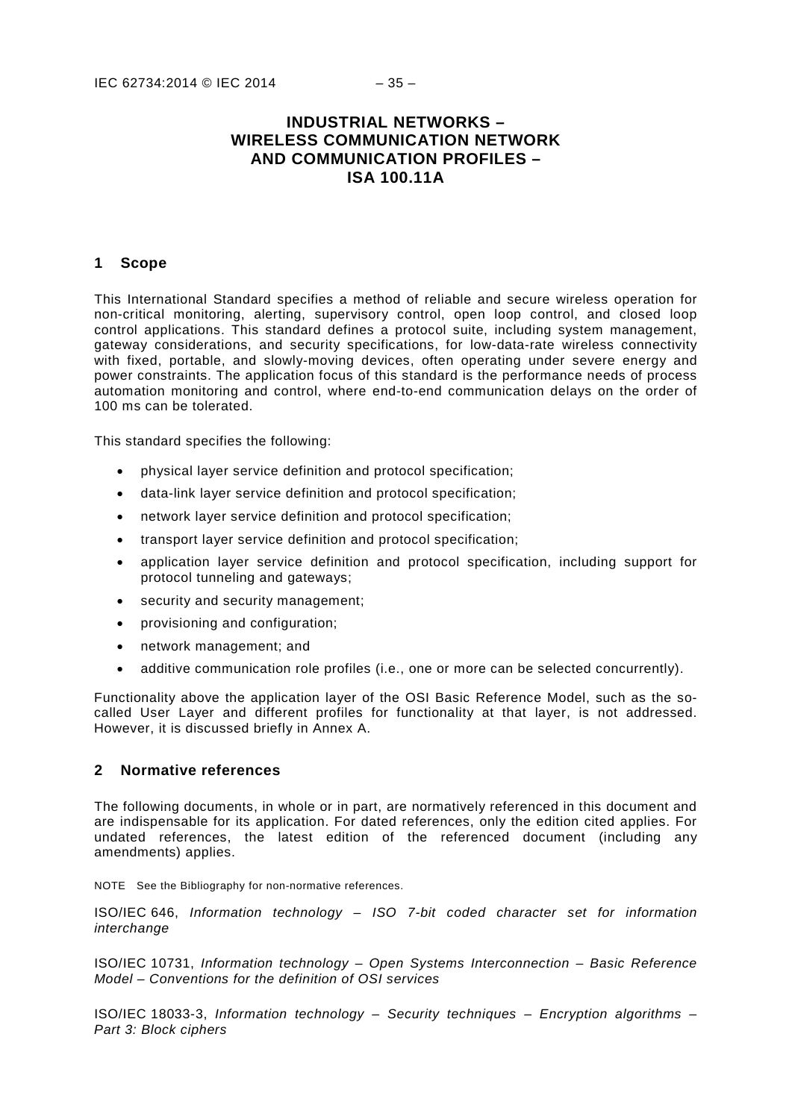# **INDUSTRIAL NETWORKS – WIRELESS COMMUNICATION NETWORK AND COMMUNICATION PROFILES – ISA 100.11A**

#### **1 Scope**

This International Standard specifies a method of reliable and secure wireless operation for non-critical monitoring, alerting, supervisory control, open loop control, and closed loop control applications. This standard defines a protocol suite, including system management, gateway considerations, and security specifications, for low-data-rate wireless connectivity with fixed, portable, and slowly-moving devices, often operating under severe energy and power constraints. The application focus of this standard is the performance needs of process automation monitoring and control, where end-to-end communication delays on the order of 100 ms can be tolerated.

This standard specifies the following:

- physical layer service definition and protocol specification;
- data-link layer service definition and protocol specification;
- network layer service definition and protocol specification;
- transport layer service definition and protocol specification;
- application layer service definition and protocol specification, including support for protocol tunneling and gateways;
- security and security management;
- provisioning and configuration;
- network management; and
- additive communication role profiles (i.e., one or more can be selected concurrently).

Functionality above the application layer of the OSI Basic Reference Model, such as the socalled User Layer and different profiles for functionality at that layer, is not addressed. However, it is discussed briefly in Annex A.

#### **2 Normative references**

The following documents, in whole or in part, are normatively referenced in this document and are indispensable for its application. For dated references, only the edition cited applies. For undated references, the latest edition of the referenced document (including any amendments) applies.

NOTE See the Bibliography for non-normative references.

ISO/IEC 646, *Information technology – ISO 7-bit coded character set for information interchange*

ISO/IEC 10731, *Information technology – Open Systems Interconnection – Basic Reference Model – Conventions for the definition of OSI services*

ISO/IEC 18033-3, *Information technology – Security techniques – Encryption algorithms – Part 3: Block ciphers*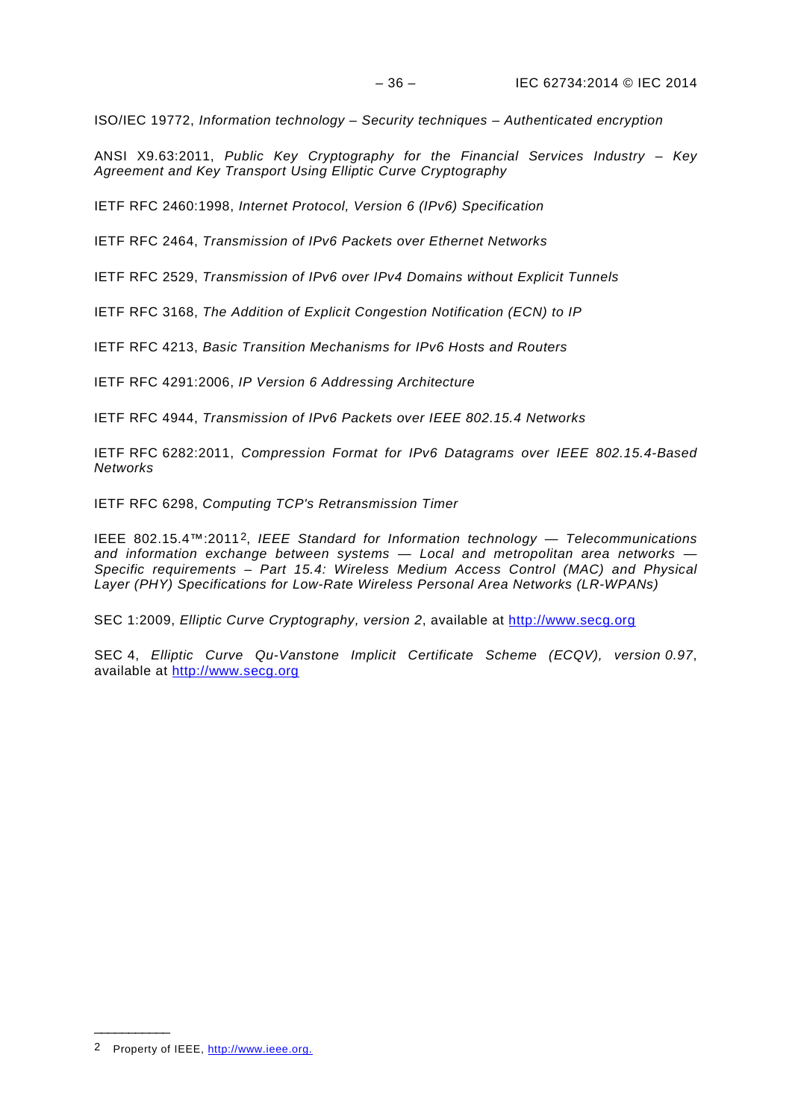ISO/IEC 19772, *Information technology – Security techniques – Authenticated encryption*

ANSI X9.63:2011, *Public Key Cryptography for the Financial Services Industry – Key Agreement and Key Transport Using Elliptic Curve Cryptography*

IETF RFC 2460:1998, *Internet Protocol, Version 6 (IPv6) Specification*

IETF RFC 2464, *Transmission of IPv6 Packets over Ethernet Networks*

IETF RFC 2529, *Transmission of IPv6 over IPv4 Domains without Explicit Tunnels*

IETF RFC 3168, *The Addition of Explicit Congestion Notification (ECN) to IP*

IETF RFC 4213, *Basic Transition Mechanisms for IPv6 Hosts and Routers*

IETF RFC 4291:2006, *IP Version 6 Addressing Architecture*

IETF RFC 4944, *Transmission of IPv6 Packets over IEEE 802.15.4 Networks*

IETF RFC 6282:2011, *Compression Format for IPv6 Datagrams over IEEE 802.15.4-Based Networks*

IETF RFC 6298, *Computing TCP's Retransmission Timer* 

IEEE 802.15.4™:2011[2](#page-35-0), *IEEE Standard for Information technology — Telecommunications and information exchange between systems — Local and metropolitan area networks — Specific requirements – Part 15.4: Wireless Medium Access Control (MAC) and Physical Layer (PHY) Specifications for Low-Rate Wireless Personal Area Networks (LR-WPANs)*

SEC 1:2009, *Elliptic Curve Cryptography, version 2*, available at [http://www.secg.org](http://www.secg.org/)

SEC 4, *Elliptic Curve Qu-Vanstone Implicit Certificate Scheme (ECQV), version 0.97*, available at [http://www.secg.org](http://www.secg.org/)

 $\overline{\phantom{a}}$ 

<span id="page-35-0"></span><sup>2</sup> Property of IEEE, [http://www.ieee.org.](http://www.ieee.org/)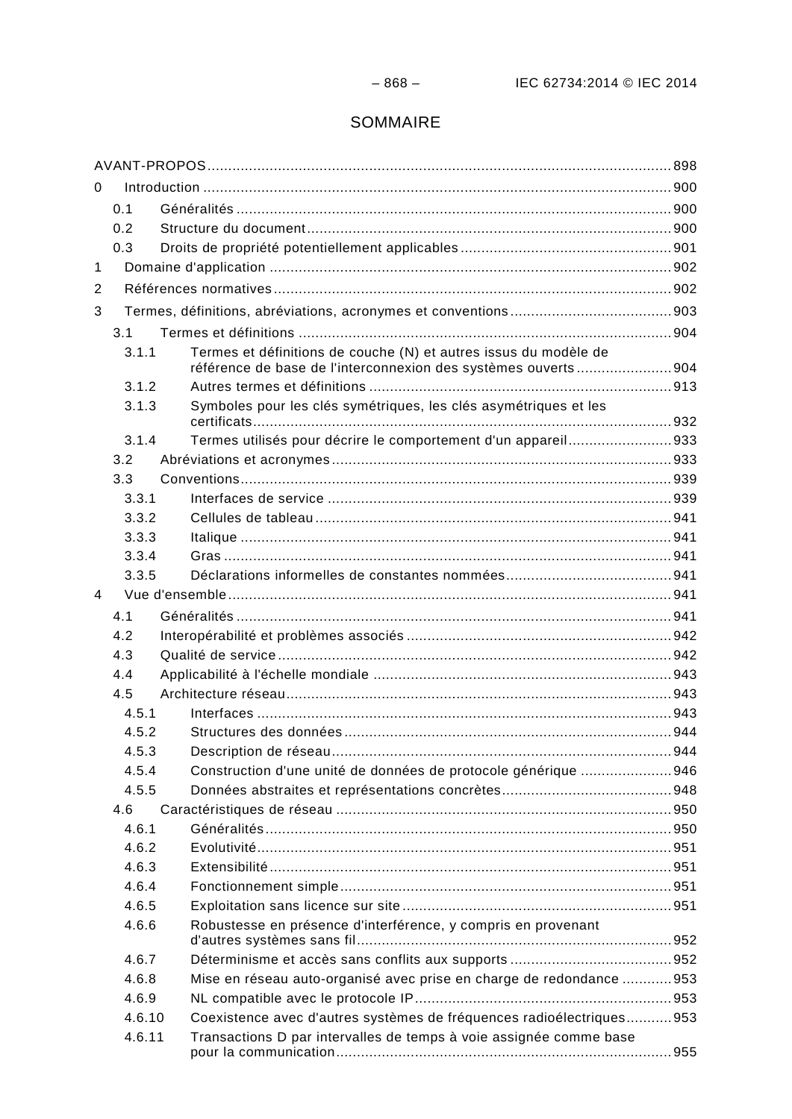# SOMMAIRE

| 0           |        |                                                                                                                                   |  |
|-------------|--------|-----------------------------------------------------------------------------------------------------------------------------------|--|
|             | 0.1    |                                                                                                                                   |  |
|             | 0.2    |                                                                                                                                   |  |
|             | 0.3    |                                                                                                                                   |  |
| $\mathbf 1$ |        |                                                                                                                                   |  |
| 2           |        |                                                                                                                                   |  |
| 3           |        |                                                                                                                                   |  |
|             | 3.1    |                                                                                                                                   |  |
|             | 3.1.1  | Termes et définitions de couche (N) et autres issus du modèle de<br>référence de base de l'interconnexion des systèmes ouverts904 |  |
|             | 3.1.2  |                                                                                                                                   |  |
|             | 3.1.3  | Symboles pour les clés symétriques, les clés asymétriques et les                                                                  |  |
|             | 3.1.4  | Termes utilisés pour décrire le comportement d'un appareil933                                                                     |  |
|             | 3.2    |                                                                                                                                   |  |
|             | 3.3    |                                                                                                                                   |  |
|             | 3.3.1  |                                                                                                                                   |  |
|             | 3.3.2  |                                                                                                                                   |  |
|             | 3.3.3  |                                                                                                                                   |  |
|             | 3.3.4  |                                                                                                                                   |  |
|             | 3.3.5  |                                                                                                                                   |  |
| 4           |        |                                                                                                                                   |  |
|             | 4.1    |                                                                                                                                   |  |
|             | 4.2    |                                                                                                                                   |  |
|             | 4.3    |                                                                                                                                   |  |
|             | 4.4    |                                                                                                                                   |  |
|             | 4.5    |                                                                                                                                   |  |
|             | 4.5.1  |                                                                                                                                   |  |
|             | 4.5.2  |                                                                                                                                   |  |
|             | 4.5.3  |                                                                                                                                   |  |
|             | 4.5.4  | Construction d'une unité de données de protocole générique 946                                                                    |  |
|             | 4.5.5  |                                                                                                                                   |  |
|             | 4.6    |                                                                                                                                   |  |
|             | 4.6.1  |                                                                                                                                   |  |
|             | 4.6.2  |                                                                                                                                   |  |
|             | 4.6.3  |                                                                                                                                   |  |
|             | 4.6.4  |                                                                                                                                   |  |
|             | 4.6.5  |                                                                                                                                   |  |
|             | 4.6.6  | Robustesse en présence d'interférence, y compris en provenant                                                                     |  |
|             | 4.6.7  |                                                                                                                                   |  |
|             | 4.6.8  | Mise en réseau auto-organisé avec prise en charge de redondance 953                                                               |  |
|             | 4.6.9  |                                                                                                                                   |  |
|             | 4.6.10 | Coexistence avec d'autres systèmes de fréquences radioélectriques953                                                              |  |
|             | 4.6.11 | Transactions D par intervalles de temps à voie assignée comme base                                                                |  |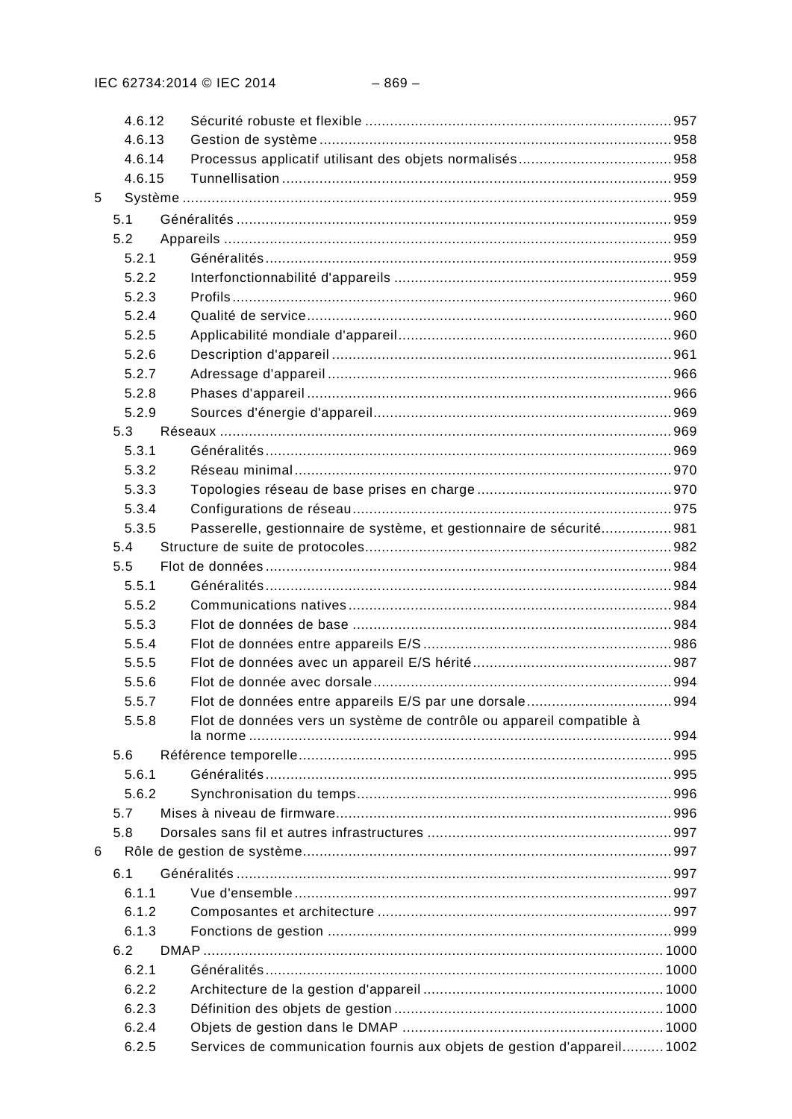|   | 4.6.12 |                                                                         |  |
|---|--------|-------------------------------------------------------------------------|--|
|   | 4.6.13 |                                                                         |  |
|   | 4.6.14 |                                                                         |  |
|   | 4.6.15 |                                                                         |  |
| 5 |        |                                                                         |  |
|   | 5.1    |                                                                         |  |
|   | 5.2    |                                                                         |  |
|   | 5.2.1  |                                                                         |  |
|   | 5.2.2  |                                                                         |  |
|   | 5.2.3  |                                                                         |  |
|   | 5.2.4  |                                                                         |  |
|   | 5.2.5  |                                                                         |  |
|   | 5.2.6  |                                                                         |  |
|   | 5.2.7  |                                                                         |  |
|   | 5.2.8  |                                                                         |  |
|   | 5.2.9  |                                                                         |  |
|   | 5.3    |                                                                         |  |
|   | 5.3.1  |                                                                         |  |
|   | 5.3.2  |                                                                         |  |
|   | 5.3.3  |                                                                         |  |
|   | 5.3.4  |                                                                         |  |
|   | 5.3.5  | Passerelle, gestionnaire de système, et gestionnaire de sécurité981     |  |
|   | 5.4    |                                                                         |  |
|   | 5.5    |                                                                         |  |
|   | 5.5.1  |                                                                         |  |
|   | 5.5.2  |                                                                         |  |
|   | 5.5.3  |                                                                         |  |
|   | 5.5.4  |                                                                         |  |
|   | 5.5.5  |                                                                         |  |
|   | 5.5.6  |                                                                         |  |
|   | 5.5.7  |                                                                         |  |
|   | 5.5.8  | Flot de données vers un système de contrôle ou appareil compatible à    |  |
|   | 5.6    |                                                                         |  |
|   | 5.6.1  |                                                                         |  |
|   | 5.6.2  |                                                                         |  |
|   | 5.7    |                                                                         |  |
|   | 5.8    |                                                                         |  |
| 6 |        |                                                                         |  |
|   | 6.1    |                                                                         |  |
|   | 6.1.1  |                                                                         |  |
|   | 6.1.2  |                                                                         |  |
|   | 6.1.3  |                                                                         |  |
|   | 6.2    |                                                                         |  |
|   | 6.2.1  |                                                                         |  |
|   | 6.2.2  |                                                                         |  |
|   | 6.2.3  |                                                                         |  |
|   | 6.2.4  |                                                                         |  |
|   | 6.2.5  | Services de communication fournis aux objets de gestion d'appareil 1002 |  |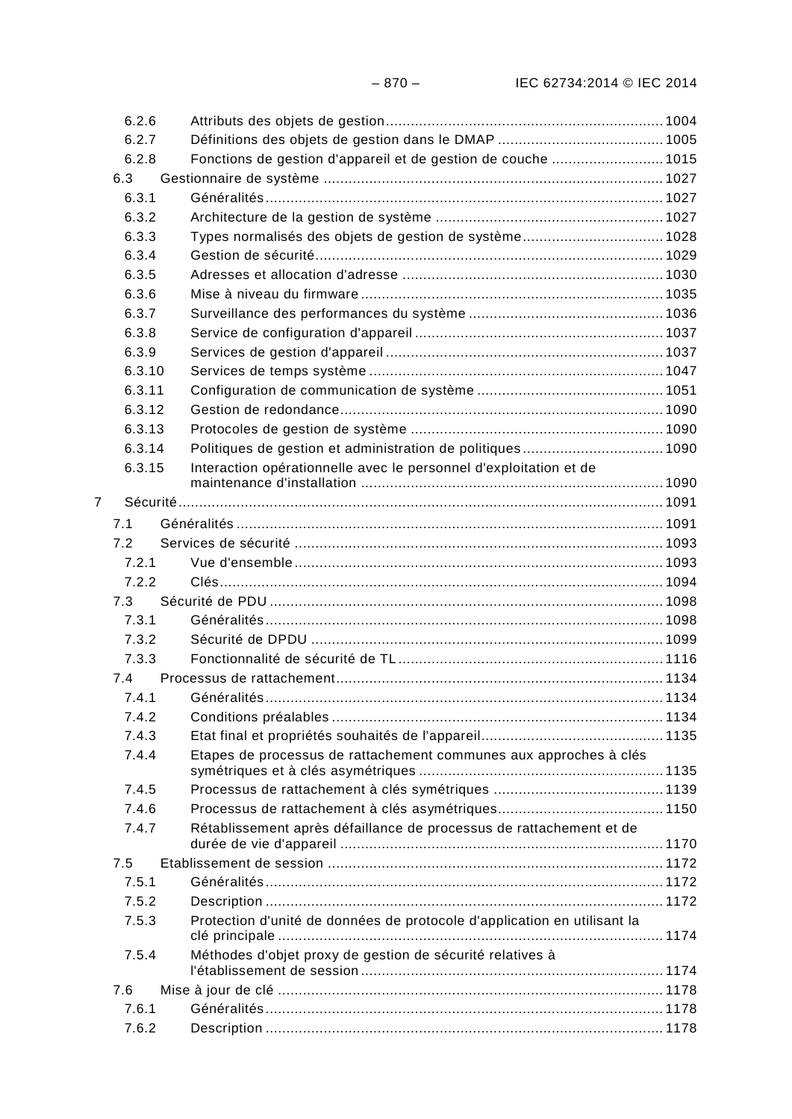|   | 6.2.6  |                                                                          |  |
|---|--------|--------------------------------------------------------------------------|--|
|   | 6.2.7  |                                                                          |  |
|   | 6.2.8  | Fonctions de gestion d'appareil et de gestion de couche  1015            |  |
|   | 6.3    |                                                                          |  |
|   | 6.3.1  |                                                                          |  |
|   | 6.3.2  |                                                                          |  |
|   | 6.3.3  | Types normalisés des objets de gestion de système 1028                   |  |
|   | 6.3.4  |                                                                          |  |
|   | 6.3.5  |                                                                          |  |
|   | 6.3.6  |                                                                          |  |
|   | 6.3.7  |                                                                          |  |
|   | 6.3.8  |                                                                          |  |
|   | 6.3.9  |                                                                          |  |
|   | 6.3.10 |                                                                          |  |
|   | 6.3.11 |                                                                          |  |
|   | 6.3.12 |                                                                          |  |
|   | 6.3.13 |                                                                          |  |
|   | 6.3.14 | Politiques de gestion et administration de politiques 1090               |  |
|   | 6.3.15 | Interaction opérationnelle avec le personnel d'exploitation et de        |  |
|   |        |                                                                          |  |
| 7 |        |                                                                          |  |
|   | 7.1    |                                                                          |  |
|   | 7.2    |                                                                          |  |
|   | 7.2.1  |                                                                          |  |
|   | 7.2.2  |                                                                          |  |
|   | 7.3    |                                                                          |  |
|   | 7.3.1  |                                                                          |  |
|   | 7.3.2  |                                                                          |  |
|   | 7.3.3  |                                                                          |  |
|   | 7.4    |                                                                          |  |
|   | 7.4.1  |                                                                          |  |
|   | 7.4.2  |                                                                          |  |
|   | 7.4.3  |                                                                          |  |
|   | 7.4.4  | Etapes de processus de rattachement communes aux approches à clés        |  |
|   | 7.4.5  |                                                                          |  |
|   | 7.4.6  |                                                                          |  |
|   | 7.4.7  | Rétablissement après défaillance de processus de rattachement et de      |  |
|   | 7.5    |                                                                          |  |
|   | 7.5.1  |                                                                          |  |
|   | 7.5.2  |                                                                          |  |
|   | 7.5.3  | Protection d'unité de données de protocole d'application en utilisant la |  |
|   | 7.5.4  | Méthodes d'objet proxy de gestion de sécurité relatives à                |  |
|   | 7.6    |                                                                          |  |
|   | 7.6.1  |                                                                          |  |
|   | 7.6.2  |                                                                          |  |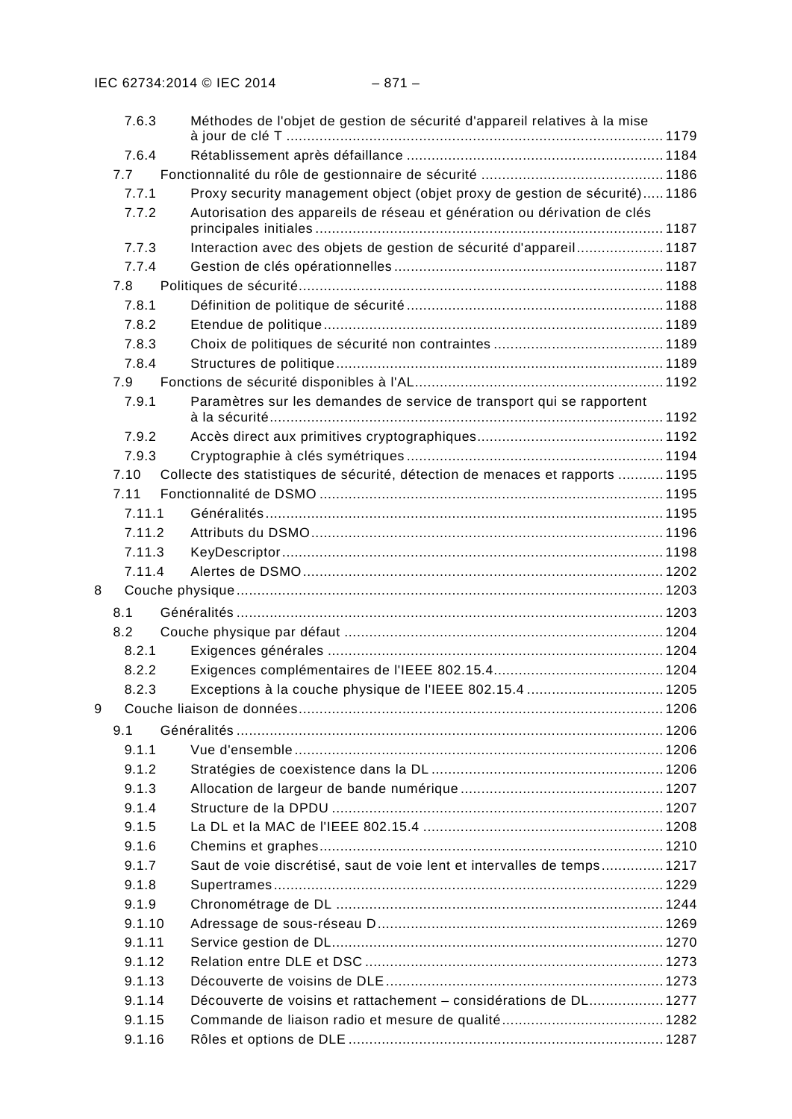|   | 7.6.3  | Méthodes de l'objet de gestion de sécurité d'appareil relatives à la mise     |      |
|---|--------|-------------------------------------------------------------------------------|------|
|   | 7.6.4  |                                                                               |      |
|   | 7.7    |                                                                               |      |
|   | 7.7.1  | Proxy security management object (objet proxy de gestion de sécurité) 1186    |      |
|   | 7.7.2  | Autorisation des appareils de réseau et génération ou dérivation de clés      |      |
|   |        |                                                                               |      |
|   | 7.7.3  | Interaction avec des objets de gestion de sécurité d'appareil 1187            |      |
|   | 7.7.4  |                                                                               |      |
|   | 7.8    |                                                                               |      |
|   | 7.8.1  |                                                                               |      |
|   | 7.8.2  |                                                                               |      |
|   | 7.8.3  |                                                                               |      |
|   | 7.8.4  |                                                                               |      |
|   | 7.9    |                                                                               |      |
|   | 7.9.1  | Paramètres sur les demandes de service de transport qui se rapportent         |      |
|   | 7.9.2  |                                                                               |      |
|   | 7.9.3  |                                                                               |      |
|   | 7.10   | Collecte des statistiques de sécurité, détection de menaces et rapports  1195 |      |
|   | 7.11   |                                                                               |      |
|   | 7.11.1 |                                                                               |      |
|   | 7.11.2 |                                                                               |      |
|   | 7.11.3 |                                                                               |      |
|   | 7.11.4 |                                                                               |      |
| 8 |        |                                                                               |      |
|   | 8.1    |                                                                               |      |
|   | 8.2    |                                                                               |      |
|   | 8.2.1  |                                                                               |      |
|   | 8.2.2  |                                                                               |      |
|   | 8.2.3  |                                                                               |      |
| 9 |        | Couche liaison de données                                                     | 1206 |
|   | 9.1    | Généralités ………………………………………………………………………………………… 1206                           |      |
|   | 9.1.1  |                                                                               |      |
|   | 9.1.2  |                                                                               |      |
|   | 9.1.3  |                                                                               |      |
|   | 9.1.4  |                                                                               |      |
|   | 9.1.5  |                                                                               |      |
|   | 9.1.6  |                                                                               |      |
|   | 9.1.7  | Saut de voie discrétisé, saut de voie lent et intervalles de temps 1217       |      |
|   | 9.1.8  |                                                                               |      |
|   | 9.1.9  |                                                                               |      |
|   | 9.1.10 |                                                                               |      |
|   | 9.1.11 |                                                                               |      |
|   | 9.1.12 |                                                                               |      |
|   | 9.1.13 |                                                                               |      |
|   | 9.1.14 | Découverte de voisins et rattachement - considérations de DL 1277             |      |
|   | 9.1.15 |                                                                               |      |
|   | 9.1.16 |                                                                               |      |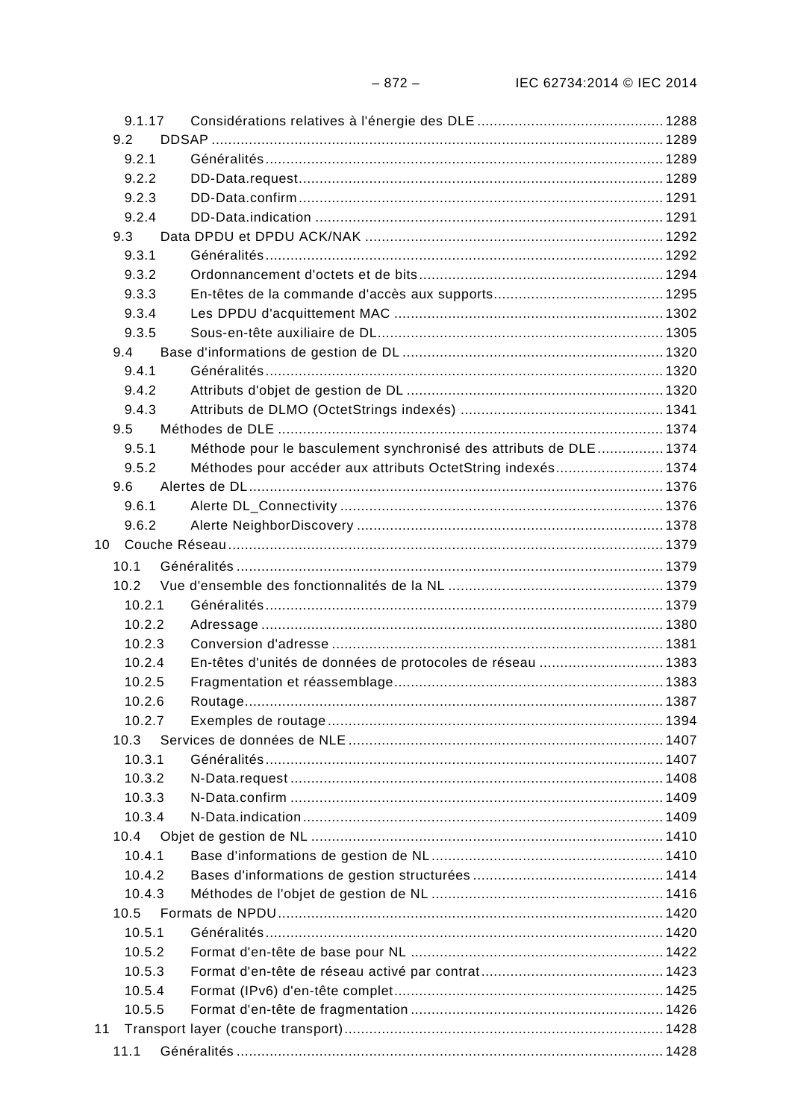| 9.1.17 |                                                                    |  |
|--------|--------------------------------------------------------------------|--|
| 9.2    |                                                                    |  |
| 9.2.1  |                                                                    |  |
| 9.2.2  |                                                                    |  |
| 9.2.3  |                                                                    |  |
| 9.2.4  |                                                                    |  |
| 9.3    |                                                                    |  |
| 9.3.1  |                                                                    |  |
| 9.3.2  |                                                                    |  |
| 9.3.3  |                                                                    |  |
| 9.3.4  |                                                                    |  |
| 9.3.5  |                                                                    |  |
| 9.4    |                                                                    |  |
| 9.4.1  |                                                                    |  |
| 9.4.2  |                                                                    |  |
| 9.4.3  |                                                                    |  |
| 9.5    |                                                                    |  |
| 9.5.1  | Méthode pour le basculement synchronisé des attributs de DLE  1374 |  |
| 9.5.2  | Méthodes pour accéder aux attributs OctetString indexés 1374       |  |
| 9.6    |                                                                    |  |
| 9.6.1  |                                                                    |  |
| 9.6.2  |                                                                    |  |
| 10     |                                                                    |  |
| 10.1   |                                                                    |  |
| 10.2   |                                                                    |  |
| 10.2.1 |                                                                    |  |
| 10.2.2 |                                                                    |  |
| 10.2.3 |                                                                    |  |
| 10.2.4 | En-têtes d'unités de données de protocoles de réseau  1383         |  |
| 10.2.5 |                                                                    |  |
| 10.2.6 |                                                                    |  |
| 10.2.7 |                                                                    |  |
| 10.3   |                                                                    |  |
| 10.3.1 |                                                                    |  |
| 10.3.2 |                                                                    |  |
| 10.3.3 |                                                                    |  |
| 10.3.4 |                                                                    |  |
| 10.4   |                                                                    |  |
| 10.4.1 |                                                                    |  |
| 10.4.2 |                                                                    |  |
| 10.4.3 |                                                                    |  |
| 10.5   |                                                                    |  |
| 10.5.1 |                                                                    |  |
| 10.5.2 |                                                                    |  |
| 10.5.3 |                                                                    |  |
| 10.5.4 |                                                                    |  |
| 10.5.5 |                                                                    |  |
| 11     |                                                                    |  |
| 11.1   |                                                                    |  |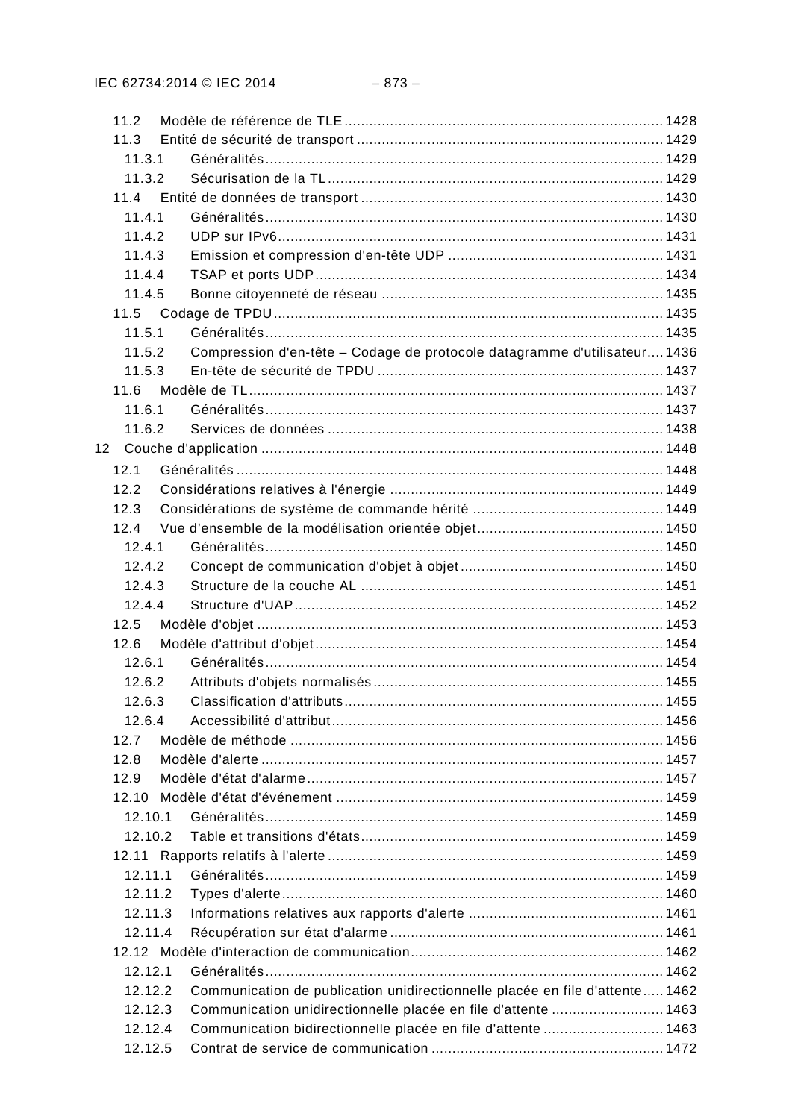| 11.2    |                                                                              |  |
|---------|------------------------------------------------------------------------------|--|
| 11.3    |                                                                              |  |
| 11.3.1  |                                                                              |  |
| 11.3.2  |                                                                              |  |
| 11.4    |                                                                              |  |
| 11.4.1  |                                                                              |  |
| 11.4.2  |                                                                              |  |
| 11.4.3  |                                                                              |  |
| 11.4.4  |                                                                              |  |
| 11.4.5  |                                                                              |  |
| 11.5    |                                                                              |  |
| 11.5.1  |                                                                              |  |
| 11.5.2  | Compression d'en-tête - Codage de protocole datagramme d'utilisateur 1436    |  |
| 11.5.3  |                                                                              |  |
| 11.6    |                                                                              |  |
| 11.6.1  |                                                                              |  |
| 11.6.2  |                                                                              |  |
|         |                                                                              |  |
| 12.1    |                                                                              |  |
| 12.2    |                                                                              |  |
| 12.3    |                                                                              |  |
| 12.4    |                                                                              |  |
| 12.4.1  |                                                                              |  |
| 12.4.2  |                                                                              |  |
| 12.4.3  |                                                                              |  |
| 12.4.4  |                                                                              |  |
| 12.5    |                                                                              |  |
| 12.6    |                                                                              |  |
| 12.6.1  |                                                                              |  |
| 12.6.2  |                                                                              |  |
| 12.6.3  |                                                                              |  |
| 12.6.4  |                                                                              |  |
| 12.7    |                                                                              |  |
| 12.8    |                                                                              |  |
| 12.9    |                                                                              |  |
| 12.10   |                                                                              |  |
| 12.10.1 |                                                                              |  |
| 12.10.2 |                                                                              |  |
|         |                                                                              |  |
| 12.11.1 |                                                                              |  |
| 12.11.2 |                                                                              |  |
| 12.11.3 |                                                                              |  |
| 12.11.4 |                                                                              |  |
|         |                                                                              |  |
| 12.12.1 |                                                                              |  |
| 12.12.2 | Communication de publication unidirectionnelle placée en file d'attente 1462 |  |
| 12.12.3 | Communication unidirectionnelle placée en file d'attente  1463               |  |
| 12.12.4 | Communication bidirectionnelle placée en file d'attente  1463                |  |
| 12.12.5 |                                                                              |  |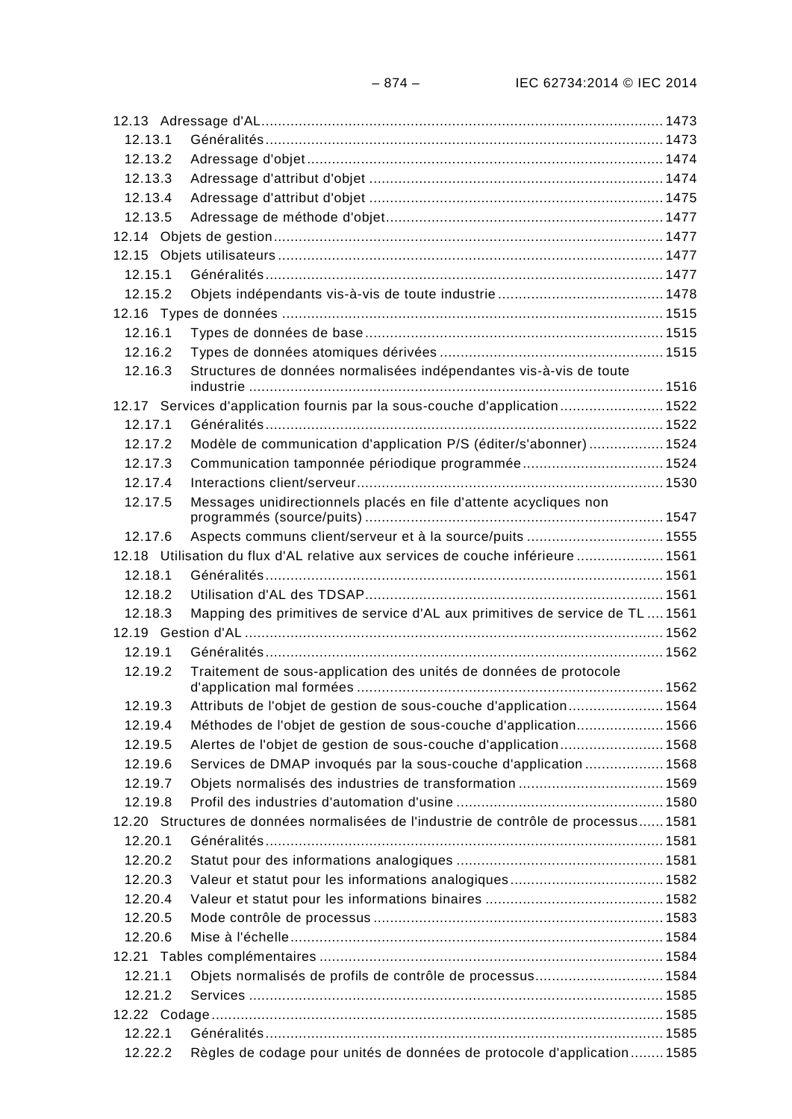| 12.13.1 |                                                                                      |  |
|---------|--------------------------------------------------------------------------------------|--|
| 12.13.2 |                                                                                      |  |
| 12.13.3 |                                                                                      |  |
| 12.13.4 |                                                                                      |  |
| 12.13.5 |                                                                                      |  |
|         |                                                                                      |  |
|         |                                                                                      |  |
| 12.15.1 |                                                                                      |  |
| 12.15.2 |                                                                                      |  |
|         |                                                                                      |  |
| 12.16.1 |                                                                                      |  |
| 12.16.2 |                                                                                      |  |
| 12.16.3 | Structures de données normalisées indépendantes vis-à-vis de toute                   |  |
|         | 12.17 Services d'application fournis par la sous-couche d'application 1522           |  |
| 12.17.1 |                                                                                      |  |
| 12.17.2 | Modèle de communication d'application P/S (éditer/s'abonner)  1524                   |  |
| 12.17.3 | Communication tamponnée périodique programmée 1524                                   |  |
| 12.17.4 |                                                                                      |  |
| 12.17.5 | Messages unidirectionnels placés en file d'attente acycliques non                    |  |
|         |                                                                                      |  |
| 12.17.6 | Aspects communs client/serveur et à la source/puits  1555                            |  |
|         | 12.18 Utilisation du flux d'AL relative aux services de couche inférieure  1561      |  |
| 12.18.1 |                                                                                      |  |
| 12.18.2 |                                                                                      |  |
| 12.18.3 | Mapping des primitives de service d'AL aux primitives de service de TL  1561         |  |
|         |                                                                                      |  |
| 12.19.1 |                                                                                      |  |
| 12.19.2 | Traitement de sous-application des unités de données de protocole                    |  |
| 12.19.3 | Attributs de l'objet de gestion de sous-couche d'application 1564                    |  |
| 12.19.4 | Méthodes de l'objet de gestion de sous-couche d'application 1566                     |  |
| 12.19.5 | Alertes de l'objet de gestion de sous-couche d'application 1568                      |  |
| 12.19.6 | Services de DMAP invoqués par la sous-couche d'application  1568                     |  |
| 12.19.7 |                                                                                      |  |
| 12.19.8 |                                                                                      |  |
|         | 12.20 Structures de données normalisées de l'industrie de contrôle de processus 1581 |  |
| 12.20.1 |                                                                                      |  |
| 12.20.2 |                                                                                      |  |
| 12.20.3 |                                                                                      |  |
| 12.20.4 |                                                                                      |  |
| 12.20.5 |                                                                                      |  |
| 12.20.6 | Mise à l'échelle……………………………………………………………………………… 1584                                  |  |
|         |                                                                                      |  |
| 12.21.1 | Objets normalisés de profils de contrôle de processus 1584                           |  |
| 12.21.2 |                                                                                      |  |
|         |                                                                                      |  |
| 12.22.1 |                                                                                      |  |
| 12.22.2 | Règles de codage pour unités de données de protocole d'application  1585             |  |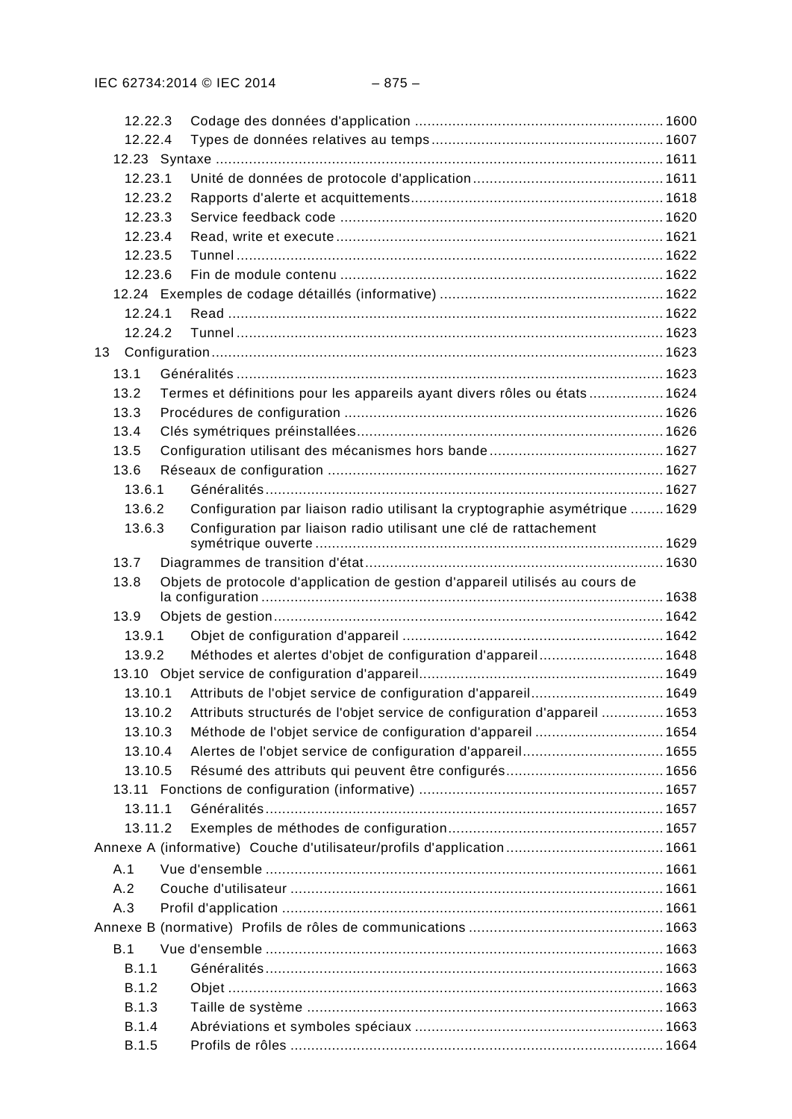|              | 12.22.3 |                                                                              |  |
|--------------|---------|------------------------------------------------------------------------------|--|
| 12.22.4      |         |                                                                              |  |
|              |         |                                                                              |  |
| 12.23.1      |         |                                                                              |  |
| 12.23.2      |         |                                                                              |  |
| 12.23.3      |         |                                                                              |  |
| 12.23.4      |         |                                                                              |  |
| 12.23.5      |         |                                                                              |  |
| 12.23.6      |         |                                                                              |  |
|              |         |                                                                              |  |
| 12.24.1      |         |                                                                              |  |
| 12.24.2      |         |                                                                              |  |
| 13           |         |                                                                              |  |
| 13.1         |         |                                                                              |  |
| 13.2         |         | Termes et définitions pour les appareils ayant divers rôles ou états 1624    |  |
| 13.3         |         |                                                                              |  |
| 13.4         |         |                                                                              |  |
| 13.5         |         |                                                                              |  |
| 13.6         |         |                                                                              |  |
| 13.6.1       |         |                                                                              |  |
| 13.6.2       |         | Configuration par liaison radio utilisant la cryptographie asymétrique  1629 |  |
| 13.6.3       |         | Configuration par liaison radio utilisant une clé de rattachement            |  |
| 13.7         |         |                                                                              |  |
| 13.8         |         | Objets de protocole d'application de gestion d'appareil utilisés au cours de |  |
|              |         |                                                                              |  |
| 13.9         |         |                                                                              |  |
| 13.9.1       |         |                                                                              |  |
| 13.9.2       |         | Méthodes et alertes d'objet de configuration d'appareil 1648                 |  |
|              |         |                                                                              |  |
| 13.10.1      |         |                                                                              |  |
| 13.10.2      |         | Attributs structurés de l'objet service de configuration d'appareil  1653    |  |
| 13.10.3      |         | Méthode de l'objet service de configuration d'appareil  1654                 |  |
| 13.10.4      |         |                                                                              |  |
| 13.10.5      |         |                                                                              |  |
|              |         |                                                                              |  |
| 13.11.1      |         |                                                                              |  |
| 13.11.2      |         |                                                                              |  |
|              |         | Annexe A (informative) Couche d'utilisateur/profils d'application 1661       |  |
| A.1          |         |                                                                              |  |
| A.2          |         |                                                                              |  |
| A.3          |         |                                                                              |  |
|              |         |                                                                              |  |
| B.1          |         |                                                                              |  |
| B.1.1        |         |                                                                              |  |
| B.1.2        |         |                                                                              |  |
| <b>B.1.3</b> |         |                                                                              |  |
| <b>B.1.4</b> |         |                                                                              |  |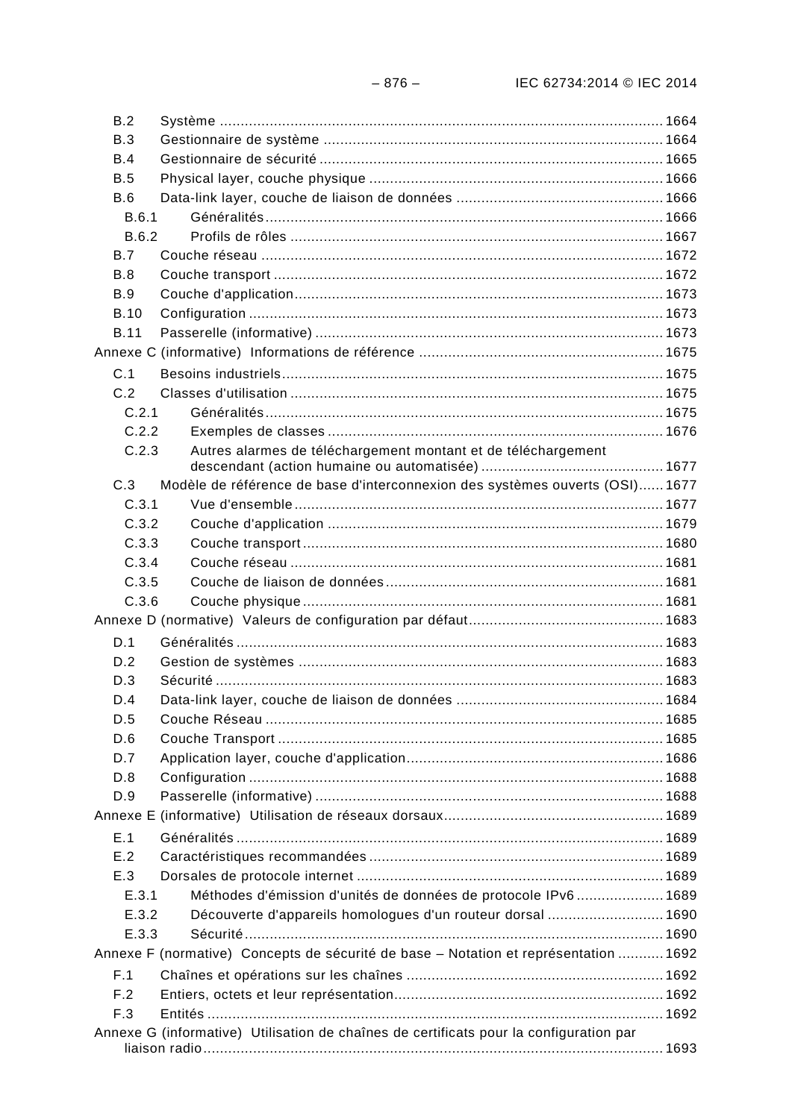| B.2         |                                                                                        |       |
|-------------|----------------------------------------------------------------------------------------|-------|
| B.3         |                                                                                        |       |
| B.4         |                                                                                        |       |
| <b>B.5</b>  |                                                                                        |       |
| B.6         |                                                                                        |       |
| B.6.1       |                                                                                        |       |
| B.6.2       |                                                                                        |       |
| <b>B.7</b>  |                                                                                        |       |
| B.8         |                                                                                        |       |
| B.9         |                                                                                        |       |
| <b>B.10</b> |                                                                                        |       |
| <b>B.11</b> |                                                                                        |       |
|             |                                                                                        |       |
| C.1         |                                                                                        |       |
| C.2         |                                                                                        |       |
| C.2.1       |                                                                                        |       |
| C.2.2       |                                                                                        |       |
| C.2.3       | Autres alarmes de téléchargement montant et de téléchargement                          |       |
|             |                                                                                        |       |
| C.3         | Modèle de référence de base d'interconnexion des systèmes ouverts (OSI)1677            |       |
| C.3.1       |                                                                                        |       |
| C.3.2       |                                                                                        |       |
| C.3.3       |                                                                                        |       |
| C.3.4       |                                                                                        |       |
| C.3.5       |                                                                                        |       |
| C.3.6       |                                                                                        |       |
|             |                                                                                        |       |
| D.1         |                                                                                        |       |
| D.2         |                                                                                        |       |
| D.3         |                                                                                        |       |
| D.4         | Data-link layer, couche de liaison de données                                          | .1684 |
| D.5         |                                                                                        |       |
| D.6         |                                                                                        |       |
| D.7         |                                                                                        |       |
| D.8         |                                                                                        |       |
| D.9         |                                                                                        |       |
|             |                                                                                        |       |
| E.1         |                                                                                        |       |
| E.2         |                                                                                        |       |
| E.3         |                                                                                        |       |
| E.3.1       | Méthodes d'émission d'unités de données de protocole IPv6  1689                        |       |
| E.3.2       | Découverte d'appareils homologues d'un routeur dorsal  1690                            |       |
| E.3.3       |                                                                                        |       |
|             | Annexe F (normative) Concepts de sécurité de base – Notation et représentation  1692   |       |
| F.1         |                                                                                        |       |
| F.2         |                                                                                        |       |
| F.3         |                                                                                        |       |
|             | Annexe G (informative) Utilisation de chaînes de certificats pour la configuration par |       |
|             |                                                                                        |       |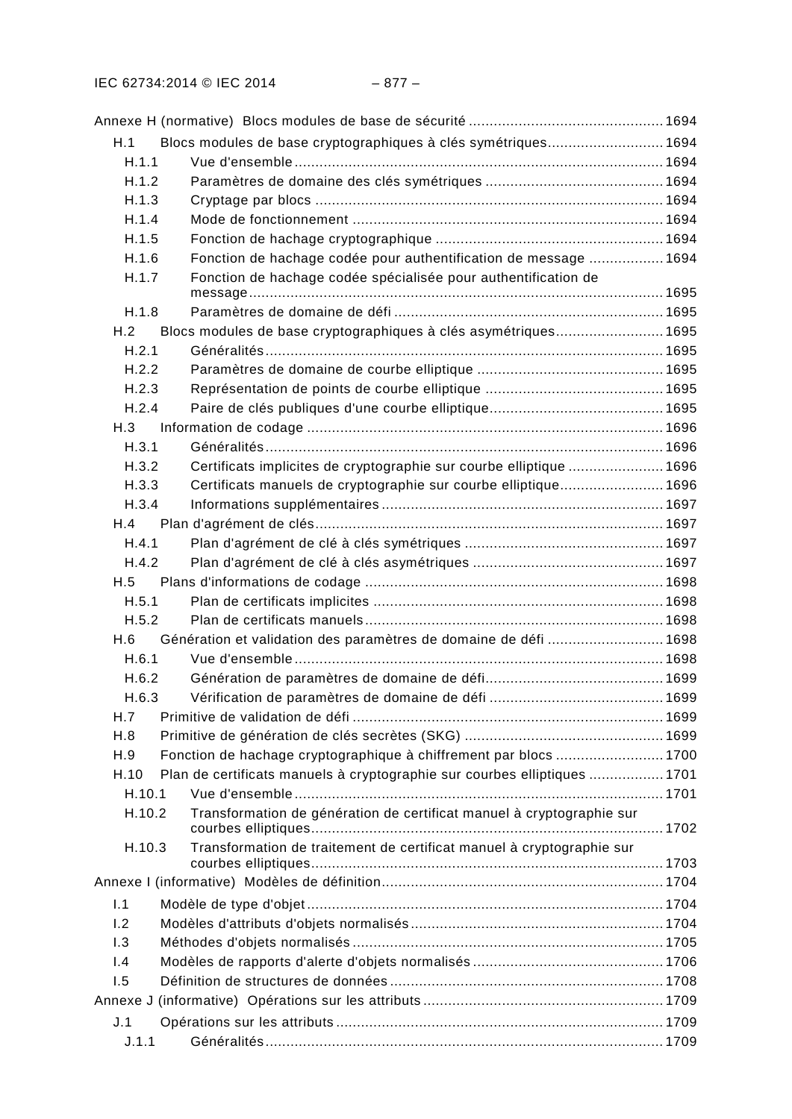| H.1             | Blocs modules de base cryptographiques à clés symétriques 1694            |  |
|-----------------|---------------------------------------------------------------------------|--|
| H.1.1           |                                                                           |  |
| H.1.2           |                                                                           |  |
| H.1.3           |                                                                           |  |
| H.1.4           |                                                                           |  |
| H.1.5           |                                                                           |  |
| H.1.6           | Fonction de hachage codée pour authentification de message  1694          |  |
| H.1.7           | Fonction de hachage codée spécialisée pour authentification de            |  |
|                 |                                                                           |  |
| H.1.8           |                                                                           |  |
| H.2             | Blocs modules de base cryptographiques à clés asymétriques 1695           |  |
| H.2.1           |                                                                           |  |
| H.2.2           |                                                                           |  |
| H.2.3           |                                                                           |  |
| H.2.4           |                                                                           |  |
| H.3             |                                                                           |  |
| H.3.1           |                                                                           |  |
| H.3.2           | Certificats implicites de cryptographie sur courbe elliptique  1696       |  |
| H.3.3           | Certificats manuels de cryptographie sur courbe elliptique 1696           |  |
| H.3.4           |                                                                           |  |
| H.4<br>H.4.1    |                                                                           |  |
| H.4.2           |                                                                           |  |
| H.5             |                                                                           |  |
| H.5.1           |                                                                           |  |
| H.5.2           |                                                                           |  |
| H.6             | Génération et validation des paramètres de domaine de défi  1698          |  |
| H.6.1           |                                                                           |  |
| H.6.2           |                                                                           |  |
| H.6.3           |                                                                           |  |
| H.7             |                                                                           |  |
| H.8             |                                                                           |  |
| H.9             | Fonction de hachage cryptographique à chiffrement par blocs 1700          |  |
| H.10            | Plan de certificats manuels à cryptographie sur courbes elliptiques  1701 |  |
| H.10.1          |                                                                           |  |
| H.10.2          | Transformation de génération de certificat manuel à cryptographie sur     |  |
|                 |                                                                           |  |
| H.10.3          | Transformation de traitement de certificat manuel à cryptographie sur     |  |
|                 |                                                                           |  |
|                 |                                                                           |  |
| 1.1             |                                                                           |  |
| 1.2             |                                                                           |  |
| 1.3             |                                                                           |  |
| $\mathsf{I}$ .4 |                                                                           |  |
| 1.5             |                                                                           |  |
|                 |                                                                           |  |
| J.1             |                                                                           |  |
| J.1.1           |                                                                           |  |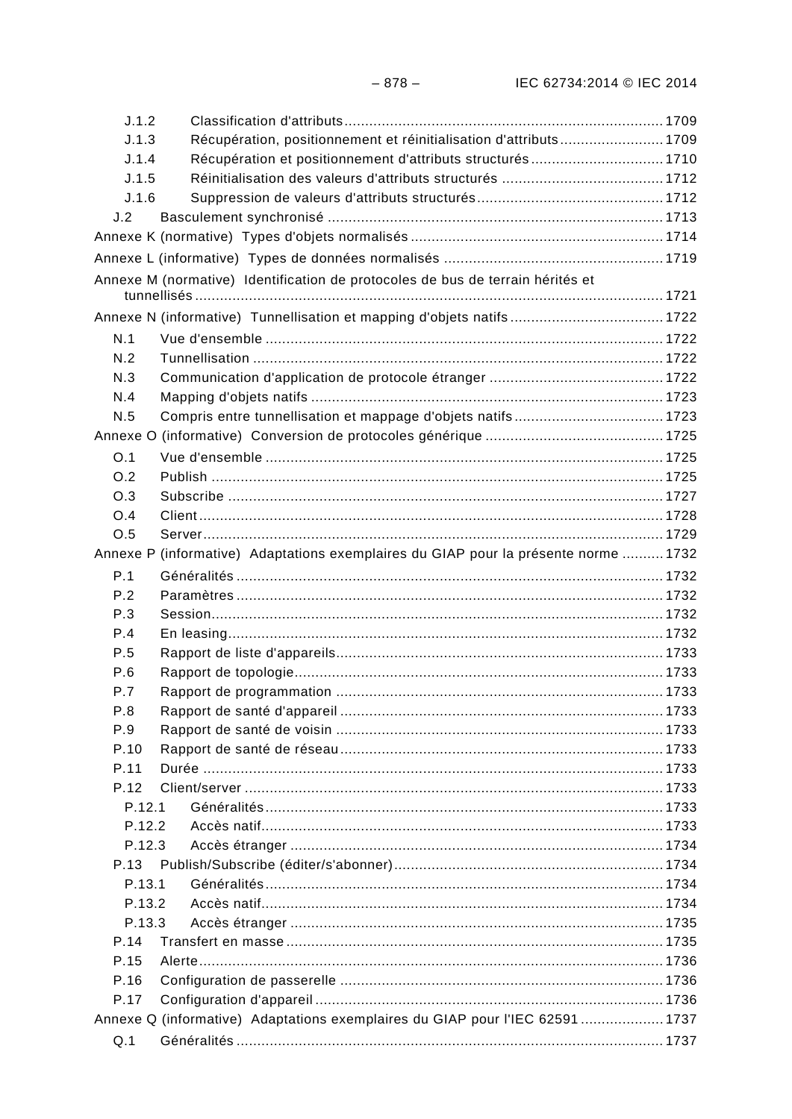| J.1.2          |                                                                                |  |
|----------------|--------------------------------------------------------------------------------|--|
| J.1.3          | Récupération, positionnement et réinitialisation d'attributs 1709              |  |
| J.1.4          | Récupération et positionnement d'attributs structurés 1710                     |  |
| J.1.5          |                                                                                |  |
| J.1.6          |                                                                                |  |
| J.2            |                                                                                |  |
|                |                                                                                |  |
|                |                                                                                |  |
|                | Annexe M (normative) Identification de protocoles de bus de terrain hérités et |  |
|                | Annexe N (informative) Tunnellisation et mapping d'objets natifs 1722          |  |
| N.1            |                                                                                |  |
| N.2            |                                                                                |  |
| N.3            |                                                                                |  |
| N.4            |                                                                                |  |
| N.5            |                                                                                |  |
|                |                                                                                |  |
| O.1            |                                                                                |  |
| O.2            |                                                                                |  |
| O.3            |                                                                                |  |
| O.4            |                                                                                |  |
| O.5            |                                                                                |  |
| Annexe P       | (informative) Adaptations exemplaires du GIAP pour la présente norme  1732     |  |
|                |                                                                                |  |
| P.1            |                                                                                |  |
| P.2            |                                                                                |  |
| P.3            |                                                                                |  |
| P.4            |                                                                                |  |
| P.5            |                                                                                |  |
| P.6            |                                                                                |  |
| P.7            |                                                                                |  |
| P.8            |                                                                                |  |
| P.9            |                                                                                |  |
| P.10           |                                                                                |  |
| P.11           |                                                                                |  |
| P.12<br>P.12.1 |                                                                                |  |
| P.12.2         |                                                                                |  |
|                |                                                                                |  |
| P.12.3         |                                                                                |  |
| P.13           |                                                                                |  |
| P.13.1         |                                                                                |  |
| P.13.2         |                                                                                |  |
| P.13.3         |                                                                                |  |
| P.14           |                                                                                |  |
| P.15           |                                                                                |  |
| P.16           |                                                                                |  |
| P.17           |                                                                                |  |
|                | Annexe Q (informative) Adaptations exemplaires du GIAP pour l'IEC 62591  1737  |  |
| Q.1            |                                                                                |  |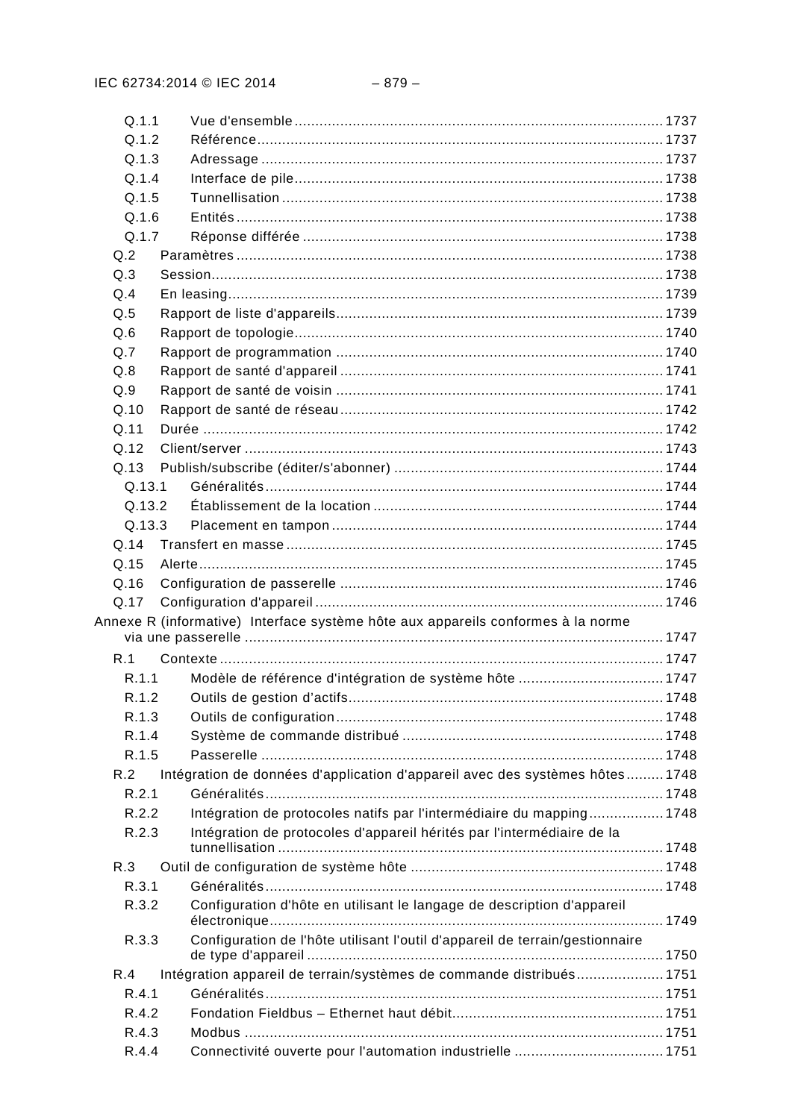| Q.1.1  |                                                                                  |  |
|--------|----------------------------------------------------------------------------------|--|
| Q.1.2  |                                                                                  |  |
| Q.1.3  |                                                                                  |  |
| Q.1.4  |                                                                                  |  |
| Q.1.5  |                                                                                  |  |
| Q.1.6  |                                                                                  |  |
| Q.1.7  |                                                                                  |  |
| Q.2    |                                                                                  |  |
| Q.3    |                                                                                  |  |
| Q.4    |                                                                                  |  |
| Q.5    |                                                                                  |  |
| Q.6    |                                                                                  |  |
| Q.7    |                                                                                  |  |
| Q.8    |                                                                                  |  |
| Q.9    |                                                                                  |  |
| Q.10   |                                                                                  |  |
| Q.11   |                                                                                  |  |
| Q.12   |                                                                                  |  |
| Q.13   |                                                                                  |  |
| Q.13.1 |                                                                                  |  |
| Q.13.2 |                                                                                  |  |
| Q.13.3 |                                                                                  |  |
| Q.14   |                                                                                  |  |
| Q.15   |                                                                                  |  |
| Q.16   |                                                                                  |  |
| Q.17   |                                                                                  |  |
|        | Annexe R (informative) Interface système hôte aux appareils conformes à la norme |  |
|        |                                                                                  |  |
| R.1    |                                                                                  |  |
| R.1.1  | Modèle de référence d'intégration de système hôte  1747                          |  |
| R.1.2  |                                                                                  |  |
| R.1.3  |                                                                                  |  |
| R.1.4  |                                                                                  |  |
| R.1.5  |                                                                                  |  |
| R.2    | Intégration de données d'application d'appareil avec des systèmes hôtes 1748     |  |
| R.2.1  |                                                                                  |  |
| R.2.2  | Intégration de protocoles natifs par l'intermédiaire du mapping 1748             |  |
| R.2.3  | Intégration de protocoles d'appareil hérités par l'intermédiaire de la           |  |
|        |                                                                                  |  |
| R.3    |                                                                                  |  |
| R.3.1  |                                                                                  |  |
| R.3.2  | Configuration d'hôte en utilisant le langage de description d'appareil           |  |
|        |                                                                                  |  |
| R.3.3  | Configuration de l'hôte utilisant l'outil d'appareil de terrain/gestionnaire     |  |
| R.4    | Intégration appareil de terrain/systèmes de commande distribués 1751             |  |
| R.4.1  |                                                                                  |  |
| R.4.2  |                                                                                  |  |
| R.4.3  |                                                                                  |  |
| R.4.4  |                                                                                  |  |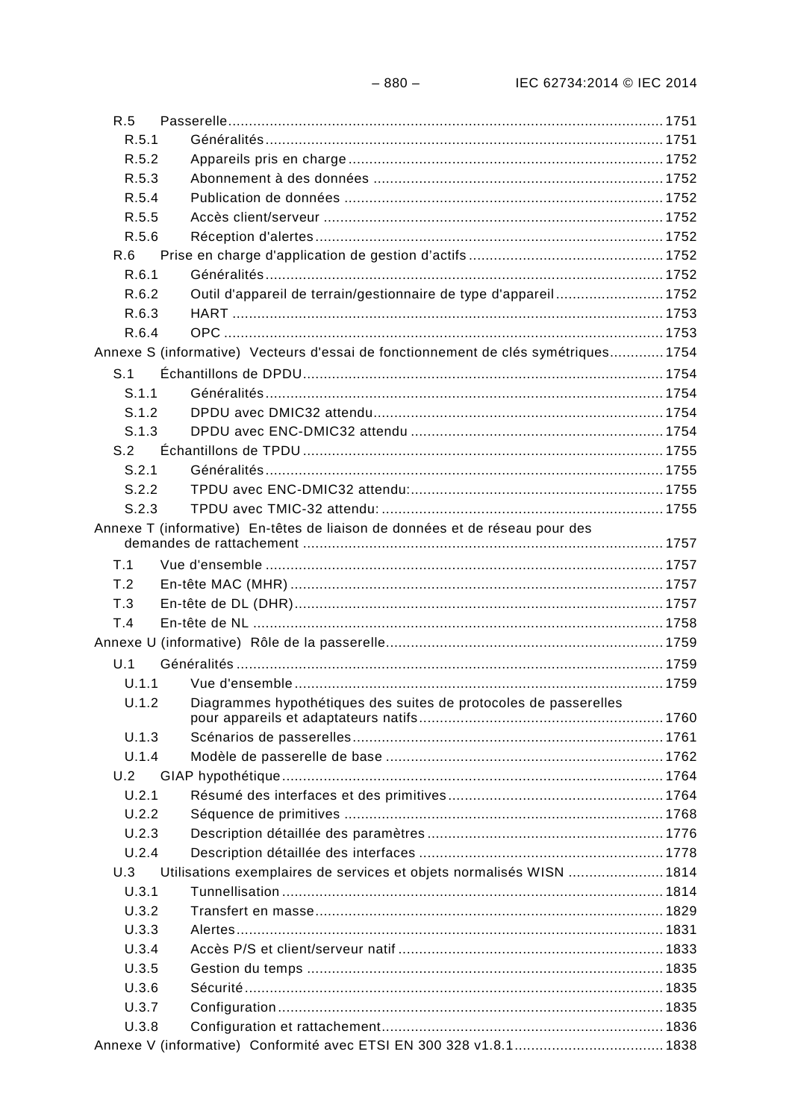| R.5   |                                                                                    |  |
|-------|------------------------------------------------------------------------------------|--|
| R.5.1 |                                                                                    |  |
| R.5.2 |                                                                                    |  |
| R.5.3 |                                                                                    |  |
| R.5.4 |                                                                                    |  |
| R.5.5 |                                                                                    |  |
| R.5.6 |                                                                                    |  |
| R.6   |                                                                                    |  |
| R.6.1 |                                                                                    |  |
| R.6.2 | Outil d'appareil de terrain/gestionnaire de type d'appareil 1752                   |  |
| R.6.3 |                                                                                    |  |
| R.6.4 |                                                                                    |  |
|       | Annexe S (informative) Vecteurs d'essai de fonctionnement de clés symétriques 1754 |  |
| S.1   |                                                                                    |  |
| S.1.1 |                                                                                    |  |
| S.1.2 |                                                                                    |  |
| S.1.3 |                                                                                    |  |
| S.2   |                                                                                    |  |
| S.2.1 |                                                                                    |  |
| S.2.2 |                                                                                    |  |
| S.2.3 |                                                                                    |  |
|       |                                                                                    |  |
|       | Annexe T (informative) En-têtes de liaison de données et de réseau pour des        |  |
| T.1   |                                                                                    |  |
| T.2   |                                                                                    |  |
| T.3   |                                                                                    |  |
| T.4   |                                                                                    |  |
|       |                                                                                    |  |
| U.1   |                                                                                    |  |
| U.1.1 |                                                                                    |  |
|       | Diagrammes hypothétiques des suites de protocoles de passerelles                   |  |
| U.1.2 |                                                                                    |  |
| U.1.3 |                                                                                    |  |
| U.1.4 |                                                                                    |  |
| U.2   |                                                                                    |  |
| U.2.1 |                                                                                    |  |
| U.2.2 |                                                                                    |  |
| U.2.3 |                                                                                    |  |
| U.2.4 |                                                                                    |  |
| U.3   | Utilisations exemplaires de services et objets normalisés WISN  1814               |  |
| U.3.1 |                                                                                    |  |
| U.3.2 |                                                                                    |  |
| U.3.3 |                                                                                    |  |
| U.3.4 |                                                                                    |  |
| U.3.5 |                                                                                    |  |
| U.3.6 |                                                                                    |  |
| U.3.7 |                                                                                    |  |
|       |                                                                                    |  |
| U.3.8 |                                                                                    |  |
|       |                                                                                    |  |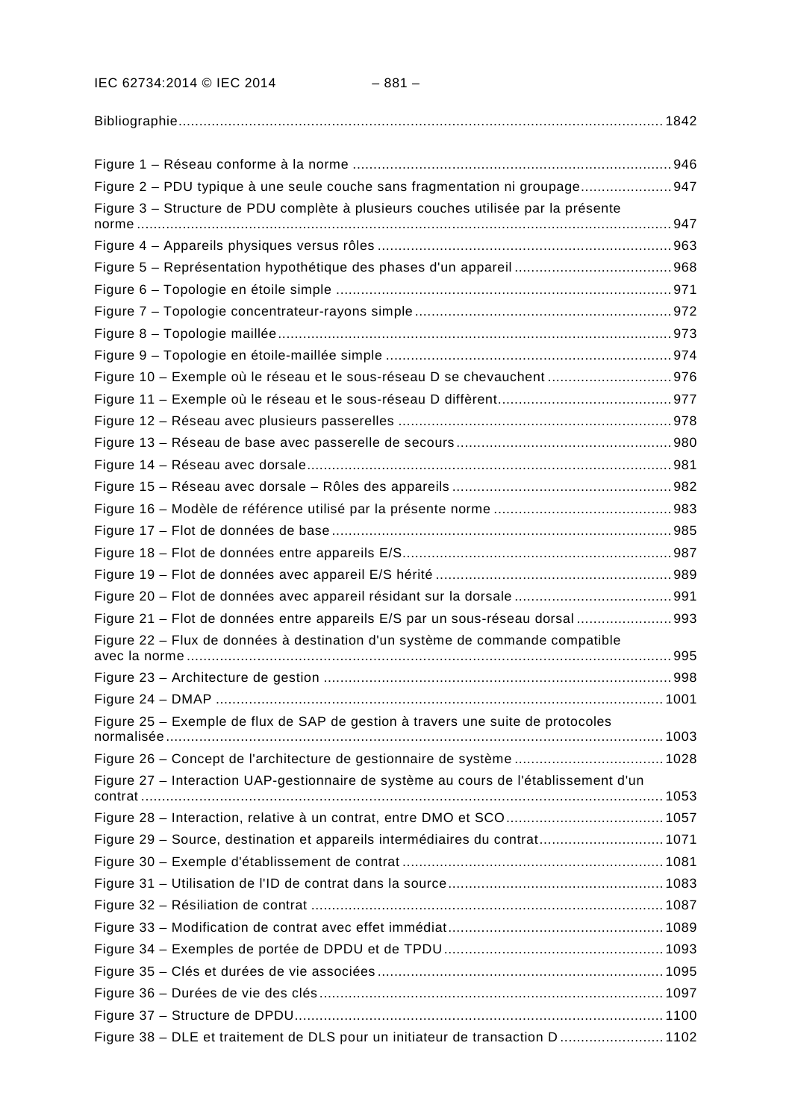IEC 62734:2014 © IEC 2014 – 881 –

| Figure 2 - PDU typique à une seule couche sans fragmentation ni groupage947          |  |
|--------------------------------------------------------------------------------------|--|
| Figure 3 – Structure de PDU complète à plusieurs couches utilisée par la présente    |  |
|                                                                                      |  |
|                                                                                      |  |
|                                                                                      |  |
|                                                                                      |  |
|                                                                                      |  |
|                                                                                      |  |
|                                                                                      |  |
| Figure 10 - Exemple où le réseau et le sous-réseau D se chevauchent  976             |  |
|                                                                                      |  |
|                                                                                      |  |
|                                                                                      |  |
|                                                                                      |  |
|                                                                                      |  |
|                                                                                      |  |
|                                                                                      |  |
|                                                                                      |  |
|                                                                                      |  |
|                                                                                      |  |
| Figure 21 - Flot de données entre appareils E/S par un sous-réseau dorsal 993        |  |
| Figure 22 - Flux de données à destination d'un système de commande compatible        |  |
|                                                                                      |  |
|                                                                                      |  |
| Figure 25 – Exemple de flux de SAP de gestion à travers une suite de protocoles      |  |
| Figure 26 – Concept de l'architecture de gestionnaire de système  1028               |  |
| Figure 27 - Interaction UAP-gestionnaire de système au cours de l'établissement d'un |  |
|                                                                                      |  |
|                                                                                      |  |
| Figure 29 - Source, destination et appareils intermédiaires du contrat 1071          |  |
|                                                                                      |  |
|                                                                                      |  |
|                                                                                      |  |
|                                                                                      |  |
|                                                                                      |  |
|                                                                                      |  |
|                                                                                      |  |
|                                                                                      |  |
| Figure 38 - DLE et traitement de DLS pour un initiateur de transaction D 1102        |  |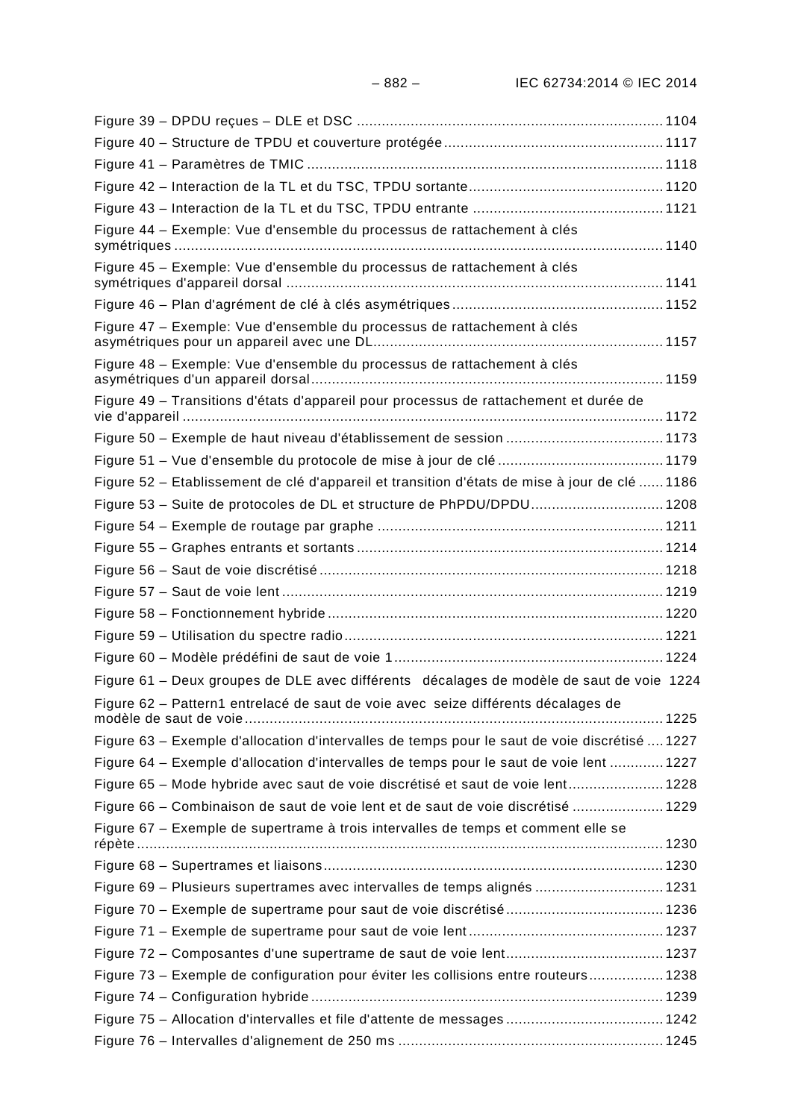| Figure 44 - Exemple: Vue d'ensemble du processus de rattachement à clés                       |  |
|-----------------------------------------------------------------------------------------------|--|
| Figure 45 – Exemple: Vue d'ensemble du processus de rattachement à clés                       |  |
|                                                                                               |  |
| Figure 47 - Exemple: Vue d'ensemble du processus de rattachement à clés                       |  |
| Figure 48 - Exemple: Vue d'ensemble du processus de rattachement à clés                       |  |
| Figure 49 - Transitions d'états d'appareil pour processus de rattachement et durée de         |  |
|                                                                                               |  |
|                                                                                               |  |
| Figure 52 - Etablissement de clé d'appareil et transition d'états de mise à jour de clé  1186 |  |
| Figure 53 - Suite de protocoles de DL et structure de PhPDU/DPDU 1208                         |  |
|                                                                                               |  |
|                                                                                               |  |
|                                                                                               |  |
|                                                                                               |  |
|                                                                                               |  |
|                                                                                               |  |
|                                                                                               |  |
| Figure 61 – Deux groupes de DLE avec différents décalages de modèle de saut de voie 1224      |  |
| Figure 62 - Pattern1 entrelacé de saut de voie avec seize différents décalages de             |  |
| Figure 63 - Exemple d'allocation d'intervalles de temps pour le saut de voie discrétisé  1227 |  |
| Figure 64 – Exemple d'allocation d'intervalles de temps pour le saut de voie lent  1227       |  |
| Figure 65 – Mode hybride avec saut de voie discrétisé et saut de voie lent 1228               |  |
| Figure 66 – Combinaison de saut de voie lent et de saut de voie discrétisé  1229              |  |
| Figure 67 – Exemple de supertrame à trois intervalles de temps et comment elle se             |  |
|                                                                                               |  |
| Figure 69 - Plusieurs supertrames avec intervalles de temps alignés  1231                     |  |
|                                                                                               |  |
|                                                                                               |  |
|                                                                                               |  |
| Figure 73 – Exemple de configuration pour éviter les collisions entre routeurs 1238           |  |
|                                                                                               |  |
|                                                                                               |  |
|                                                                                               |  |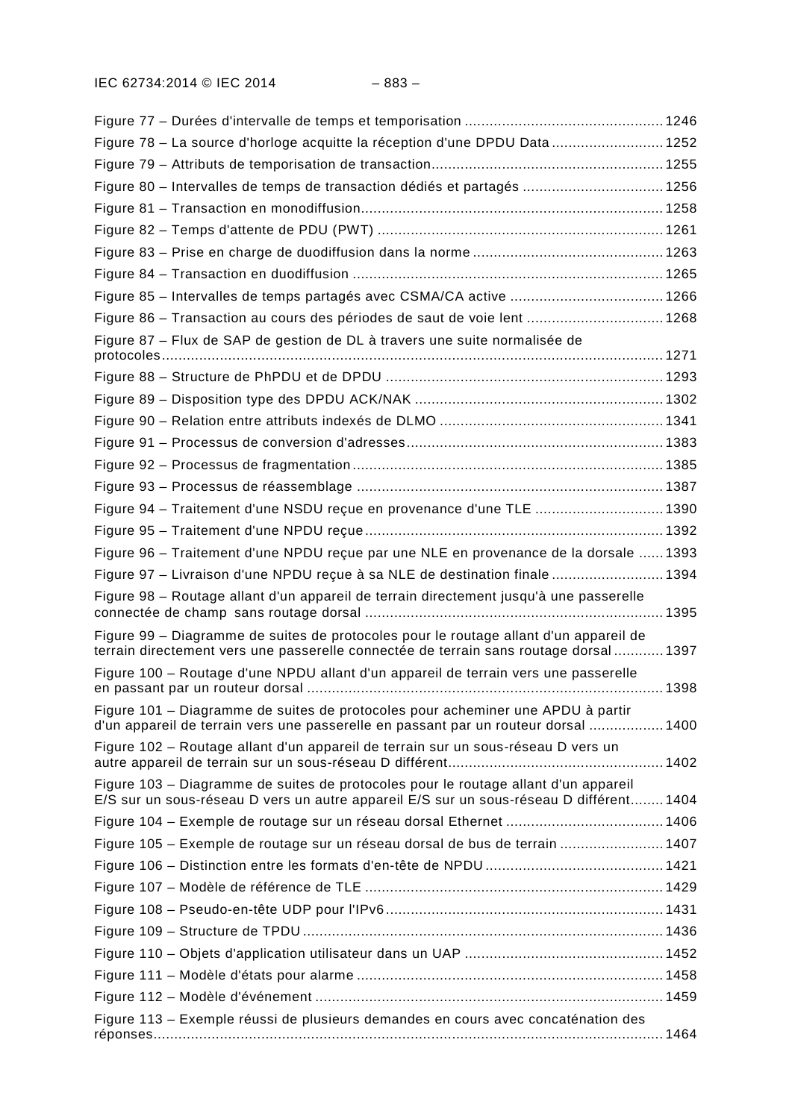| Figure 78 - La source d'horloge acquitte la réception d'une DPDU Data  1252                                                                                                     |  |
|---------------------------------------------------------------------------------------------------------------------------------------------------------------------------------|--|
|                                                                                                                                                                                 |  |
| Figure 80 - Intervalles de temps de transaction dédiés et partagés  1256                                                                                                        |  |
|                                                                                                                                                                                 |  |
|                                                                                                                                                                                 |  |
|                                                                                                                                                                                 |  |
|                                                                                                                                                                                 |  |
| Figure 85 - Intervalles de temps partagés avec CSMA/CA active  1266                                                                                                             |  |
| Figure 86 - Transaction au cours des périodes de saut de voie lent  1268                                                                                                        |  |
| Figure 87 – Flux de SAP de gestion de DL à travers une suite normalisée de                                                                                                      |  |
|                                                                                                                                                                                 |  |
|                                                                                                                                                                                 |  |
|                                                                                                                                                                                 |  |
|                                                                                                                                                                                 |  |
|                                                                                                                                                                                 |  |
|                                                                                                                                                                                 |  |
| Figure 94 - Traitement d'une NSDU reçue en provenance d'une TLE  1390                                                                                                           |  |
|                                                                                                                                                                                 |  |
| Figure 96 - Traitement d'une NPDU reçue par une NLE en provenance de la dorsale  1393                                                                                           |  |
| Figure 97 - Livraison d'une NPDU reçue à sa NLE de destination finale  1394                                                                                                     |  |
| Figure 98 - Routage allant d'un appareil de terrain directement jusqu'à une passerelle                                                                                          |  |
| Figure 99 - Diagramme de suites de protocoles pour le routage allant d'un appareil de<br>terrain directement vers une passerelle connectée de terrain sans routage dorsal  1397 |  |
| Figure 100 - Routage d'une NPDU allant d'un appareil de terrain vers une passerelle                                                                                             |  |
| Figure 101 - Diagramme de suites de protocoles pour acheminer une APDU à partir<br>d'un appareil de terrain vers une passerelle en passant par un routeur dorsal  1400          |  |
| Figure 102 – Routage allant d'un appareil de terrain sur un sous-réseau D vers un                                                                                               |  |
| Figure 103 - Diagramme de suites de protocoles pour le routage allant d'un appareil<br>E/S sur un sous-réseau D vers un autre appareil E/S sur un sous-réseau D différent 1404  |  |
|                                                                                                                                                                                 |  |
| Figure 105 – Exemple de routage sur un réseau dorsal de bus de terrain  1407                                                                                                    |  |
|                                                                                                                                                                                 |  |
|                                                                                                                                                                                 |  |
|                                                                                                                                                                                 |  |
|                                                                                                                                                                                 |  |
|                                                                                                                                                                                 |  |
|                                                                                                                                                                                 |  |
|                                                                                                                                                                                 |  |
| Figure 113 - Exemple réussi de plusieurs demandes en cours avec concaténation des                                                                                               |  |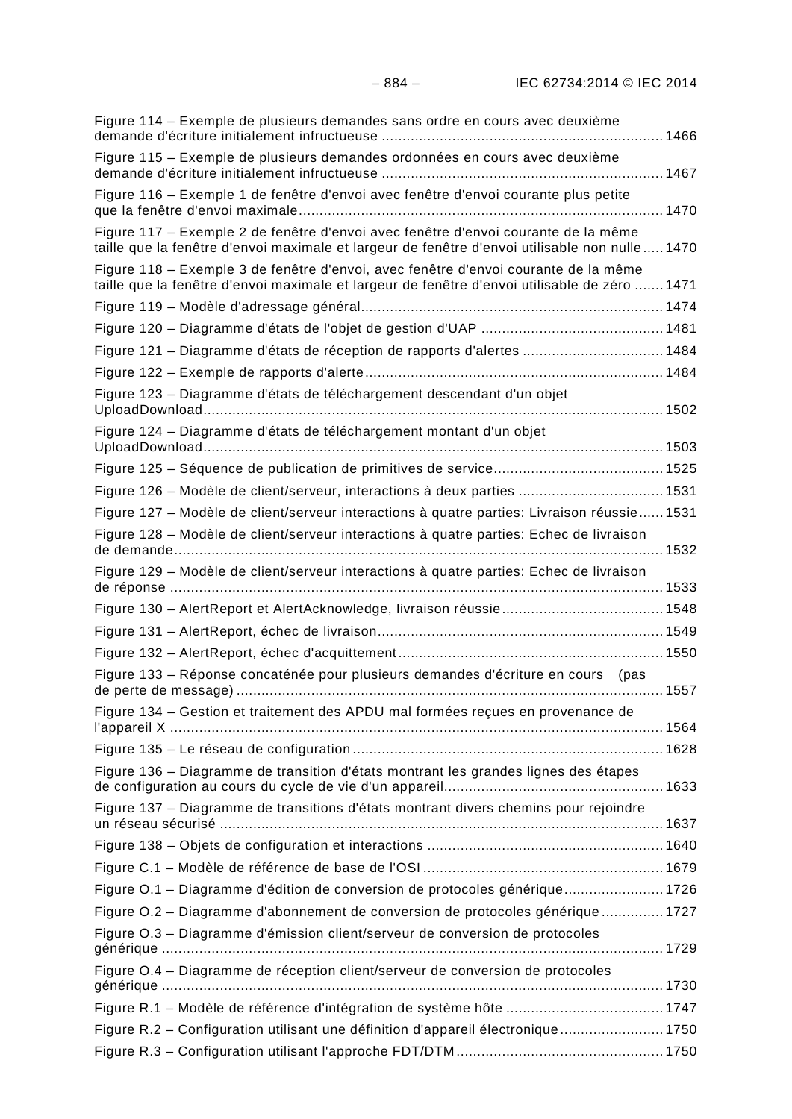| Figure 114 - Exemple de plusieurs demandes sans ordre en cours avec deuxième                                                                                                         |      |
|--------------------------------------------------------------------------------------------------------------------------------------------------------------------------------------|------|
| Figure 115 – Exemple de plusieurs demandes ordonnées en cours avec deuxième                                                                                                          |      |
| Figure 116 - Exemple 1 de fenêtre d'envoi avec fenêtre d'envoi courante plus petite                                                                                                  |      |
| Figure 117 – Exemple 2 de fenêtre d'envoi avec fenêtre d'envoi courante de la même<br>taille que la fenêtre d'envoi maximale et largeur de fenêtre d'envoi utilisable non nulle 1470 |      |
| Figure 118 – Exemple 3 de fenêtre d'envoi, avec fenêtre d'envoi courante de la même<br>taille que la fenêtre d'envoi maximale et largeur de fenêtre d'envoi utilisable de zéro  1471 |      |
|                                                                                                                                                                                      |      |
|                                                                                                                                                                                      |      |
| Figure 121 - Diagramme d'états de réception de rapports d'alertes  1484                                                                                                              |      |
|                                                                                                                                                                                      |      |
| Figure 123 – Diagramme d'états de téléchargement descendant d'un objet                                                                                                               |      |
| Figure 124 - Diagramme d'états de téléchargement montant d'un objet                                                                                                                  |      |
|                                                                                                                                                                                      |      |
| Figure 126 – Modèle de client/serveur, interactions à deux parties  1531                                                                                                             |      |
| Figure 127 - Modèle de client/serveur interactions à quatre parties: Livraison réussie 1531                                                                                          |      |
| Figure 128 – Modèle de client/serveur interactions à quatre parties: Echec de livraison                                                                                              | 1532 |
| Figure 129 - Modèle de client/serveur interactions à quatre parties: Echec de livraison                                                                                              |      |
|                                                                                                                                                                                      |      |
|                                                                                                                                                                                      |      |
|                                                                                                                                                                                      |      |
| Figure 133 – Réponse concaténée pour plusieurs demandes d'écriture en cours (pas                                                                                                     |      |
| Figure 134 - Gestion et traitement des APDU mal formées reçues en provenance de                                                                                                      |      |
|                                                                                                                                                                                      |      |
| Figure 136 – Diagramme de transition d'états montrant les grandes lignes des étapes                                                                                                  |      |
| Figure 137 - Diagramme de transitions d'états montrant divers chemins pour rejoindre                                                                                                 |      |
|                                                                                                                                                                                      |      |
|                                                                                                                                                                                      |      |
| Figure O.1 - Diagramme d'édition de conversion de protocoles générique 1726                                                                                                          |      |
| Figure O.2 - Diagramme d'abonnement de conversion de protocoles générique 1727                                                                                                       |      |
| Figure O.3 - Diagramme d'émission client/serveur de conversion de protocoles                                                                                                         |      |
| Figure O.4 - Diagramme de réception client/serveur de conversion de protocoles                                                                                                       |      |
|                                                                                                                                                                                      |      |
| Figure R.2 - Configuration utilisant une définition d'appareil électronique 1750                                                                                                     |      |
|                                                                                                                                                                                      |      |
|                                                                                                                                                                                      |      |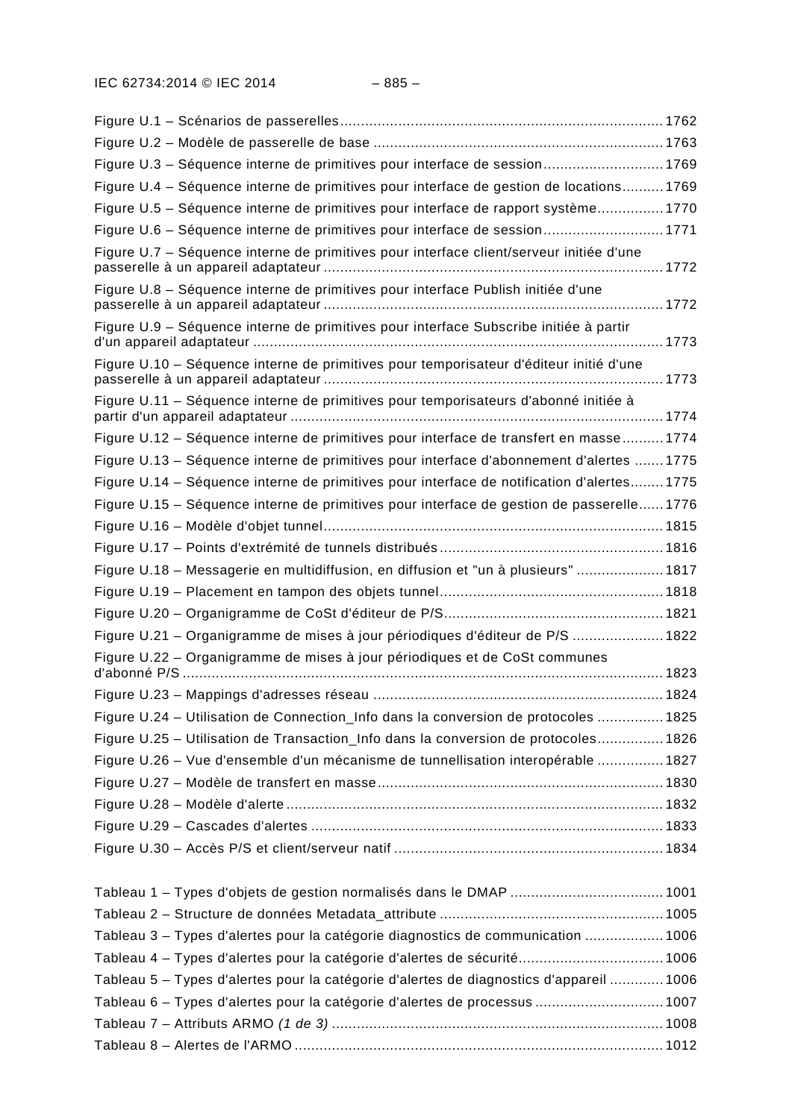| Figure U.3 - Séquence interne de primitives pour interface de session 1769                 |  |
|--------------------------------------------------------------------------------------------|--|
| Figure U.4 – Séquence interne de primitives pour interface de gestion de locations 1769    |  |
| Figure U.5 - Séquence interne de primitives pour interface de rapport système 1770         |  |
| Figure U.6 - Séquence interne de primitives pour interface de session 1771                 |  |
| Figure U.7 - Séquence interne de primitives pour interface client/serveur initiée d'une    |  |
| Figure U.8 - Séquence interne de primitives pour interface Publish initiée d'une           |  |
| Figure U.9 - Séquence interne de primitives pour interface Subscribe initiée à partir      |  |
| Figure U.10 - Séquence interne de primitives pour temporisateur d'éditeur initié d'une     |  |
| Figure U.11 - Séquence interne de primitives pour temporisateurs d'abonné initiée à        |  |
| Figure U.12 - Séquence interne de primitives pour interface de transfert en masse 1774     |  |
| Figure U.13 - Séquence interne de primitives pour interface d'abonnement d'alertes  1775   |  |
| Figure U.14 - Séquence interne de primitives pour interface de notification d'alertes 1775 |  |
| Figure U.15 - Séquence interne de primitives pour interface de gestion de passerelle 1776  |  |
|                                                                                            |  |
|                                                                                            |  |
| Figure U.18 - Messagerie en multidiffusion, en diffusion et "un à plusieurs"  1817         |  |
|                                                                                            |  |
|                                                                                            |  |
| Figure U.21 - Organigramme de mises à jour périodiques d'éditeur de P/S  1822              |  |
| Figure U.22 - Organigramme de mises à jour périodiques et de CoSt communes                 |  |
|                                                                                            |  |
| Figure U.24 – Utilisation de Connection_Info dans la conversion de protocoles  1825        |  |
| Figure U.25 - Utilisation de Transaction_Info dans la conversion de protocoles 1826        |  |
| Figure U.26 - Vue d'ensemble d'un mécanisme de tunnellisation interopérable  1827          |  |
|                                                                                            |  |
|                                                                                            |  |
|                                                                                            |  |
|                                                                                            |  |
|                                                                                            |  |
|                                                                                            |  |
| Tableau 3 - Types d'alertes pour la catégorie diagnostics de communication  1006           |  |
| Tableau 4 - Types d'alertes pour la catégorie d'alertes de sécurité 1006                   |  |
| Tableau 5 - Types d'alertes pour la catégorie d'alertes de diagnostics d'appareil  1006    |  |
| Tableau 6 - Types d'alertes pour la catégorie d'alertes de processus  1007                 |  |
|                                                                                            |  |
|                                                                                            |  |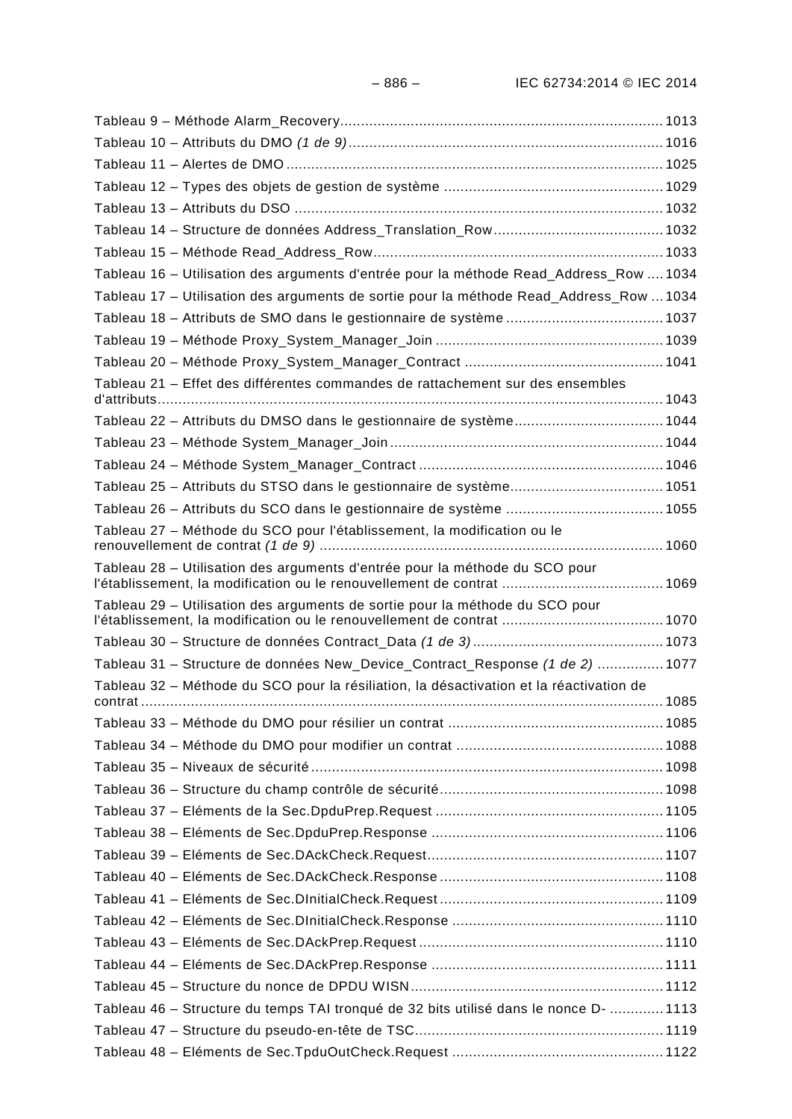| Tableau 16 - Utilisation des arguments d'entrée pour la méthode Read_Address_Row  1034  |  |
|-----------------------------------------------------------------------------------------|--|
| Tableau 17 - Utilisation des arguments de sortie pour la méthode Read_Address_Row  1034 |  |
|                                                                                         |  |
|                                                                                         |  |
|                                                                                         |  |
| Tableau 21 - Effet des différentes commandes de rattachement sur des ensembles          |  |
| Tableau 22 - Attributs du DMSO dans le gestionnaire de système 1044                     |  |
|                                                                                         |  |
|                                                                                         |  |
| Tableau 25 - Attributs du STSO dans le gestionnaire de système 1051                     |  |
|                                                                                         |  |
| Tableau 27 - Méthode du SCO pour l'établissement, la modification ou le                 |  |
| Tableau 28 - Utilisation des arguments d'entrée pour la méthode du SCO pour             |  |
| Tableau 29 – Utilisation des arguments de sortie pour la méthode du SCO pour            |  |
|                                                                                         |  |
| Tableau 31 - Structure de données New_Device_Contract_Response (1 de 2)  1077           |  |
| Tableau 32 - Méthode du SCO pour la résiliation, la désactivation et la réactivation de |  |
|                                                                                         |  |
|                                                                                         |  |
|                                                                                         |  |
|                                                                                         |  |
|                                                                                         |  |
|                                                                                         |  |
|                                                                                         |  |
|                                                                                         |  |
|                                                                                         |  |
|                                                                                         |  |
|                                                                                         |  |
|                                                                                         |  |
|                                                                                         |  |
| Tableau 46 - Structure du temps TAI tronqué de 32 bits utilisé dans le nonce D-  1113   |  |
|                                                                                         |  |
|                                                                                         |  |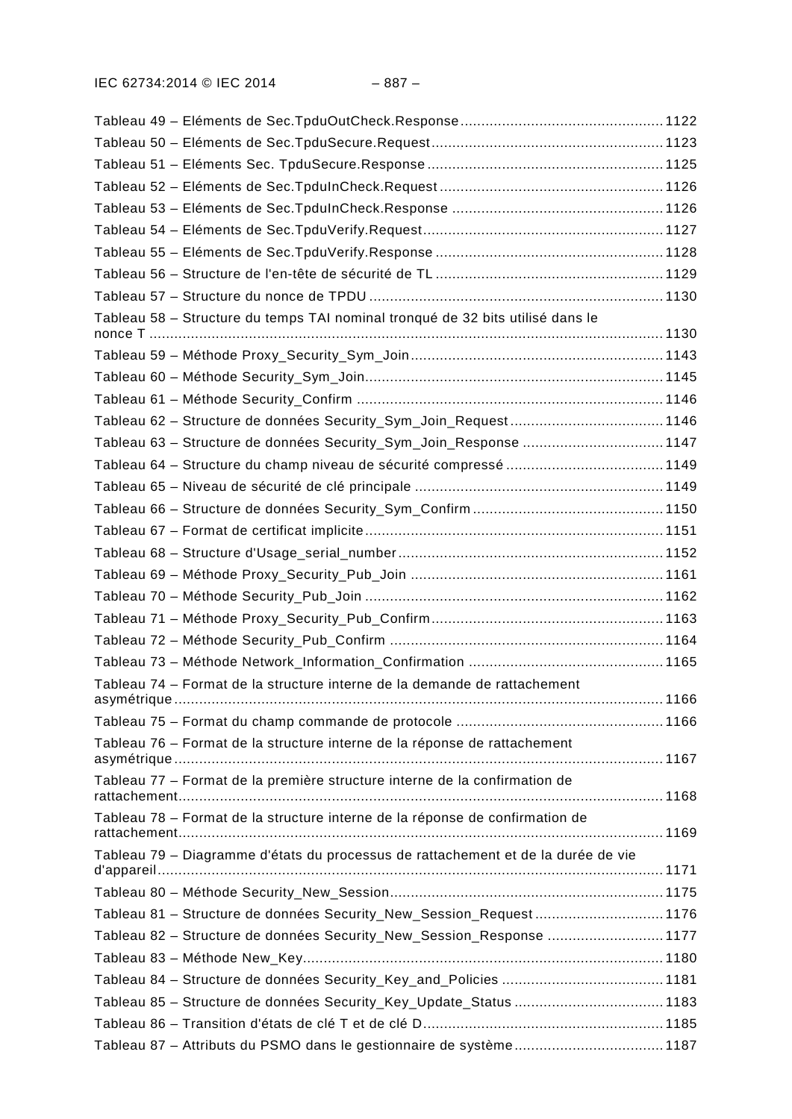| Tableau 58 - Structure du temps TAI nominal tronqué de 32 bits utilisé dans le    |  |
|-----------------------------------------------------------------------------------|--|
|                                                                                   |  |
|                                                                                   |  |
|                                                                                   |  |
| Tableau 62 - Structure de données Security_Sym_Join_Request 1146                  |  |
| Tableau 63 - Structure de données Security_Sym_Join_Response  1147                |  |
|                                                                                   |  |
|                                                                                   |  |
|                                                                                   |  |
|                                                                                   |  |
|                                                                                   |  |
|                                                                                   |  |
|                                                                                   |  |
|                                                                                   |  |
|                                                                                   |  |
|                                                                                   |  |
| Tableau 74 – Format de la structure interne de la demande de rattachement         |  |
|                                                                                   |  |
| Tableau 76 – Format de la structure interne de la réponse de rattachement         |  |
| Tableau 77 - Format de la première structure interne de la confirmation de        |  |
| Tableau 78 – Format de la structure interne de la réponse de confirmation de      |  |
| Tableau 79 - Diagramme d'états du processus de rattachement et de la durée de vie |  |
|                                                                                   |  |
| Tableau 81 - Structure de données Security_New_Session_Request  1176              |  |
| Tableau 82 - Structure de données Security_New_Session_Response  1177             |  |
|                                                                                   |  |
|                                                                                   |  |
| Tableau 85 - Structure de données Security_Key_Update_Status  1183                |  |
|                                                                                   |  |
| Tableau 87 - Attributs du PSMO dans le gestionnaire de système 1187               |  |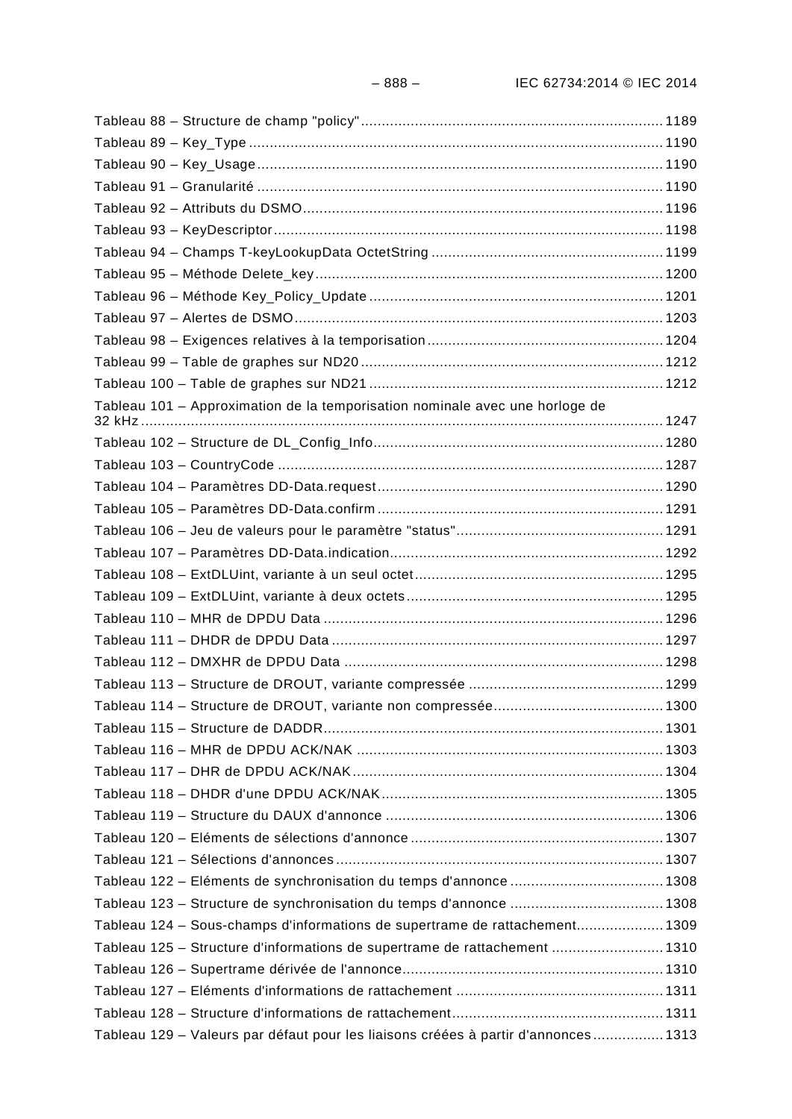| Tableau 88 - Structure de champ "policy"……………………………………………………………… 1189               |  |
|-------------------------------------------------------------------------------------|--|
|                                                                                     |  |
|                                                                                     |  |
|                                                                                     |  |
|                                                                                     |  |
|                                                                                     |  |
|                                                                                     |  |
|                                                                                     |  |
|                                                                                     |  |
|                                                                                     |  |
|                                                                                     |  |
|                                                                                     |  |
|                                                                                     |  |
| Tableau 101 - Approximation de la temporisation nominale avec une horloge de        |  |
|                                                                                     |  |
|                                                                                     |  |
|                                                                                     |  |
|                                                                                     |  |
|                                                                                     |  |
|                                                                                     |  |
|                                                                                     |  |
|                                                                                     |  |
|                                                                                     |  |
|                                                                                     |  |
|                                                                                     |  |
|                                                                                     |  |
|                                                                                     |  |
|                                                                                     |  |
|                                                                                     |  |
|                                                                                     |  |
|                                                                                     |  |
|                                                                                     |  |
|                                                                                     |  |
|                                                                                     |  |
|                                                                                     |  |
|                                                                                     |  |
| Tableau 124 – Sous-champs d'informations de supertrame de rattachement 1309         |  |
| Tableau 125 – Structure d'informations de supertrame de rattachement  1310          |  |
|                                                                                     |  |
|                                                                                     |  |
|                                                                                     |  |
| Tableau 129 - Valeurs par défaut pour les liaisons créées à partir d'annonces  1313 |  |
|                                                                                     |  |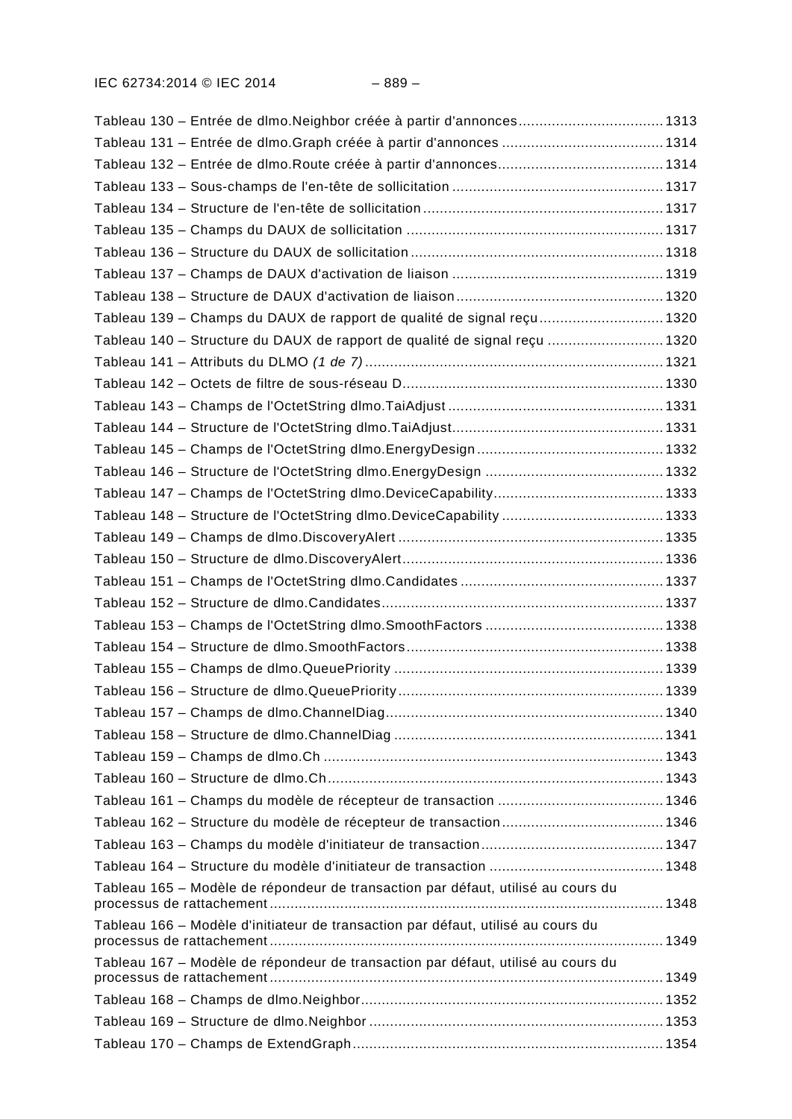| Tableau 130 – Entrée de dlmo. Neighbor créée à partir d'annonces 1313            |  |
|----------------------------------------------------------------------------------|--|
|                                                                                  |  |
|                                                                                  |  |
|                                                                                  |  |
|                                                                                  |  |
|                                                                                  |  |
|                                                                                  |  |
|                                                                                  |  |
|                                                                                  |  |
| Tableau 139 - Champs du DAUX de rapport de qualité de signal reçu  1320          |  |
| Tableau 140 - Structure du DAUX de rapport de qualité de signal reçu  1320       |  |
|                                                                                  |  |
|                                                                                  |  |
|                                                                                  |  |
|                                                                                  |  |
|                                                                                  |  |
|                                                                                  |  |
|                                                                                  |  |
|                                                                                  |  |
|                                                                                  |  |
|                                                                                  |  |
|                                                                                  |  |
|                                                                                  |  |
|                                                                                  |  |
|                                                                                  |  |
|                                                                                  |  |
|                                                                                  |  |
|                                                                                  |  |
|                                                                                  |  |
|                                                                                  |  |
|                                                                                  |  |
|                                                                                  |  |
|                                                                                  |  |
|                                                                                  |  |
|                                                                                  |  |
| Tableau 165 – Modèle de répondeur de transaction par défaut, utilisé au cours du |  |
|                                                                                  |  |
| Tableau 166 – Modèle d'initiateur de transaction par défaut, utilisé au cours du |  |
| Tableau 167 - Modèle de répondeur de transaction par défaut, utilisé au cours du |  |
|                                                                                  |  |
|                                                                                  |  |
|                                                                                  |  |
|                                                                                  |  |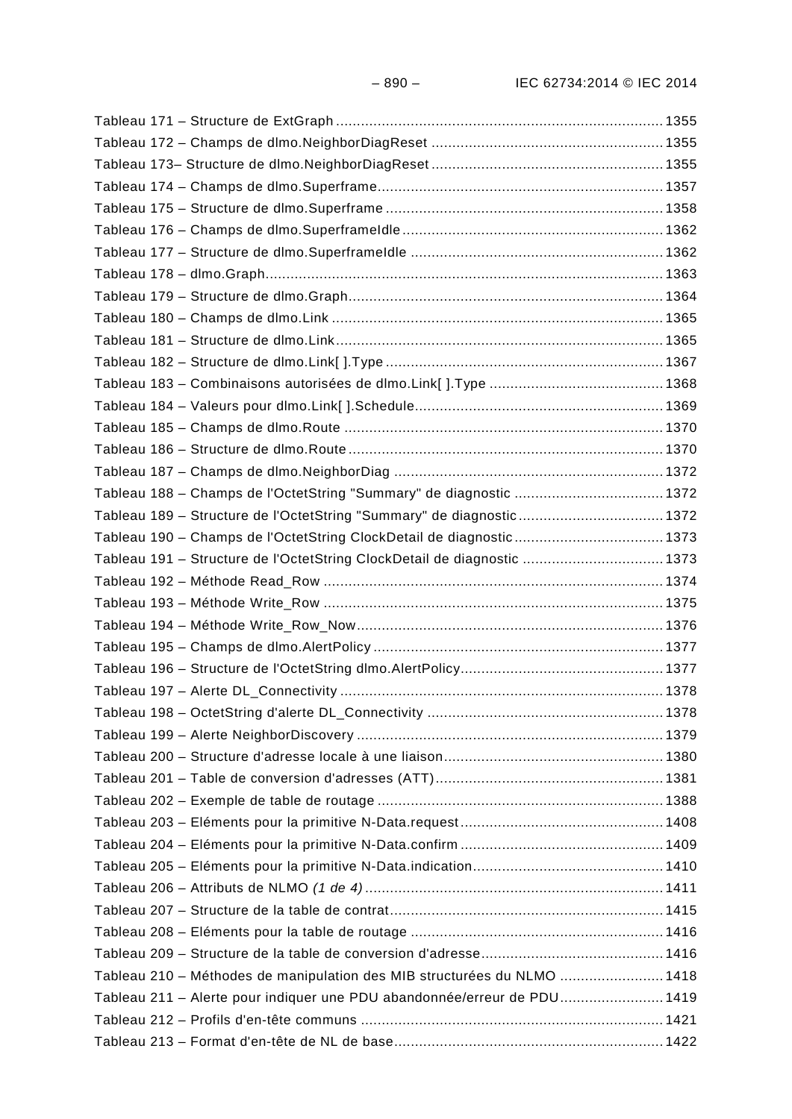| Tableau 188 - Champs de l'OctetString "Summary" de diagnostic  1372      |  |
|--------------------------------------------------------------------------|--|
| Tableau 189 - Structure de l'OctetString "Summary" de diagnostic 1372    |  |
| Tableau 190 - Champs de l'OctetString ClockDetail de diagnostic 1373     |  |
| Tableau 191 - Structure de l'OctetString ClockDetail de diagnostic  1373 |  |
|                                                                          |  |
|                                                                          |  |
|                                                                          |  |
|                                                                          |  |
|                                                                          |  |
|                                                                          |  |
|                                                                          |  |
|                                                                          |  |
|                                                                          |  |
|                                                                          |  |
|                                                                          |  |
|                                                                          |  |
|                                                                          |  |
|                                                                          |  |
|                                                                          |  |
|                                                                          |  |
|                                                                          |  |
|                                                                          |  |
| Tableau 210 - Méthodes de manipulation des MIB structurées du NLMO  1418 |  |
| Tableau 211 - Alerte pour indiquer une PDU abandonnée/erreur de PDU 1419 |  |
|                                                                          |  |
|                                                                          |  |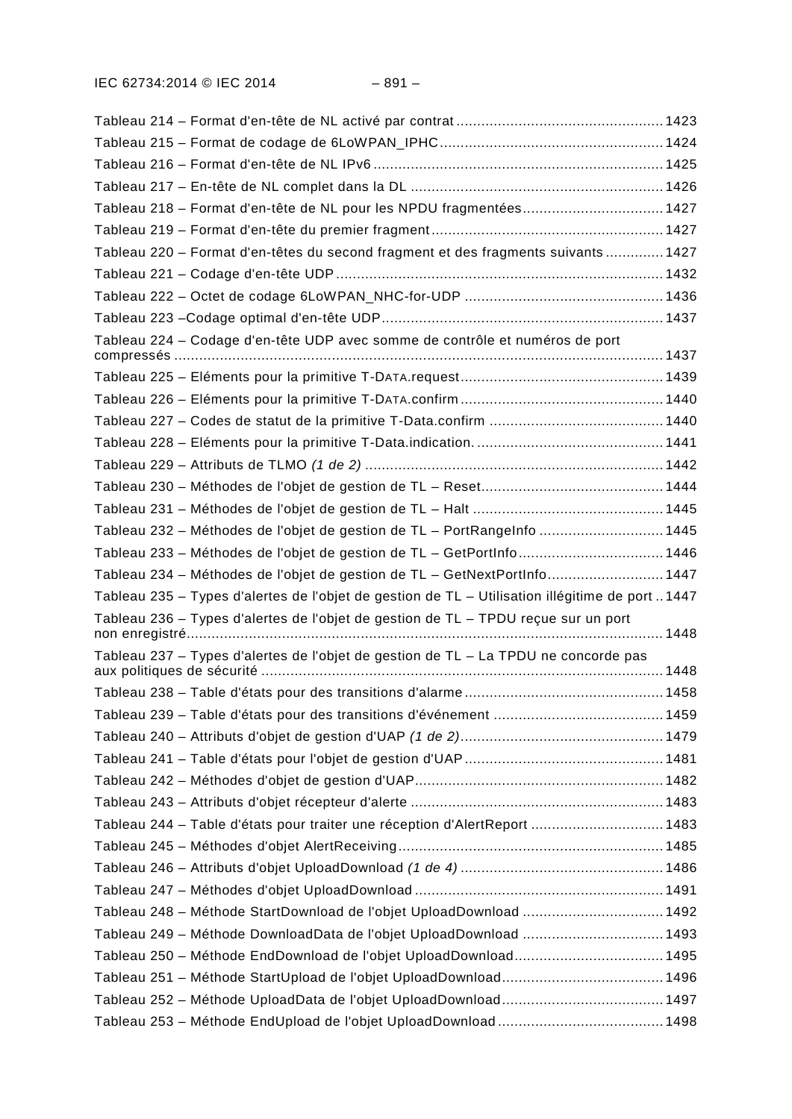| Tableau 218 - Format d'en-tête de NL pour les NPDU fragmentées 1427                             |  |
|-------------------------------------------------------------------------------------------------|--|
|                                                                                                 |  |
| Tableau 220 - Format d'en-têtes du second fragment et des fragments suivants  1427              |  |
|                                                                                                 |  |
|                                                                                                 |  |
|                                                                                                 |  |
| Tableau 224 - Codage d'en-tête UDP avec somme de contrôle et numéros de port                    |  |
|                                                                                                 |  |
|                                                                                                 |  |
|                                                                                                 |  |
|                                                                                                 |  |
|                                                                                                 |  |
|                                                                                                 |  |
|                                                                                                 |  |
| Tableau 232 - Méthodes de l'objet de gestion de TL - PortRangeInfo  1445                        |  |
| Tableau 233 - Méthodes de l'objet de gestion de TL - GetPortInfo 1446                           |  |
| Tableau 234 - Méthodes de l'objet de gestion de TL - GetNextPortInfo 1447                       |  |
| Tableau 235 - Types d'alertes de l'objet de gestion de TL - Utilisation illégitime de port 1447 |  |
| Tableau 236 - Types d'alertes de l'objet de gestion de TL - TPDU reçue sur un port              |  |
| Tableau 237 - Types d'alertes de l'objet de gestion de TL - La TPDU ne concorde pas             |  |
|                                                                                                 |  |
|                                                                                                 |  |
|                                                                                                 |  |
|                                                                                                 |  |
|                                                                                                 |  |
|                                                                                                 |  |
| Tableau 244 - Table d'états pour traiter une réception d'AlertReport  1483                      |  |
|                                                                                                 |  |
|                                                                                                 |  |
|                                                                                                 |  |
| Tableau 248 - Méthode StartDownload de l'objet UploadDownload  1492                             |  |
| Tableau 249 - Méthode DownloadData de l'objet UploadDownload  1493                              |  |
| Tableau 250 - Méthode EndDownload de l'objet UploadDownload 1495                                |  |
|                                                                                                 |  |
|                                                                                                 |  |
|                                                                                                 |  |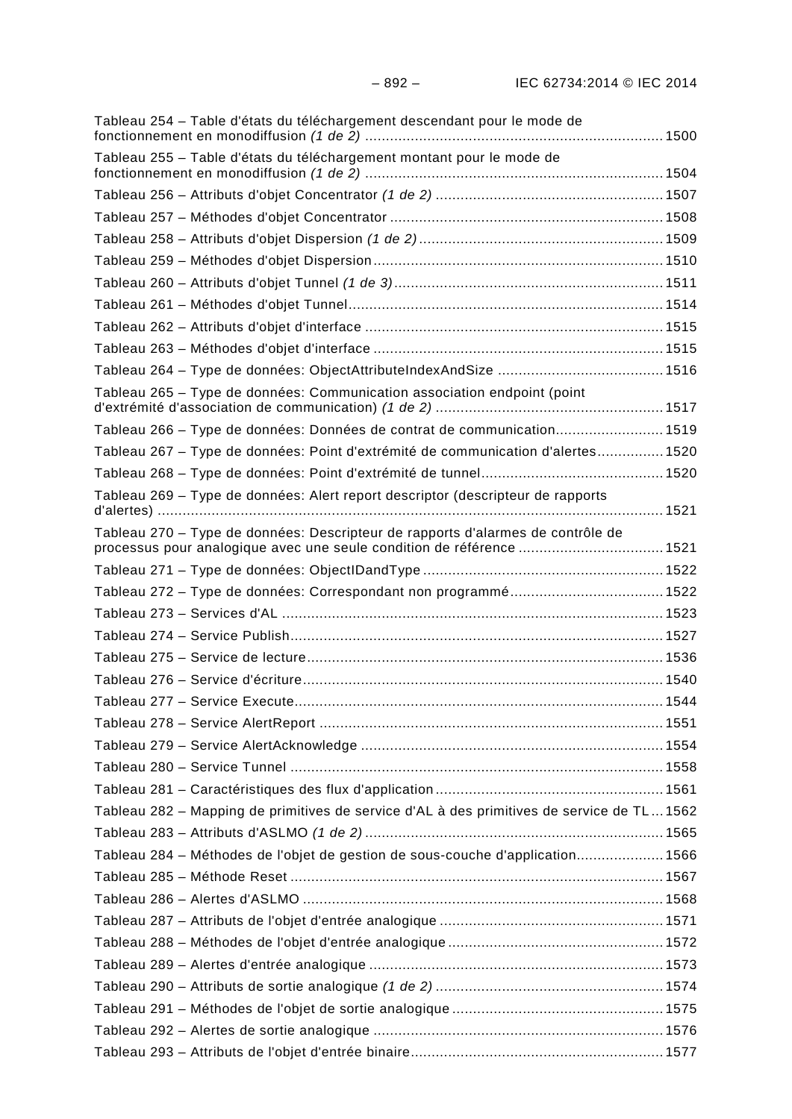| Tableau 254 – Table d'états du téléchargement descendant pour le mode de                                                                                 |  |
|----------------------------------------------------------------------------------------------------------------------------------------------------------|--|
| Tableau 255 - Table d'états du téléchargement montant pour le mode de                                                                                    |  |
|                                                                                                                                                          |  |
|                                                                                                                                                          |  |
|                                                                                                                                                          |  |
|                                                                                                                                                          |  |
|                                                                                                                                                          |  |
|                                                                                                                                                          |  |
|                                                                                                                                                          |  |
|                                                                                                                                                          |  |
|                                                                                                                                                          |  |
| Tableau 265 - Type de données: Communication association endpoint (point                                                                                 |  |
| Tableau 266 - Type de données: Données de contrat de communication 1519                                                                                  |  |
| Tableau 267 – Type de données: Point d'extrémité de communication d'alertes 1520                                                                         |  |
|                                                                                                                                                          |  |
| Tableau 269 - Type de données: Alert report descriptor (descripteur de rapports                                                                          |  |
| Tableau 270 – Type de données: Descripteur de rapports d'alarmes de contrôle de<br>processus pour analogique avec une seule condition de référence  1521 |  |
|                                                                                                                                                          |  |
|                                                                                                                                                          |  |
|                                                                                                                                                          |  |
|                                                                                                                                                          |  |
| Tobloou 275 Convice de Lecture                                                                                                                           |  |

| Tableau 265 - Type de données: Communication association endpoint (point                                                                                 |  |
|----------------------------------------------------------------------------------------------------------------------------------------------------------|--|
| Tableau 266 - Type de données: Données de contrat de communication 1519                                                                                  |  |
| Tableau 267 - Type de données: Point d'extrémité de communication d'alertes 1520                                                                         |  |
|                                                                                                                                                          |  |
| Tableau 269 - Type de données: Alert report descriptor (descripteur de rapports                                                                          |  |
| Tableau 270 – Type de données: Descripteur de rapports d'alarmes de contrôle de<br>processus pour analogique avec une seule condition de référence  1521 |  |
|                                                                                                                                                          |  |
|                                                                                                                                                          |  |
|                                                                                                                                                          |  |
|                                                                                                                                                          |  |
|                                                                                                                                                          |  |
|                                                                                                                                                          |  |
|                                                                                                                                                          |  |
|                                                                                                                                                          |  |
|                                                                                                                                                          |  |
|                                                                                                                                                          |  |
|                                                                                                                                                          |  |
| Tableau 282 – Mapping de primitives de service d'AL à des primitives de service de TL1562                                                                |  |
|                                                                                                                                                          |  |
| Tableau 284 - Méthodes de l'objet de gestion de sous-couche d'application 1566                                                                           |  |
|                                                                                                                                                          |  |
|                                                                                                                                                          |  |
|                                                                                                                                                          |  |
|                                                                                                                                                          |  |
|                                                                                                                                                          |  |
|                                                                                                                                                          |  |
|                                                                                                                                                          |  |
|                                                                                                                                                          |  |
|                                                                                                                                                          |  |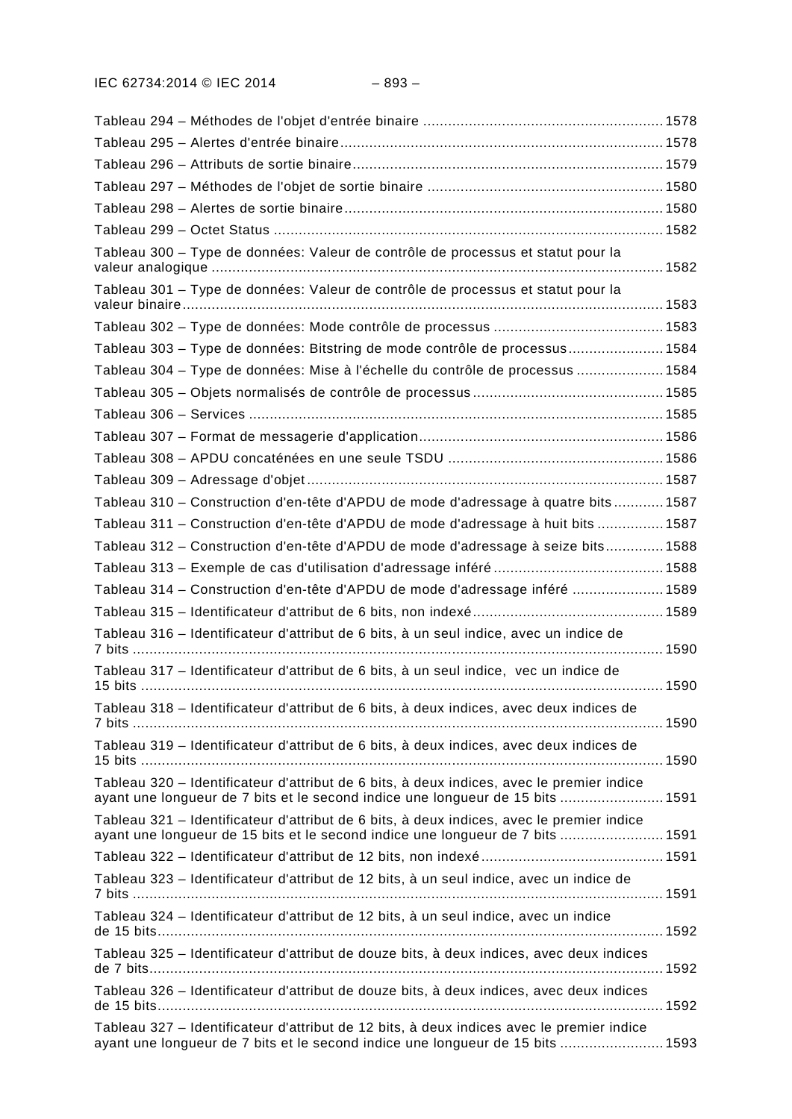| Tableau 300 - Type de données: Valeur de contrôle de processus et statut pour la                                                                                            |  |
|-----------------------------------------------------------------------------------------------------------------------------------------------------------------------------|--|
| Tableau 301 - Type de données: Valeur de contrôle de processus et statut pour la                                                                                            |  |
|                                                                                                                                                                             |  |
| Tableau 303 - Type de données: Bitstring de mode contrôle de processus 1584                                                                                                 |  |
| Tableau 304 - Type de données: Mise à l'échelle du contrôle de processus  1584                                                                                              |  |
|                                                                                                                                                                             |  |
|                                                                                                                                                                             |  |
|                                                                                                                                                                             |  |
|                                                                                                                                                                             |  |
|                                                                                                                                                                             |  |
| Tableau 310 - Construction d'en-tête d'APDU de mode d'adressage à quatre bits  1587                                                                                         |  |
| Tableau 311 - Construction d'en-tête d'APDU de mode d'adressage à huit bits  1587                                                                                           |  |
| Tableau 312 - Construction d'en-tête d'APDU de mode d'adressage à seize bits 1588                                                                                           |  |
|                                                                                                                                                                             |  |
| Tableau 314 - Construction d'en-tête d'APDU de mode d'adressage inféré  1589                                                                                                |  |
|                                                                                                                                                                             |  |
| Tableau 316 - Identificateur d'attribut de 6 bits, à un seul indice, avec un indice de                                                                                      |  |
| Tableau 317 - Identificateur d'attribut de 6 bits, à un seul indice, vec un indice de                                                                                       |  |
| Tableau 318 - Identificateur d'attribut de 6 bits, à deux indices, avec deux indices de                                                                                     |  |
| Tableau 319 - Identificateur d'attribut de 6 bits, à deux indices, avec deux indices de                                                                                     |  |
| Tableau 320 – Identificateur d'attribut de 6 bits, à deux indices, avec le premier indice<br>ayant une longueur de 7 bits et le second indice une longueur de 15 bits  1591 |  |
| Tableau 321 – Identificateur d'attribut de 6 bits, à deux indices, avec le premier indice<br>ayant une longueur de 15 bits et le second indice une longueur de 7 bits  1591 |  |
|                                                                                                                                                                             |  |
| Tableau 323 – Identificateur d'attribut de 12 bits, à un seul indice, avec un indice de                                                                                     |  |
| Tableau 324 – Identificateur d'attribut de 12 bits, à un seul indice, avec un indice                                                                                        |  |
| Tableau 325 – Identificateur d'attribut de douze bits, à deux indices, avec deux indices                                                                                    |  |
| Tableau 326 – Identificateur d'attribut de douze bits, à deux indices, avec deux indices                                                                                    |  |
| Tableau 327 – Identificateur d'attribut de 12 bits, à deux indices avec le premier indice<br>ayant une longueur de 7 bits et le second indice une longueur de 15 bits  1593 |  |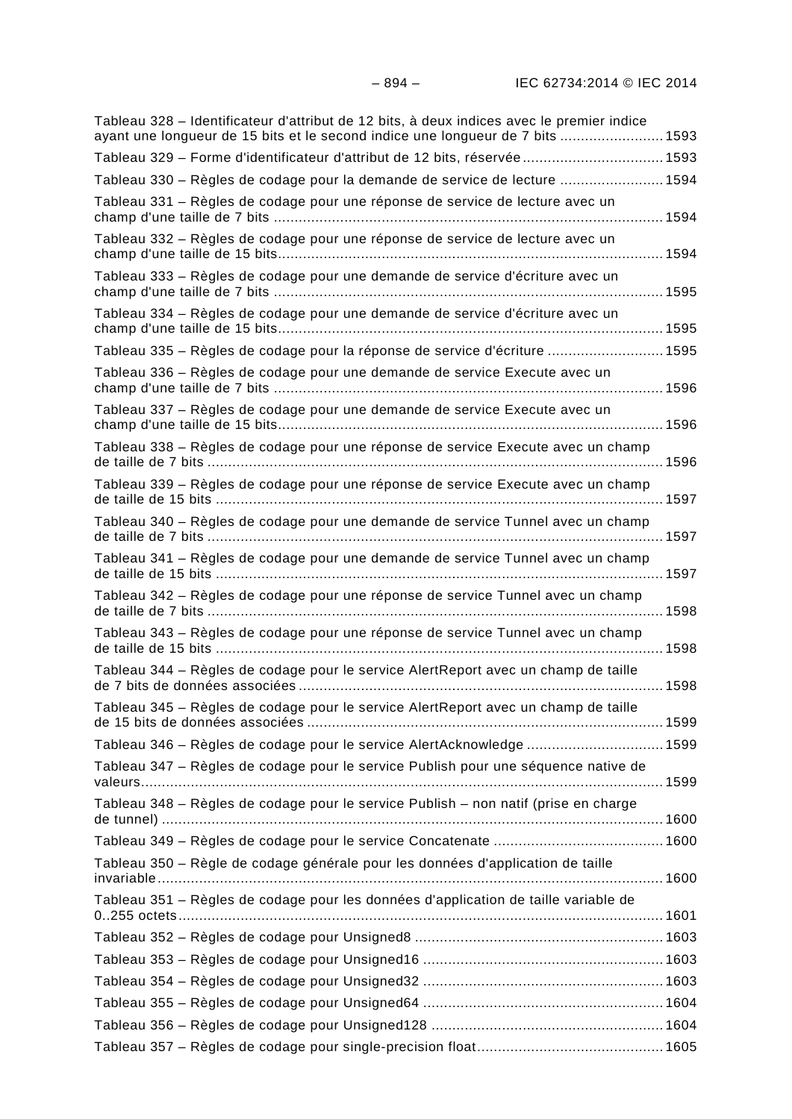| Tableau 328 - Identificateur d'attribut de 12 bits, à deux indices avec le premier indice<br>ayant une longueur de 15 bits et le second indice une longueur de 7 bits  1593 |      |
|-----------------------------------------------------------------------------------------------------------------------------------------------------------------------------|------|
| Tableau 329 - Forme d'identificateur d'attribut de 12 bits, réservée  1593                                                                                                  |      |
| Tableau 330 - Règles de codage pour la demande de service de lecture  1594                                                                                                  |      |
| Tableau 331 – Règles de codage pour une réponse de service de lecture avec un                                                                                               | 1594 |
| Tableau 332 - Règles de codage pour une réponse de service de lecture avec un                                                                                               |      |
| Tableau 333 - Règles de codage pour une demande de service d'écriture avec un                                                                                               | 1595 |
| Tableau 334 – Règles de codage pour une demande de service d'écriture avec un                                                                                               |      |
| Tableau 335 - Règles de codage pour la réponse de service d'écriture  1595                                                                                                  |      |
| Tableau 336 – Règles de codage pour une demande de service Execute avec un                                                                                                  |      |
| Tableau 337 - Règles de codage pour une demande de service Execute avec un                                                                                                  | 1596 |
| Tableau 338 – Règles de codage pour une réponse de service Execute avec un champ                                                                                            |      |
| Tableau 339 – Règles de codage pour une réponse de service Execute avec un champ                                                                                            | 1597 |
| Tableau 340 - Règles de codage pour une demande de service Tunnel avec un champ                                                                                             | 1597 |
| Tableau 341 - Règles de codage pour une demande de service Tunnel avec un champ                                                                                             |      |
| Tableau 342 – Règles de codage pour une réponse de service Tunnel avec un champ                                                                                             | 1598 |
| Tableau 343 - Règles de codage pour une réponse de service Tunnel avec un champ                                                                                             | 1598 |
| Tableau 344 - Règles de codage pour le service AlertReport avec un champ de taille                                                                                          | 1598 |
| Tableau 345 - Règles de codage pour le service AlertReport avec un champ de taille                                                                                          |      |
| Tableau 346 - Règles de codage pour le service AlertAcknowledge  1599                                                                                                       |      |
| Tableau 347 – Règles de codage pour le service Publish pour une séquence native de                                                                                          |      |
| Tableau 348 – Règles de codage pour le service Publish – non natif (prise en charge                                                                                         |      |
|                                                                                                                                                                             |      |
| Tableau 350 – Règle de codage générale pour les données d'application de taille                                                                                             |      |
| Tableau 351 - Règles de codage pour les données d'application de taille variable de                                                                                         |      |
|                                                                                                                                                                             |      |
|                                                                                                                                                                             |      |
|                                                                                                                                                                             |      |
|                                                                                                                                                                             |      |
|                                                                                                                                                                             |      |
|                                                                                                                                                                             |      |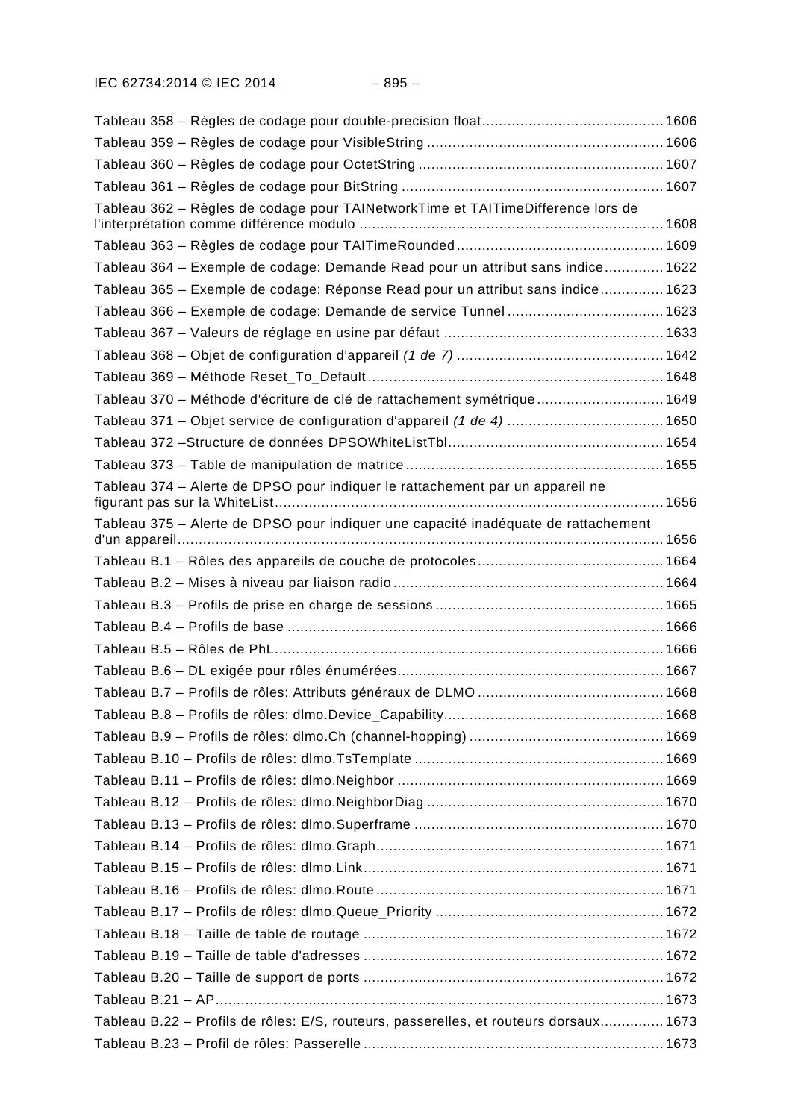| Tableau 362 - Règles de codage pour TAINetworkTime et TAITimeDifference lors de       |  |
|---------------------------------------------------------------------------------------|--|
|                                                                                       |  |
| Tableau 364 - Exemple de codage: Demande Read pour un attribut sans indice 1622       |  |
| Tableau 365 - Exemple de codage: Réponse Read pour un attribut sans indice 1623       |  |
|                                                                                       |  |
|                                                                                       |  |
|                                                                                       |  |
|                                                                                       |  |
| Tableau 370 - Méthode d'écriture de clé de rattachement symétrique 1649               |  |
|                                                                                       |  |
|                                                                                       |  |
|                                                                                       |  |
| Tableau 374 - Alerte de DPSO pour indiquer le rattachement par un appareil ne         |  |
| Tableau 375 - Alerte de DPSO pour indiquer une capacité inadéquate de rattachement    |  |
|                                                                                       |  |
|                                                                                       |  |
|                                                                                       |  |
|                                                                                       |  |
|                                                                                       |  |
|                                                                                       |  |
|                                                                                       |  |
|                                                                                       |  |
|                                                                                       |  |
|                                                                                       |  |
|                                                                                       |  |
|                                                                                       |  |
|                                                                                       |  |
|                                                                                       |  |
|                                                                                       |  |
|                                                                                       |  |
|                                                                                       |  |
|                                                                                       |  |
|                                                                                       |  |
|                                                                                       |  |
|                                                                                       |  |
| Tableau B.22 - Profils de rôles: E/S, routeurs, passerelles, et routeurs dorsaux 1673 |  |
|                                                                                       |  |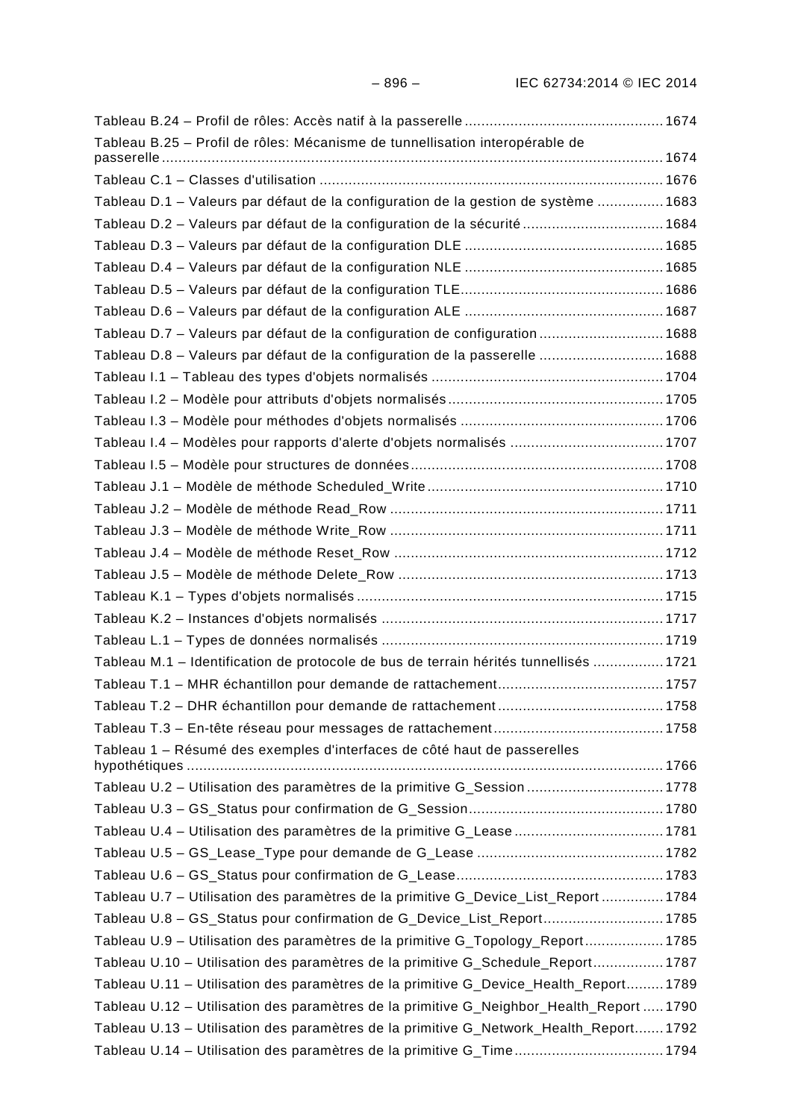| 1674 Tableau B.24 – Profil de rôles: Accès natif à la passerelle …………………………………………        |  |
|------------------------------------------------------------------------------------------|--|
| Tableau B.25 - Profil de rôles: Mécanisme de tunnellisation interopérable de             |  |
|                                                                                          |  |
| Tableau D.1 - Valeurs par défaut de la configuration de la gestion de système  1683      |  |
| Tableau D.2 - Valeurs par défaut de la configuration de la sécurité  1684                |  |
|                                                                                          |  |
|                                                                                          |  |
|                                                                                          |  |
|                                                                                          |  |
| Tableau D.7 - Valeurs par défaut de la configuration de configuration  1688              |  |
| Tableau D.8 - Valeurs par défaut de la configuration de la passerelle  1688              |  |
|                                                                                          |  |
|                                                                                          |  |
|                                                                                          |  |
| Tableau I.4 - Modèles pour rapports d'alerte d'objets normalisés  1707                   |  |
|                                                                                          |  |
|                                                                                          |  |
|                                                                                          |  |
|                                                                                          |  |
|                                                                                          |  |
|                                                                                          |  |
|                                                                                          |  |
|                                                                                          |  |
|                                                                                          |  |
| Tableau M.1 - Identification de protocole de bus de terrain hérités tunnellisés  1721    |  |
|                                                                                          |  |
|                                                                                          |  |
|                                                                                          |  |
| Tableau 1 - Résumé des exemples d'interfaces de côté haut de passerelles                 |  |
| Tableau U.2 - Utilisation des paramètres de la primitive G_Session 1778                  |  |
|                                                                                          |  |
| Tableau U.4 - Utilisation des paramètres de la primitive G_Lease  1781                   |  |
|                                                                                          |  |
|                                                                                          |  |
| Tableau U.7 - Utilisation des paramètres de la primitive G_Device_List_Report  1784      |  |
| Tableau U.8 - GS_Status pour confirmation de G_Device_List_Report 1785                   |  |
| Tableau U.9 - Utilisation des paramètres de la primitive G_Topology_Report 1785          |  |
| Tableau U.10 - Utilisation des paramètres de la primitive G_Schedule_Report 1787         |  |
| Tableau U.11 - Utilisation des paramètres de la primitive G_Device_Health_Report 1789    |  |
| Tableau U.12 - Utilisation des paramètres de la primitive G_Neighbor_Health_Report  1790 |  |
| Tableau U.13 - Utilisation des paramètres de la primitive G_Network_Health_Report 1792   |  |
| Tableau U.14 - Utilisation des paramètres de la primitive G_Time 1794                    |  |
|                                                                                          |  |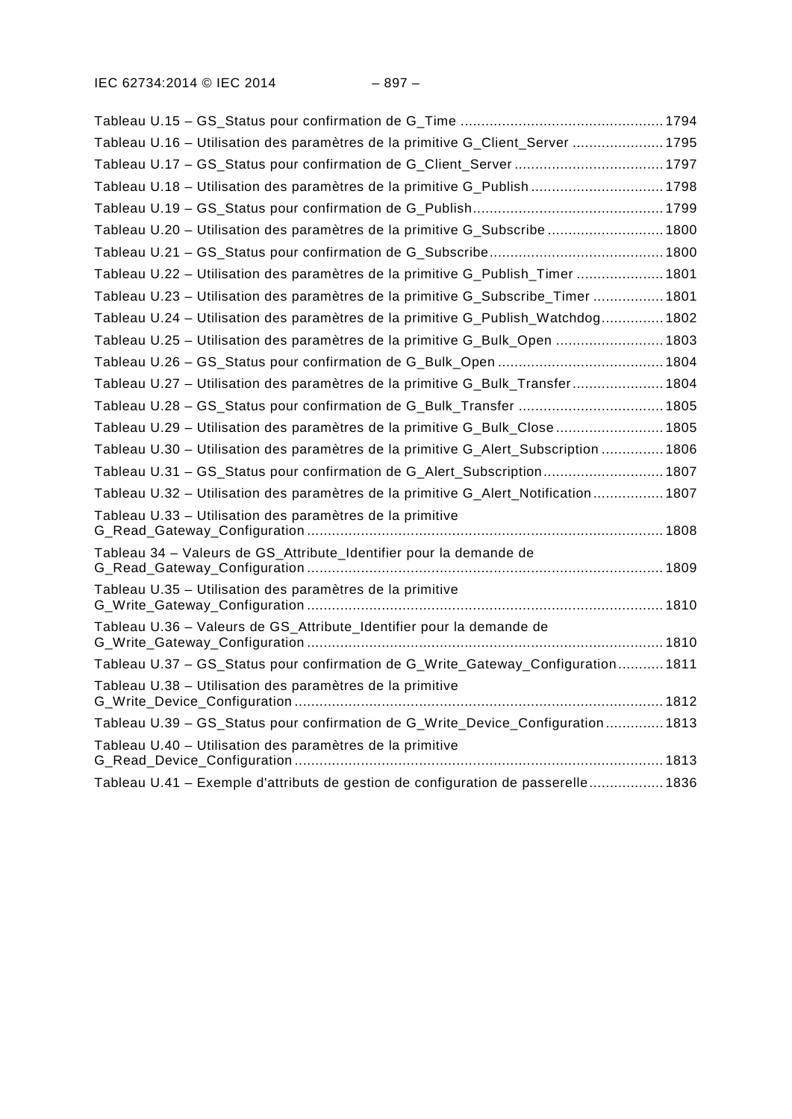| Tableau U.16 - Utilisation des paramètres de la primitive G_Client_Server  1795      |  |
|--------------------------------------------------------------------------------------|--|
|                                                                                      |  |
| Tableau U.18 - Utilisation des paramètres de la primitive G_Publish 1798             |  |
|                                                                                      |  |
| Tableau U.20 - Utilisation des paramètres de la primitive G_Subscribe  1800          |  |
|                                                                                      |  |
| Tableau U.22 - Utilisation des paramètres de la primitive G_Publish_Timer  1801      |  |
| Tableau U.23 - Utilisation des paramètres de la primitive G_Subscribe_Timer  1801    |  |
| Tableau U.24 - Utilisation des paramètres de la primitive G_Publish_Watchdog 1802    |  |
| Tableau U.25 - Utilisation des paramètres de la primitive G_Bulk_Open  1803          |  |
|                                                                                      |  |
| Tableau U.27 - Utilisation des paramètres de la primitive G_Bulk_Transfer 1804       |  |
| Tableau U.28 - GS_Status pour confirmation de G_Bulk_Transfer  1805                  |  |
| Tableau U.29 - Utilisation des paramètres de la primitive G_Bulk_Close  1805         |  |
| Tableau U.30 - Utilisation des paramètres de la primitive G_Alert_Subscription  1806 |  |
| Tableau U.31 - GS_Status pour confirmation de G_Alert_Subscription 1807              |  |
| Tableau U.32 - Utilisation des paramètres de la primitive G_Alert_Notification 1807  |  |
| Tableau U.33 - Utilisation des paramètres de la primitive                            |  |
| Tableau 34 - Valeurs de GS_Attribute_Identifier pour la demande de                   |  |
| Tableau U.35 - Utilisation des paramètres de la primitive                            |  |
| Tableau U.36 - Valeurs de GS_Attribute_Identifier pour la demande de                 |  |
| Tableau U.37 - GS_Status pour confirmation de G_Write_Gateway_Configuration 1811     |  |
| Tableau U.38 - Utilisation des paramètres de la primitive                            |  |
| Tableau U.39 - GS_Status pour confirmation de G_Write_Device_Configuration 1813      |  |
| Tableau U.40 - Utilisation des paramètres de la primitive                            |  |
| Tableau U.41 - Exemple d'attributs de gestion de configuration de passerelle 1836    |  |
|                                                                                      |  |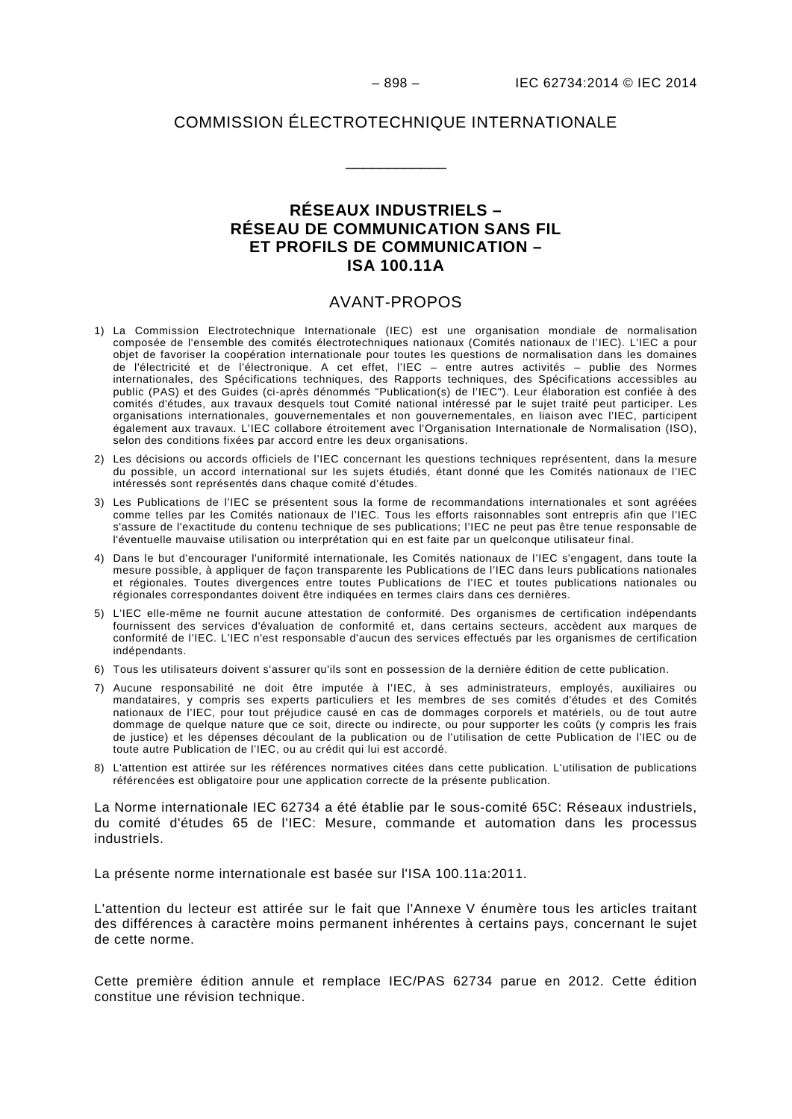# COMMISSION ÉLECTROTECHNIQUE INTERNATIONALE

\_\_\_\_\_\_\_\_\_\_\_\_

# **RÉSEAUX INDUSTRIELS – RÉSEAU DE COMMUNICATION SANS FIL ET PROFILS DE COMMUNICATION – ISA 100.11A**

### AVANT-PROPOS

- 1) La Commission Electrotechnique Internationale (IEC) est une organisation mondiale de normalisation composée de l'ensemble des comités électrotechniques nationaux (Comités nationaux de l'IEC). L'IEC a pour objet de favoriser la coopération internationale pour toutes les questions de normalisation dans les domaines de l'électricité et de l'électronique. A cet effet, l'IEC – entre autres activités – publie des Normes internationales, des Spécifications techniques, des Rapports techniques, des Spécifications accessibles au public (PAS) et des Guides (ci-après dénommés "Publication(s) de l'IEC"). Leur élaboration est confiée à des comités d'études, aux travaux desquels tout Comité national intéressé par le sujet traité peut participer. Les organisations internationales, gouvernementales et non gouvernementales, en liaison avec l'IEC, participent également aux travaux. L'IEC collabore étroitement avec l'Organisation Internationale de Normalisation (ISO), selon des conditions fixées par accord entre les deux organisations.
- 2) Les décisions ou accords officiels de l'IEC concernant les questions techniques représentent, dans la mesure du possible, un accord international sur les sujets étudiés, étant donné que les Comités nationaux de l'IEC intéressés sont représentés dans chaque comité d'études.
- 3) Les Publications de l'IEC se présentent sous la forme de recommandations internationales et sont agréées comme telles par les Comités nationaux de l'IEC. Tous les efforts raisonnables sont entrepris afin que l'IEC s'assure de l'exactitude du contenu technique de ses publications; l'IEC ne peut pas être tenue responsable de l'éventuelle mauvaise utilisation ou interprétation qui en est faite par un quelconque utilisateur final.
- 4) Dans le but d'encourager l'uniformité internationale, les Comités nationaux de l'IEC s'engagent, dans toute la mesure possible, à appliquer de façon transparente les Publications de l'IEC dans leurs publications nationales et régionales. Toutes divergences entre toutes Publications de l'IEC et toutes publications nationales ou régionales correspondantes doivent être indiquées en termes clairs dans ces dernières.
- 5) L'IEC elle-même ne fournit aucune attestation de conformité. Des organismes de certification indépendants fournissent des services d'évaluation de conformité et, dans certains secteurs, accèdent aux marques de conformité de l'IEC. L'IEC n'est responsable d'aucun des services effectués par les organismes de certification indépendants.
- 6) Tous les utilisateurs doivent s'assurer qu'ils sont en possession de la dernière édition de cette publication.
- 7) Aucune responsabilité ne doit être imputée à l'IEC, à ses administrateurs, employés, auxiliaires ou mandataires, y compris ses experts particuliers et les membres de ses comités d'études et des Comités nationaux de l'IEC, pour tout préjudice causé en cas de dommages corporels et matériels, ou de tout autre dommage de quelque nature que ce soit, directe ou indirecte, ou pour supporter les coûts (y compris les frais de justice) et les dépenses découlant de la publication ou de l'utilisation de cette Publication de l'IEC ou de toute autre Publication de l'IEC, ou au crédit qui lui est accordé.
- 8) L'attention est attirée sur les références normatives citées dans cette publication. L'utilisation de publications référencées est obligatoire pour une application correcte de la présente publication.

La Norme internationale IEC 62734 a été établie par le sous-comité 65C: Réseaux industriels, du comité d'études 65 de l'IEC: Mesure, commande et automation dans les processus industriels.

La présente norme internationale est basée sur l'ISA 100.11a:2011.

L'attention du lecteur est attirée sur le fait que l'Annexe V énumère tous les articles traitant des différences à caractère moins permanent inhérentes à certains pays, concernant le sujet de cette norme.

Cette première édition annule et remplace IEC/PAS 62734 parue en 2012. Cette édition constitue une révision technique.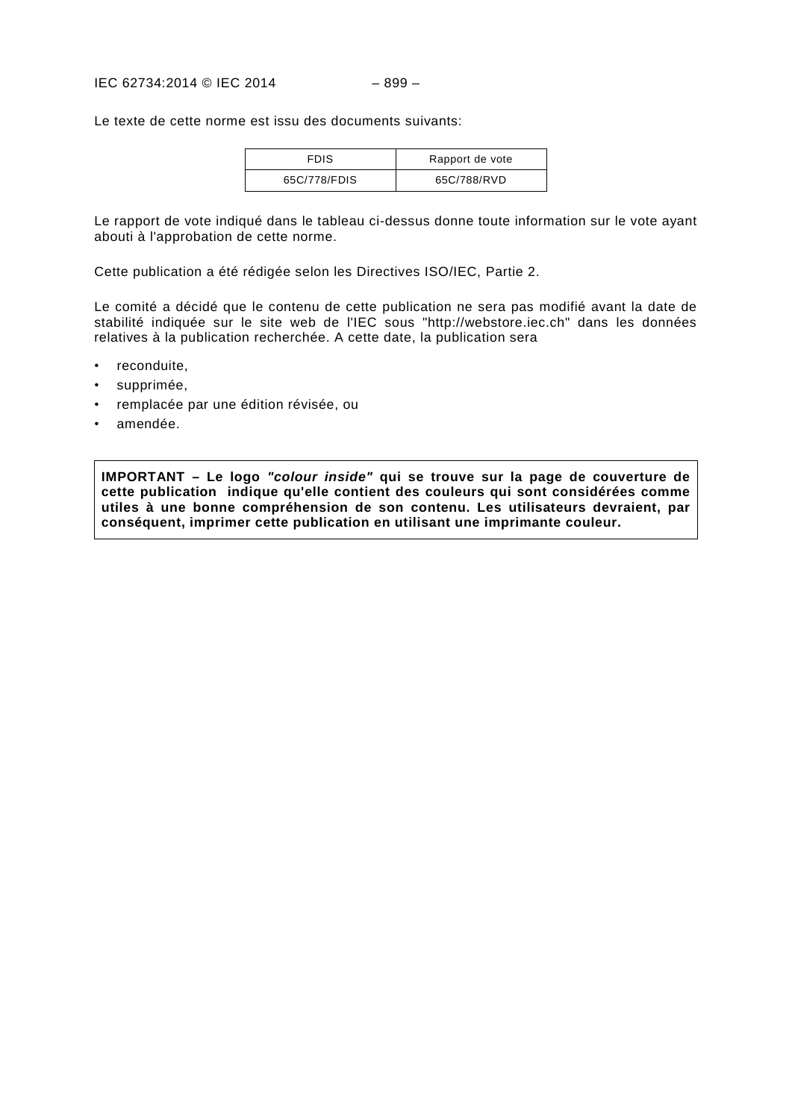Le texte de cette norme est issu des documents suivants:

| FDIS         | Rapport de vote |
|--------------|-----------------|
| 65C/778/FDIS | 65C/788/RVD     |

Le rapport de vote indiqué dans le tableau ci-dessus donne toute information sur le vote ayant abouti à l'approbation de cette norme.

Cette publication a été rédigée selon les Directives ISO/IEC, Partie 2.

Le comité a décidé que le contenu de cette publication ne sera pas modifié avant la date de stabilité indiquée sur le site web de l'IEC sous "http://webstore.iec.ch" dans les données relatives à la publication recherchée. A cette date, la publication sera

- reconduite,
- supprimée,
- remplacée par une édition révisée, ou
- amendée.

**IMPORTANT – Le logo** *"colour inside"* **qui se trouve sur la page de couverture de cette publication indique qu'elle contient des couleurs qui sont considérées comme utiles à une bonne compréhension de son contenu. Les utilisateurs devraient, par conséquent, imprimer cette publication en utilisant une imprimante couleur.**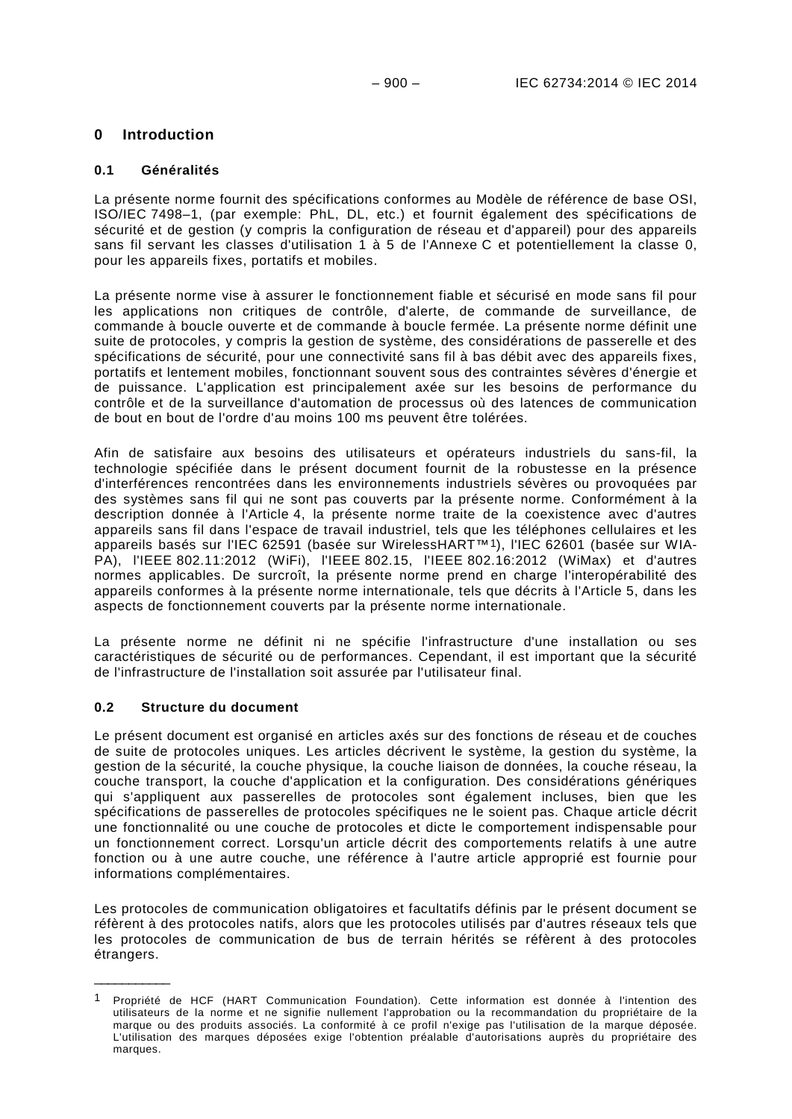### **0 Introduction**

#### **0.1 Généralités**

La présente norme fournit des spécifications conformes au Modèle de référence de base OSI, ISO/IEC 7498–1, (par exemple: PhL, DL, etc.) et fournit également des spécifications de sécurité et de gestion (y compris la configuration de réseau et d'appareil) pour des appareils sans fil servant les classes d'utilisation 1 à 5 de l'Annexe C et potentiellement la classe 0, pour les appareils fixes, portatifs et mobiles.

La présente norme vise à assurer le fonctionnement fiable et sécurisé en mode sans fil pour les applications non critiques de contrôle, d'alerte, de commande de surveillance, de commande à boucle ouverte et de commande à boucle fermée. La présente norme définit une suite de protocoles, y compris la gestion de système, des considérations de passerelle et des spécifications de sécurité, pour une connectivité sans fil à bas débit avec des appareils fixes, portatifs et lentement mobiles, fonctionnant souvent sous des contraintes sévères d'énergie et de puissance. L'application est principalement axée sur les besoins de performance du contrôle et de la surveillance d'automation de processus où des latences de communication de bout en bout de l'ordre d'au moins 100 ms peuvent être tolérées.

Afin de satisfaire aux besoins des utilisateurs et opérateurs industriels du sans-fil, la technologie spécifiée dans le présent document fournit de la robustesse en la présence d'interférences rencontrées dans les environnements industriels sévères ou provoquées par des systèmes sans fil qui ne sont pas couverts par la présente norme. Conformément à la description donnée à l'Article 4, la présente norme traite de la coexistence avec d'autres appareils sans fil dans l'espace de travail industriel, tels que les téléphones cellulaires et les appareils basés sur l'IEC 62591 (basée sur WirelessHART™[1](#page-68-0)), l'IEC 62601 (basée sur WIA-PA), l'IEEE 802.11:2012 (WiFi), l'IEEE 802.15, l'IEEE 802.16:2012 (WiMax) et d'autres normes applicables. De surcroît, la présente norme prend en charge l'interopérabilité des appareils conformes à la présente norme internationale, tels que décrits à l'Article 5, dans les aspects de fonctionnement couverts par la présente norme internationale.

La présente norme ne définit ni ne spécifie l'infrastructure d'une installation ou ses caractéristiques de sécurité ou de performances. Cependant, il est important que la sécurité de l'infrastructure de l'installation soit assurée par l'utilisateur final.

#### **0.2 Structure du document**

 $\overline{\phantom{a}}$  . The set of the set of the set of the set of the set of the set of the set of the set of the set of the set of the set of the set of the set of the set of the set of the set of the set of the set of the set o

Le présent document est organisé en articles axés sur des fonctions de réseau et de couches de suite de protocoles uniques. Les articles décrivent le système, la gestion du système, la gestion de la sécurité, la couche physique, la couche liaison de données, la couche réseau, la couche transport, la couche d'application et la configuration. Des considérations génériques qui s'appliquent aux passerelles de protocoles sont également incluses, bien que les spécifications de passerelles de protocoles spécifiques ne le soient pas. Chaque article décrit une fonctionnalité ou une couche de protocoles et dicte le comportement indispensable pour un fonctionnement correct. Lorsqu'un article décrit des comportements relatifs à une autre fonction ou à une autre couche, une référence à l'autre article approprié est fournie pour informations complémentaires.

Les protocoles de communication obligatoires et facultatifs définis par le présent document se réfèrent à des protocoles natifs, alors que les protocoles utilisés par d'autres réseaux tels que les protocoles de communication de bus de terrain hérités se réfèrent à des protocoles étrangers.

<span id="page-68-0"></span><sup>1</sup> Propriété de HCF (HART Communication Foundation). Cette information est donnée à l'intention des utilisateurs de la norme et ne signifie nullement l'approbation ou la recommandation du propriétaire de la marque ou des produits associés. La conformité à ce profil n'exige pas l'utilisation de la marque déposée. L'utilisation des marques déposées exige l'obtention préalable d'autorisations auprès du propriétaire des marques.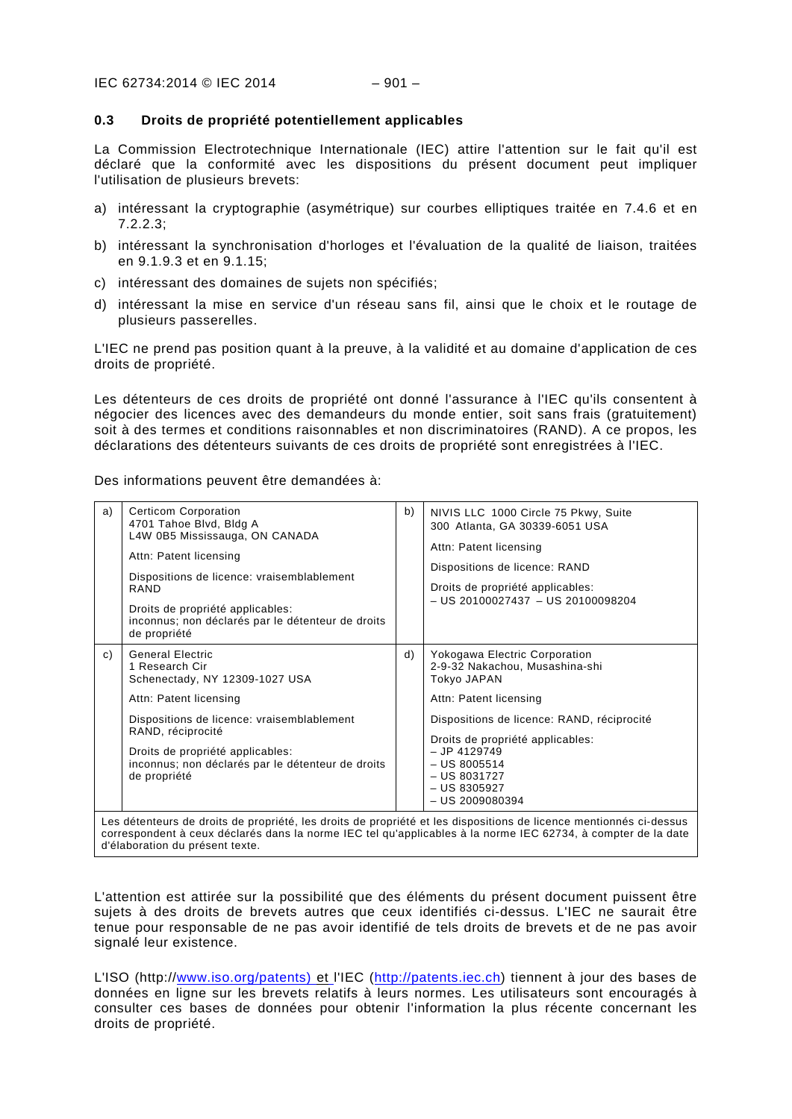#### **0.3 Droits de propriété potentiellement applicables**

La Commission Electrotechnique Internationale (IEC) attire l'attention sur le fait qu'il est déclaré que la conformité avec les dispositions du présent document peut impliquer l'utilisation de plusieurs brevets:

- a) intéressant la cryptographie (asymétrique) sur courbes elliptiques traitée en 7.4.6 et en 7.2.2.3;
- b) intéressant la synchronisation d'horloges et l'évaluation de la qualité de liaison, traitées en 9.1.9.3 et en 9.1.15;
- c) intéressant des domaines de sujets non spécifiés;
- d) intéressant la mise en service d'un réseau sans fil, ainsi que le choix et le routage de plusieurs passerelles.

L'IEC ne prend pas position quant à la preuve, à la validité et au domaine d'application de ces droits de propriété.

Les détenteurs de ces droits de propriété ont donné l'assurance à l'IEC qu'ils consentent à négocier des licences avec des demandeurs du monde entier, soit sans frais (gratuitement) soit à des termes et conditions raisonnables et non discriminatoires (RAND). A ce propos, les déclarations des détenteurs suivants de ces droits de propriété sont enregistrées à l'IEC.

Des informations peuvent être demandées à:

| a) | <b>Certicom Corporation</b><br>4701 Tahoe Blvd, Bldg A<br>L4W 0B5 Mississauga, ON CANADA<br>Attn: Patent licensing<br>Dispositions de licence: vraisemblablement<br>RAND<br>Droits de propriété applicables:<br>inconnus; non déclarés par le détenteur de droits<br>de propriété | b) | NIVIS LLC 1000 Circle 75 Pkwy, Suite<br>300 Atlanta, GA 30339-6051 USA<br>Attn: Patent licensing<br>Dispositions de licence: RAND<br>Droits de propriété applicables:<br>$-$ US 20100027437 $-$ US 20100098204                                                                          |  |
|----|-----------------------------------------------------------------------------------------------------------------------------------------------------------------------------------------------------------------------------------------------------------------------------------|----|-----------------------------------------------------------------------------------------------------------------------------------------------------------------------------------------------------------------------------------------------------------------------------------------|--|
| C) | <b>General Electric</b><br>1 Research Cir<br>Schenectady, NY 12309-1027 USA<br>Attn: Patent licensing<br>Dispositions de licence: vraisemblablement<br>RAND, réciprocité<br>Droits de propriété applicables:<br>inconnus; non déclarés par le détenteur de droits<br>de propriété | d) | Yokogawa Electric Corporation<br>2-9-32 Nakachou, Musashina-shi<br>Tokyo JAPAN<br>Attn: Patent licensing<br>Dispositions de licence: RAND, réciprocité<br>Droits de propriété applicables:<br>$-$ JP 4129749<br>$-$ US 8005514<br>$-$ US 8031727<br>$-$ US 8305927<br>$-$ US 2009080394 |  |
|    | Les détenteurs de droits de propriété, les droits de propriété et les dispositions de licence mentionnés ci-dessus<br>correspondent à ceux déclarés dans la norme IEC tel qu'applicables à la norme IEC 62734, à compter de la date                                               |    |                                                                                                                                                                                                                                                                                         |  |

d'élaboration du présent texte.

L'attention est attirée sur la possibilité que des éléments du présent document puissent être sujets à des droits de brevets autres que ceux identifiés ci-dessus. L'IEC ne saurait être tenue pour responsable de ne pas avoir identifié de tels droits de brevets et de ne pas avoir signalé leur existence.

L'ISO (http:/[/www.iso.org/patents\) et](http://www.iso.org/patents) l'IEC [\(http://patents.iec.ch\)](http://patents.iec.ch/tctools/patent_decl.htm) tiennent à jour des bases de données en ligne sur les brevets relatifs à leurs normes. Les utilisateurs sont encouragés à consulter ces bases de données pour obtenir l'information la plus récente concernant les droits de propriété.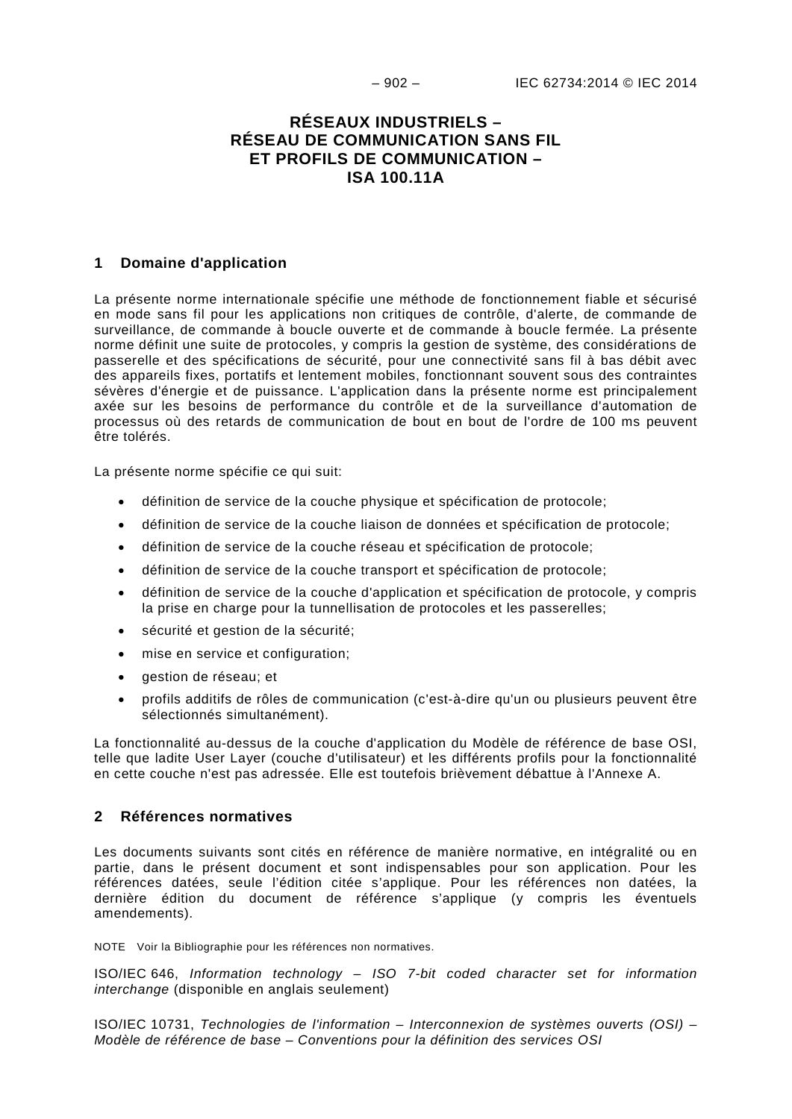### **RÉSEAUX INDUSTRIELS – RÉSEAU DE COMMUNICATION SANS FIL ET PROFILS DE COMMUNICATION – ISA 100.11A**

#### **1 Domaine d'application**

La présente norme internationale spécifie une méthode de fonctionnement fiable et sécurisé en mode sans fil pour les applications non critiques de contrôle, d'alerte, de commande de surveillance, de commande à boucle ouverte et de commande à boucle fermée. La présente norme définit une suite de protocoles, y compris la gestion de système, des considérations de passerelle et des spécifications de sécurité, pour une connectivité sans fil à bas débit avec des appareils fixes, portatifs et lentement mobiles, fonctionnant souvent sous des contraintes sévères d'énergie et de puissance. L'application dans la présente norme est principalement axée sur les besoins de performance du contrôle et de la surveillance d'automation de processus où des retards de communication de bout en bout de l'ordre de 100 ms peuvent être tolérés.

La présente norme spécifie ce qui suit:

- définition de service de la couche physique et spécification de protocole;
- définition de service de la couche liaison de données et spécification de protocole;
- définition de service de la couche réseau et spécification de protocole;
- définition de service de la couche transport et spécification de protocole;
- définition de service de la couche d'application et spécification de protocole, y compris la prise en charge pour la tunnellisation de protocoles et les passerelles;
- sécurité et gestion de la sécurité;
- mise en service et configuration;
- gestion de réseau; et
- profils additifs de rôles de communication (c'est-à-dire qu'un ou plusieurs peuvent être sélectionnés simultanément).

La fonctionnalité au-dessus de la couche d'application du Modèle de référence de base OSI, telle que ladite User Layer (couche d'utilisateur) et les différents profils pour la fonctionnalité en cette couche n'est pas adressée. Elle est toutefois brièvement débattue à l'Annexe A.

#### **2 Références normatives**

Les documents suivants sont cités en référence de manière normative, en intégralité ou en partie, dans le présent document et sont indispensables pour son application. Pour les références datées, seule l'édition citée s'applique. Pour les références non datées, la dernière édition du document de référence s'applique (y compris les éventuels amendements).

NOTE Voir la Bibliographie pour les références non normatives.

ISO/IEC 646, *Information technology – ISO 7-bit coded character set for information interchange* (disponible en anglais seulement)

ISO/IEC 10731, *Technologies de l'information – Interconnexion de systèmes ouverts (OSI) – Modèle de référence de base – Conventions pour la définition des services OSI*